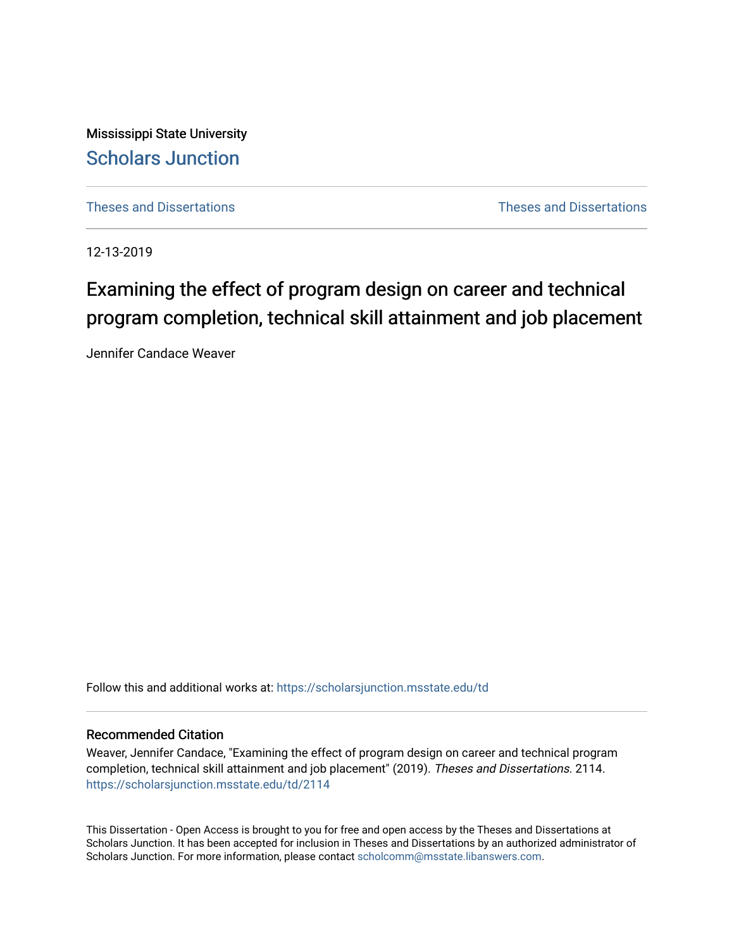Mississippi State University [Scholars Junction](https://scholarsjunction.msstate.edu/) 

[Theses and Dissertations](https://scholarsjunction.msstate.edu/td) [Theses and Dissertations](https://scholarsjunction.msstate.edu/theses-dissertations) 

12-13-2019

# Examining the effect of program design on career and technical program completion, technical skill attainment and job placement

Jennifer Candace Weaver

Follow this and additional works at: [https://scholarsjunction.msstate.edu/td](https://scholarsjunction.msstate.edu/td?utm_source=scholarsjunction.msstate.edu%2Ftd%2F2114&utm_medium=PDF&utm_campaign=PDFCoverPages) 

## Recommended Citation

Weaver, Jennifer Candace, "Examining the effect of program design on career and technical program completion, technical skill attainment and job placement" (2019). Theses and Dissertations. 2114. [https://scholarsjunction.msstate.edu/td/2114](https://scholarsjunction.msstate.edu/td/2114?utm_source=scholarsjunction.msstate.edu%2Ftd%2F2114&utm_medium=PDF&utm_campaign=PDFCoverPages) 

This Dissertation - Open Access is brought to you for free and open access by the Theses and Dissertations at Scholars Junction. It has been accepted for inclusion in Theses and Dissertations by an authorized administrator of Scholars Junction. For more information, please contact [scholcomm@msstate.libanswers.com.](mailto:scholcomm@msstate.libanswers.com)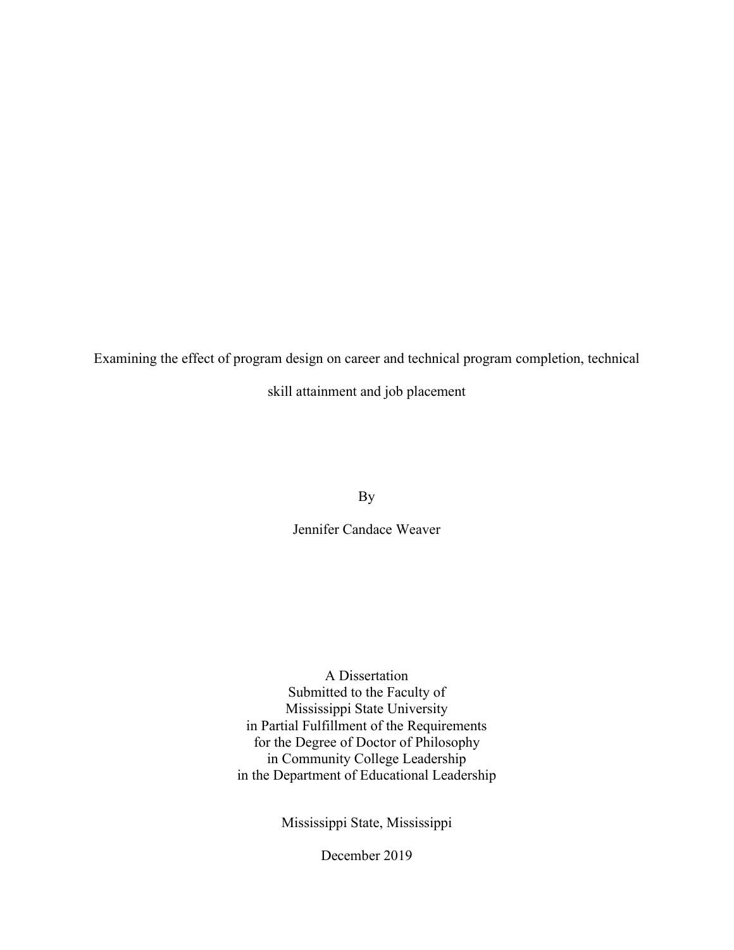Examining the effect of program design on career and technical program completion, technical

skill attainment and job placement

By

Jennifer Candace Weaver

A Dissertation Submitted to the Faculty of Mississippi State University in Partial Fulfillment of the Requirements for the Degree of Doctor of Philosophy in Community College Leadership in the Department of Educational Leadership

Mississippi State, Mississippi

December 2019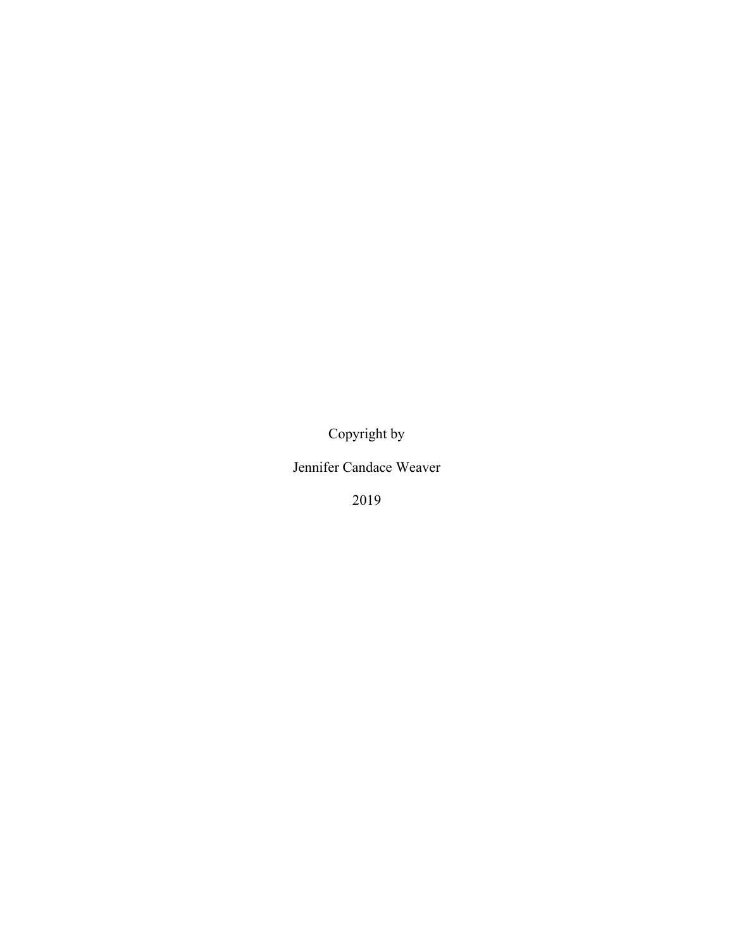Copyright by

Jennifer Candace Weaver

2019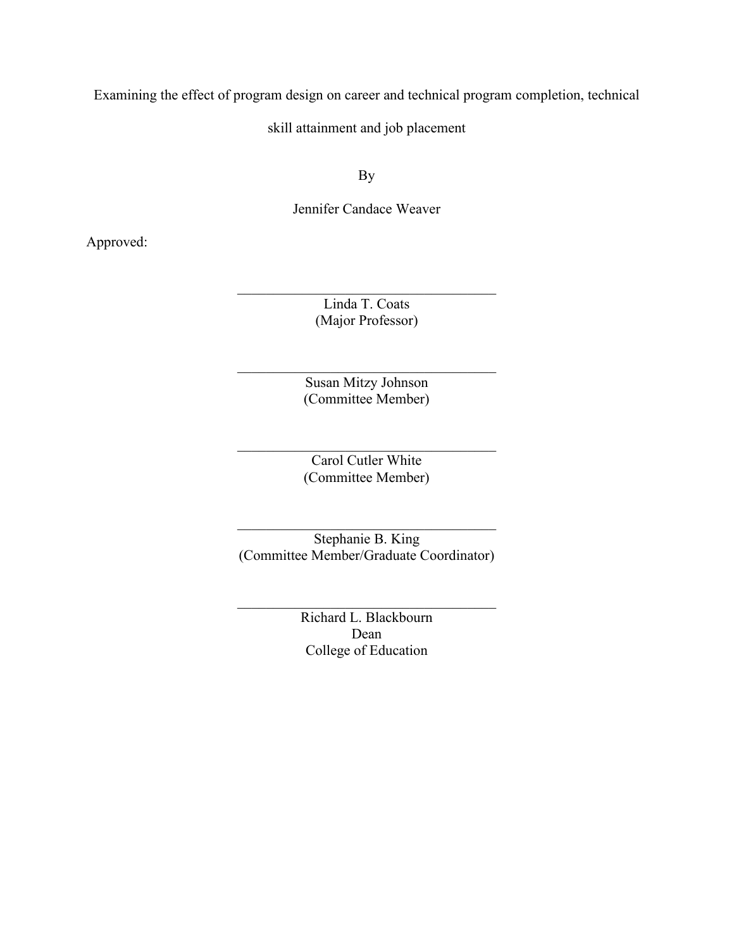Examining the effect of program design on career and technical program completion, technical

skill attainment and job placement

By

Jennifer Candace Weaver

Approved:

Linda T. Coats (Major Professor)

Susan Mitzy Johnson (Committee Member)

Carol Cutler White (Committee Member)

Stephanie B. King (Committee Member/Graduate Coordinator)

> Richard L. Blackbourn Dean College of Education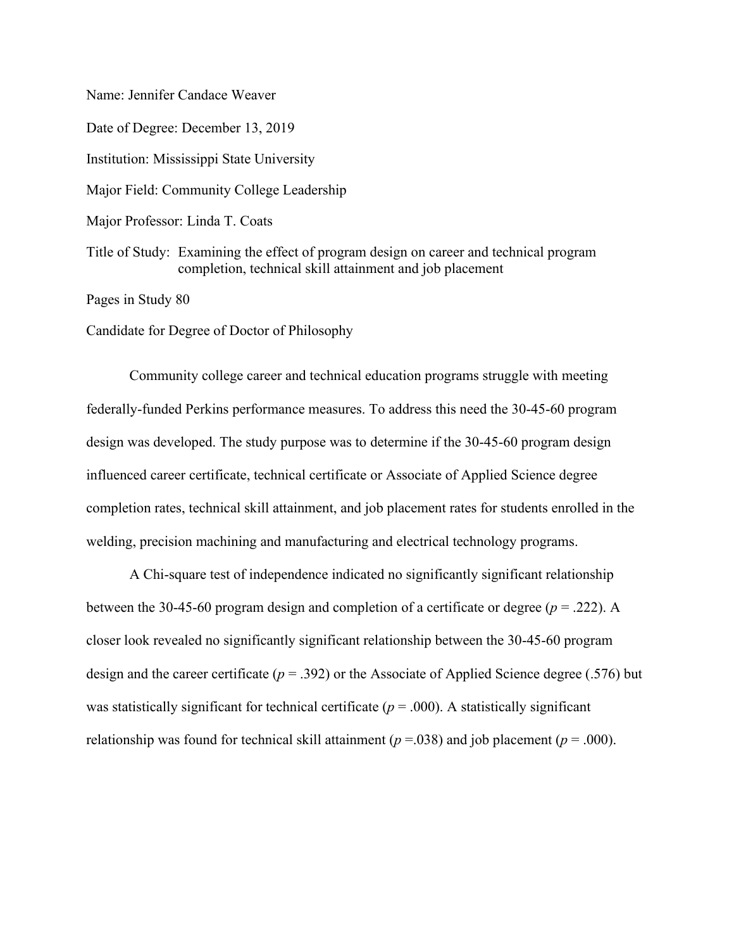Name: Jennifer Candace Weaver Date of Degree: December 13, 2019 Institution: Mississippi State University Major Field: Community College Leadership Major Professor: Linda T. Coats Title of Study: Examining the effect of program design on career and technical program completion, technical skill attainment and job placement Pages in Study 80

Candidate for Degree of Doctor of Philosophy

Community college career and technical education programs struggle with meeting federally-funded Perkins performance measures. To address this need the 30-45-60 program design was developed. The study purpose was to determine if the 30-45-60 program design influenced career certificate, technical certificate or Associate of Applied Science degree completion rates, technical skill attainment, and job placement rates for students enrolled in the welding, precision machining and manufacturing and electrical technology programs.

A Chi-square test of independence indicated no significantly significant relationship between the 30-45-60 program design and completion of a certificate or degree (*p* = .222). A closer look revealed no significantly significant relationship between the 30-45-60 program design and the career certificate (*p* = .392) or the Associate of Applied Science degree (.576) but was statistically significant for technical certificate  $(p = .000)$ . A statistically significant relationship was found for technical skill attainment ( $p = .038$ ) and job placement ( $p = .000$ ).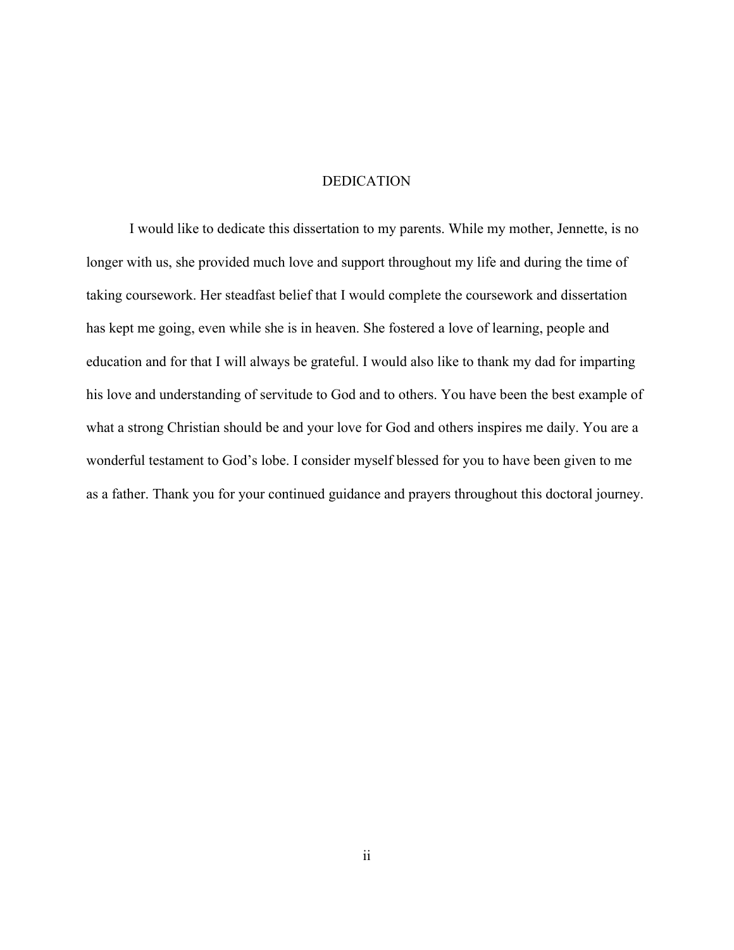#### DEDICATION

<span id="page-5-0"></span>I would like to dedicate this dissertation to my parents. While my mother, Jennette, is no longer with us, she provided much love and support throughout my life and during the time of taking coursework. Her steadfast belief that I would complete the coursework and dissertation has kept me going, even while she is in heaven. She fostered a love of learning, people and education and for that I will always be grateful. I would also like to thank my dad for imparting his love and understanding of servitude to God and to others. You have been the best example of what a strong Christian should be and your love for God and others inspires me daily. You are a wonderful testament to God's lobe. I consider myself blessed for you to have been given to me as a father. Thank you for your continued guidance and prayers throughout this doctoral journey.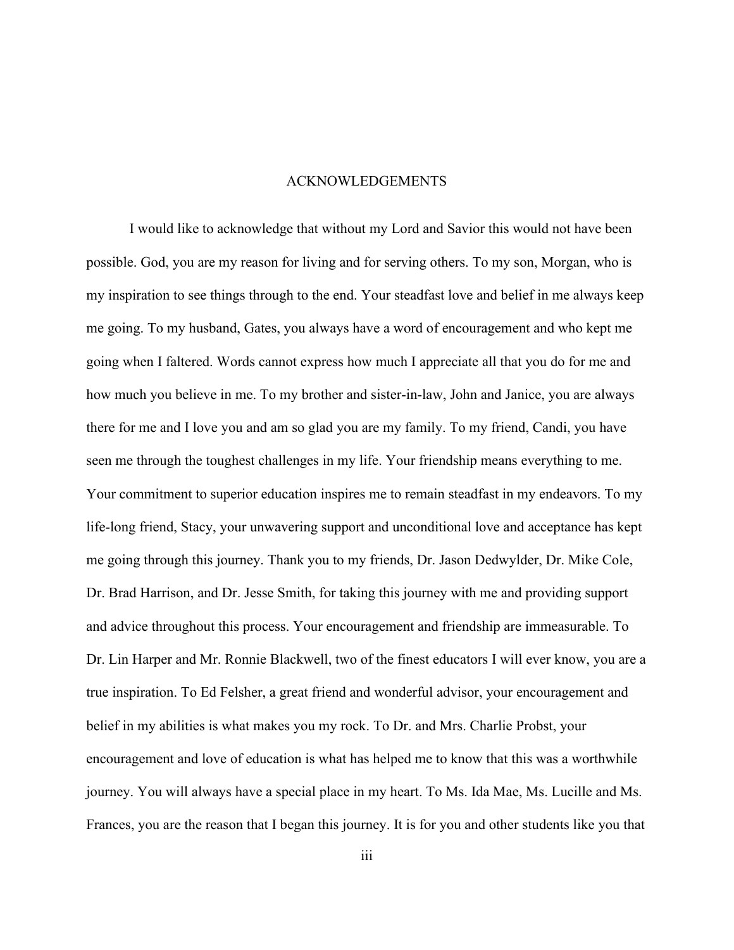#### ACKNOWLEDGEMENTS

<span id="page-6-0"></span>I would like to acknowledge that without my Lord and Savior this would not have been possible. God, you are my reason for living and for serving others. To my son, Morgan, who is my inspiration to see things through to the end. Your steadfast love and belief in me always keep me going. To my husband, Gates, you always have a word of encouragement and who kept me going when I faltered. Words cannot express how much I appreciate all that you do for me and how much you believe in me. To my brother and sister-in-law, John and Janice, you are always there for me and I love you and am so glad you are my family. To my friend, Candi, you have seen me through the toughest challenges in my life. Your friendship means everything to me. Your commitment to superior education inspires me to remain steadfast in my endeavors. To my life-long friend, Stacy, your unwavering support and unconditional love and acceptance has kept me going through this journey. Thank you to my friends, Dr. Jason Dedwylder, Dr. Mike Cole, Dr. Brad Harrison, and Dr. Jesse Smith, for taking this journey with me and providing support and advice throughout this process. Your encouragement and friendship are immeasurable. To Dr. Lin Harper and Mr. Ronnie Blackwell, two of the finest educators I will ever know, you are a true inspiration. To Ed Felsher, a great friend and wonderful advisor, your encouragement and belief in my abilities is what makes you my rock. To Dr. and Mrs. Charlie Probst, your encouragement and love of education is what has helped me to know that this was a worthwhile journey. You will always have a special place in my heart. To Ms. Ida Mae, Ms. Lucille and Ms. Frances, you are the reason that I began this journey. It is for you and other students like you that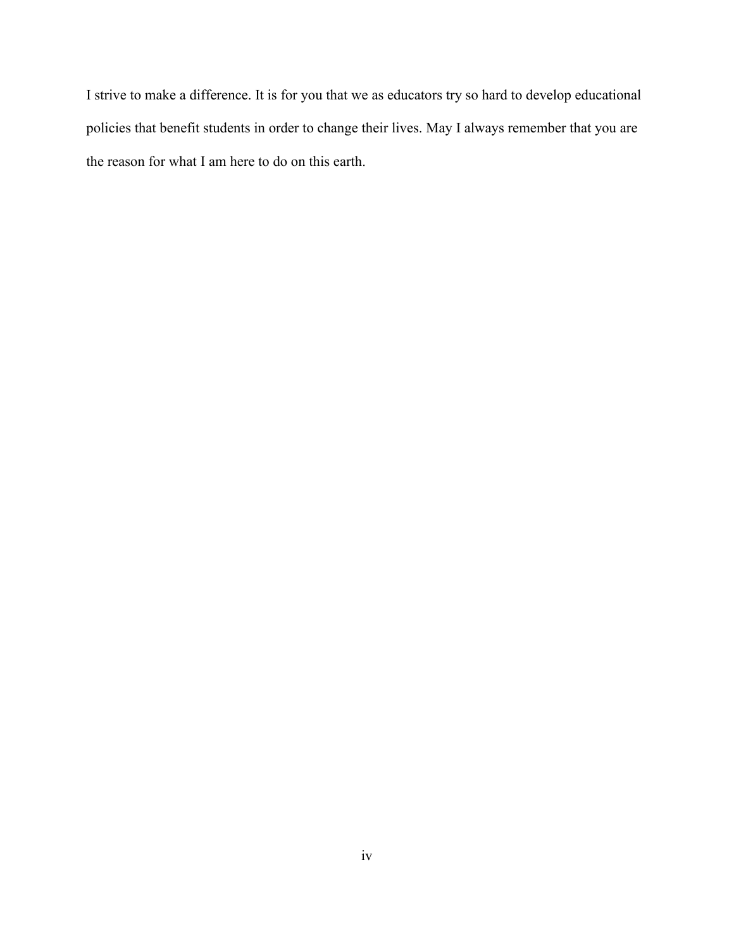I strive to make a difference. It is for you that we as educators try so hard to develop educational policies that benefit students in order to change their lives. May I always remember that you are the reason for what I am here to do on this earth.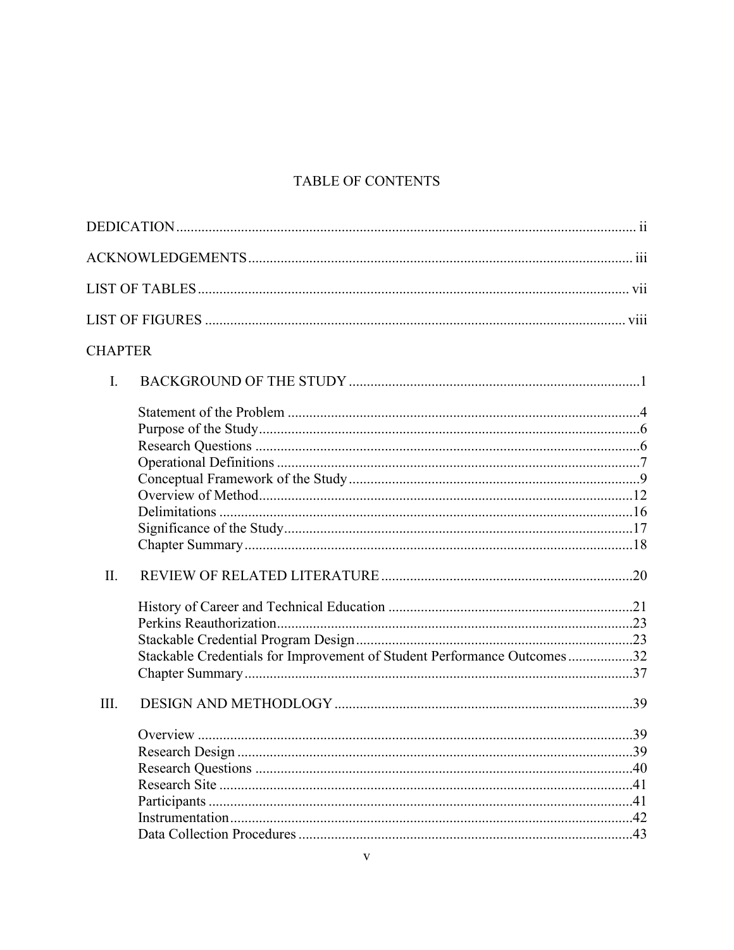# TABLE OF CONTENTS

| <b>CHAPTER</b> |                                                                         |  |
|----------------|-------------------------------------------------------------------------|--|
| I.             |                                                                         |  |
|                |                                                                         |  |
|                |                                                                         |  |
|                |                                                                         |  |
|                |                                                                         |  |
|                |                                                                         |  |
|                |                                                                         |  |
|                |                                                                         |  |
|                |                                                                         |  |
|                |                                                                         |  |
| II.            |                                                                         |  |
|                |                                                                         |  |
|                |                                                                         |  |
|                |                                                                         |  |
|                | Stackable Credentials for Improvement of Student Performance Outcomes32 |  |
|                |                                                                         |  |
| III.           |                                                                         |  |
|                |                                                                         |  |
|                |                                                                         |  |
|                |                                                                         |  |
|                |                                                                         |  |
|                |                                                                         |  |
|                |                                                                         |  |
|                |                                                                         |  |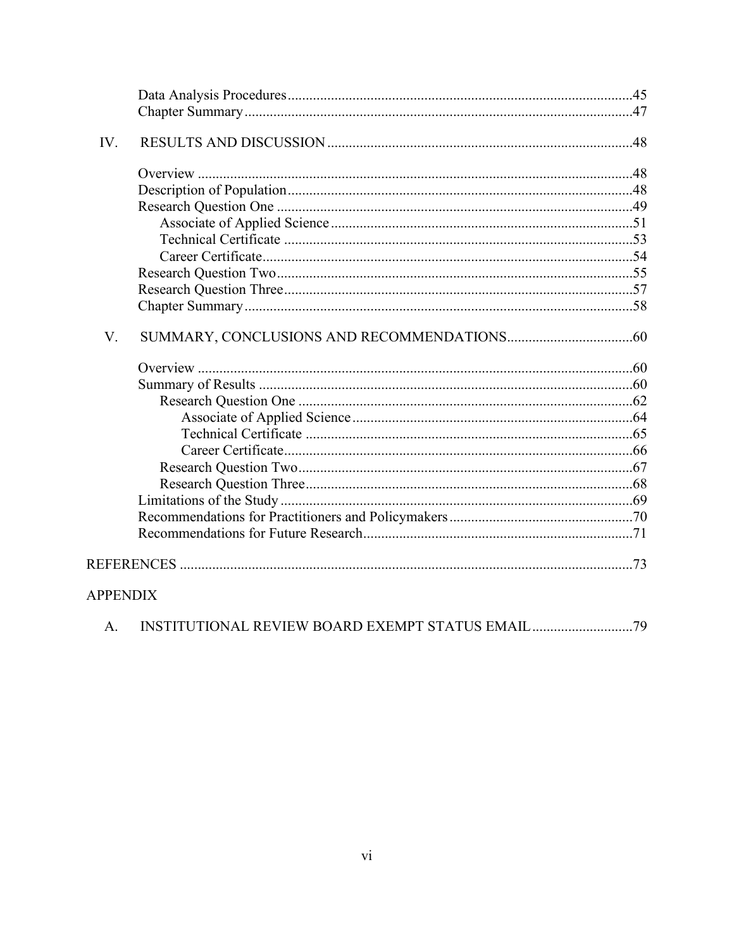| IV.             |  |
|-----------------|--|
|                 |  |
|                 |  |
|                 |  |
|                 |  |
|                 |  |
|                 |  |
|                 |  |
|                 |  |
|                 |  |
| V.              |  |
|                 |  |
|                 |  |
|                 |  |
|                 |  |
|                 |  |
|                 |  |
|                 |  |
|                 |  |
|                 |  |
|                 |  |
|                 |  |
|                 |  |
| <b>APPENDIX</b> |  |
| A.              |  |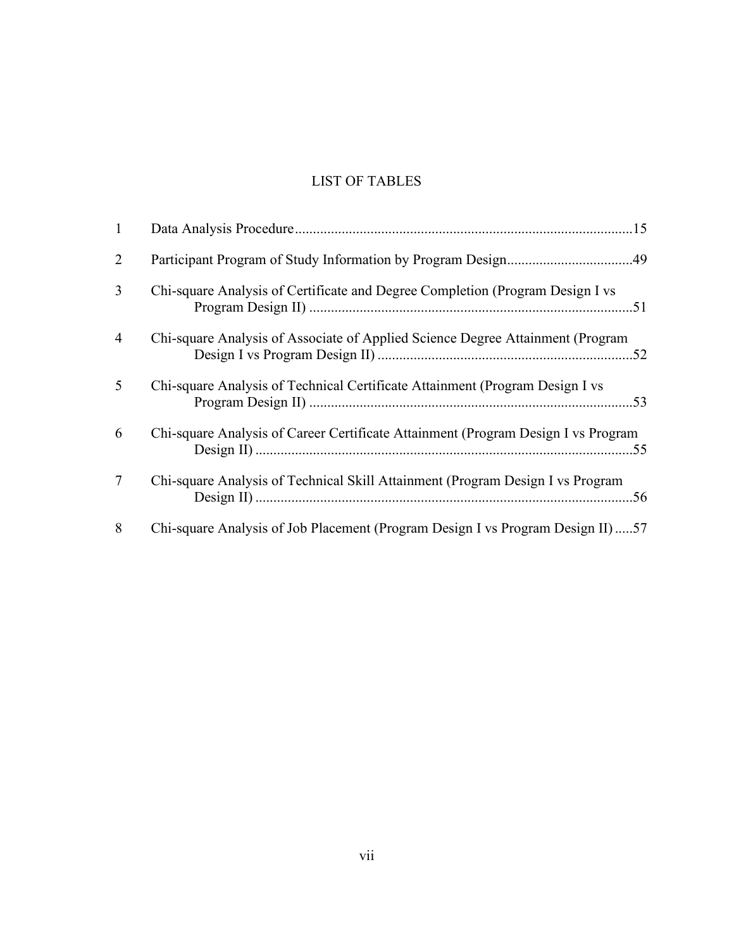# LIST OF TABLES

<span id="page-10-0"></span>

| $\mathbf{1}$   |                                                                                   |
|----------------|-----------------------------------------------------------------------------------|
| $\overline{2}$ | Participant Program of Study Information by Program Design49                      |
| 3              | Chi-square Analysis of Certificate and Degree Completion (Program Design I vs     |
| 4              | Chi-square Analysis of Associate of Applied Science Degree Attainment (Program    |
| 5              | Chi-square Analysis of Technical Certificate Attainment (Program Design I vs      |
| 6              | Chi-square Analysis of Career Certificate Attainment (Program Design I vs Program |
| $\tau$         | Chi-square Analysis of Technical Skill Attainment (Program Design I vs Program    |
| 8              | Chi-square Analysis of Job Placement (Program Design I vs Program Design II)57    |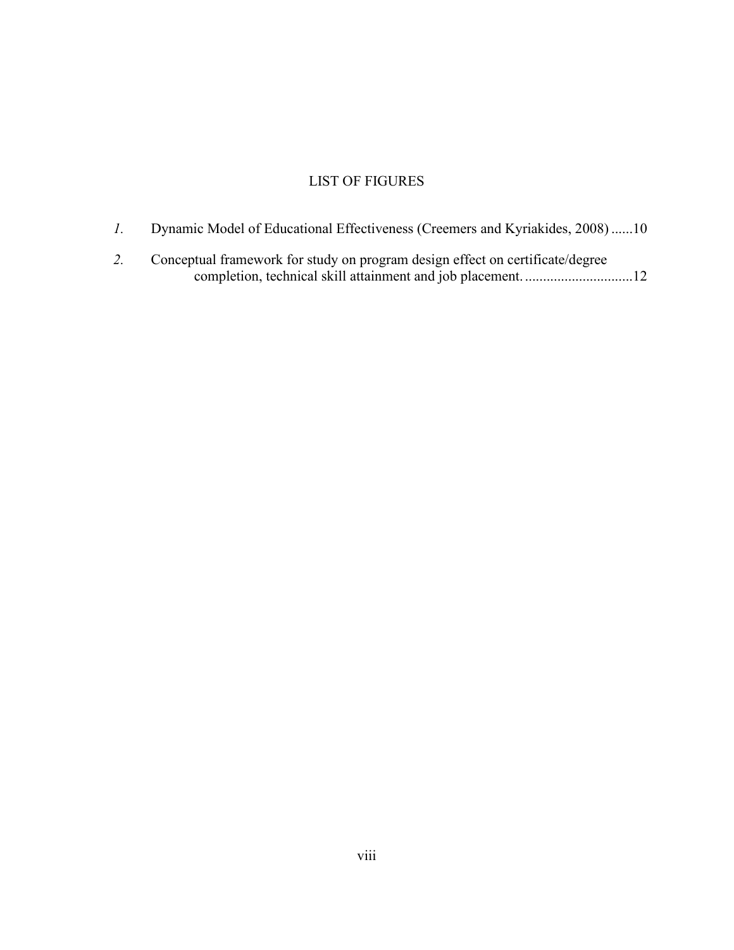# LIST OF FIGURES

- <span id="page-11-0"></span>*1.* [Dynamic Model of Educational Effectiveness \(Creemers and Kyriakides, 2008\)](#page-21-0) ......10
- *2.* [Conceptual framework for study on program design effect on certificate/degree](#page-23-1)  [completion, technical skill attainment and job placement.](#page-23-1) ..............................12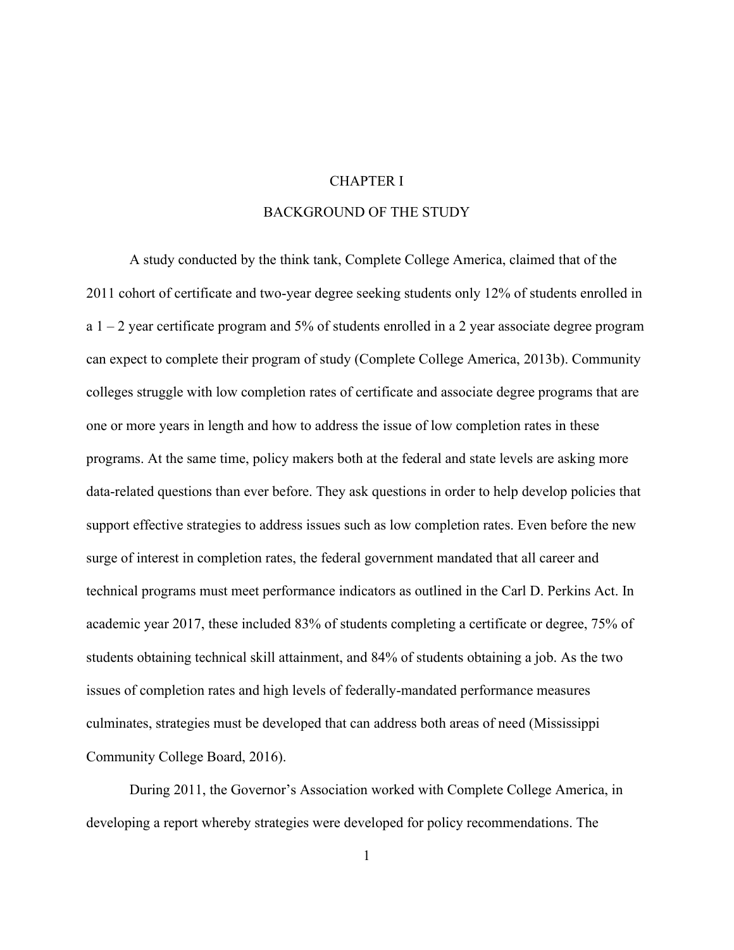### CHAPTER I

# BACKGROUND OF THE STUDY

<span id="page-12-1"></span><span id="page-12-0"></span>A study conducted by the think tank, Complete College America, claimed that of the 2011 cohort of certificate and two-year degree seeking students only 12% of students enrolled in a  $1 - 2$  year certificate program and 5% of students enrolled in a 2 year associate degree program can expect to complete their program of study (Complete College America, 2013b). Community colleges struggle with low completion rates of certificate and associate degree programs that are one or more years in length and how to address the issue of low completion rates in these programs. At the same time, policy makers both at the federal and state levels are asking more data-related questions than ever before. They ask questions in order to help develop policies that support effective strategies to address issues such as low completion rates. Even before the new surge of interest in completion rates, the federal government mandated that all career and technical programs must meet performance indicators as outlined in the Carl D. Perkins Act. In academic year 2017, these included 83% of students completing a certificate or degree, 75% of students obtaining technical skill attainment, and 84% of students obtaining a job. As the two issues of completion rates and high levels of federally-mandated performance measures culminates, strategies must be developed that can address both areas of need (Mississippi Community College Board, 2016).

During 2011, the Governor's Association worked with Complete College America, in developing a report whereby strategies were developed for policy recommendations. The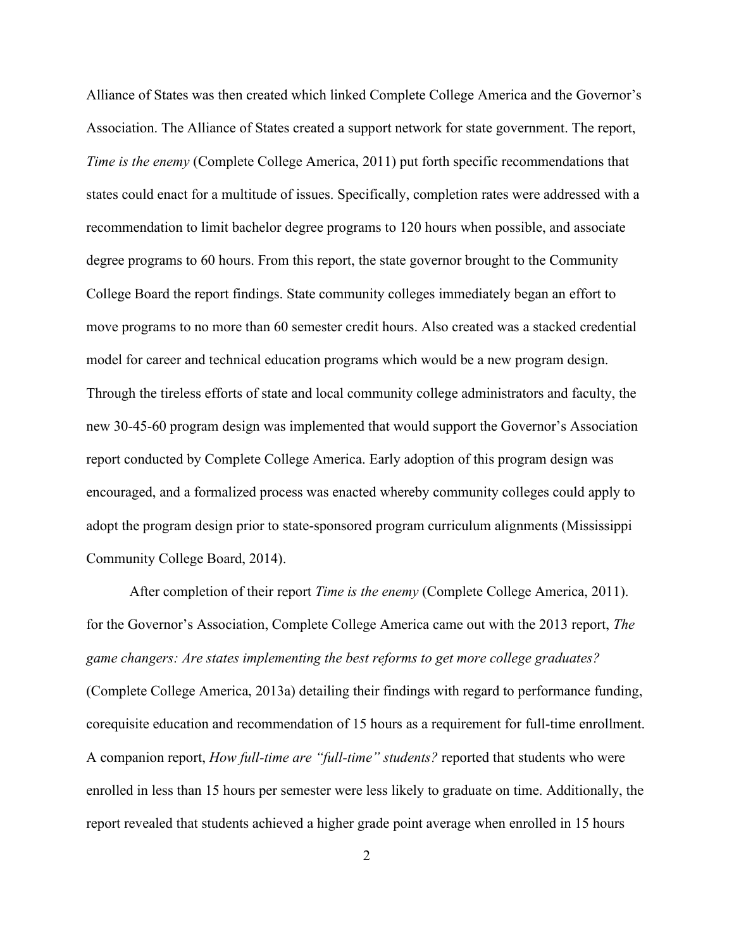Alliance of States was then created which linked Complete College America and the Governor's Association. The Alliance of States created a support network for state government. The report, *Time is the enemy* (Complete College America, 2011) put forth specific recommendations that states could enact for a multitude of issues. Specifically, completion rates were addressed with a recommendation to limit bachelor degree programs to 120 hours when possible, and associate degree programs to 60 hours. From this report, the state governor brought to the Community College Board the report findings. State community colleges immediately began an effort to move programs to no more than 60 semester credit hours. Also created was a stacked credential model for career and technical education programs which would be a new program design. Through the tireless efforts of state and local community college administrators and faculty, the new 30-45-60 program design was implemented that would support the Governor's Association report conducted by Complete College America. Early adoption of this program design was encouraged, and a formalized process was enacted whereby community colleges could apply to adopt the program design prior to state-sponsored program curriculum alignments (Mississippi Community College Board, 2014).

After completion of their report *Time is the enemy* (Complete College America, 2011). for the Governor's Association, Complete College America came out with the 2013 report, *The game changers: Are states implementing the best reforms to get more college graduates?* (Complete College America, 2013a) detailing their findings with regard to performance funding, corequisite education and recommendation of 15 hours as a requirement for full-time enrollment. A companion report, *How full-time are "full-time" students?* reported that students who were enrolled in less than 15 hours per semester were less likely to graduate on time. Additionally, the report revealed that students achieved a higher grade point average when enrolled in 15 hours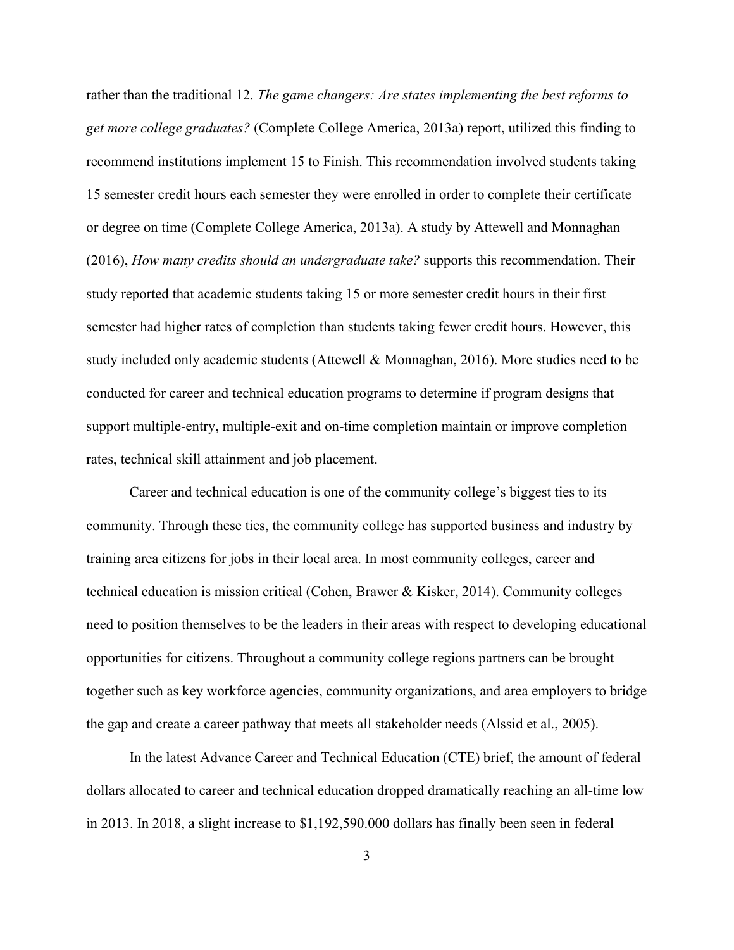rather than the traditional 12. *The game changers: Are states implementing the best reforms to get more college graduates?* (Complete College America, 2013a) report, utilized this finding to recommend institutions implement 15 to Finish. This recommendation involved students taking 15 semester credit hours each semester they were enrolled in order to complete their certificate or degree on time (Complete College America, 2013a). A study by Attewell and Monnaghan (2016), *How many credits should an undergraduate take?* supports this recommendation. Their study reported that academic students taking 15 or more semester credit hours in their first semester had higher rates of completion than students taking fewer credit hours. However, this study included only academic students (Attewell & Monnaghan, 2016). More studies need to be conducted for career and technical education programs to determine if program designs that support multiple-entry, multiple-exit and on-time completion maintain or improve completion rates, technical skill attainment and job placement.

Career and technical education is one of the community college's biggest ties to its community. Through these ties, the community college has supported business and industry by training area citizens for jobs in their local area. In most community colleges, career and technical education is mission critical (Cohen, Brawer & Kisker, 2014). Community colleges need to position themselves to be the leaders in their areas with respect to developing educational opportunities for citizens. Throughout a community college regions partners can be brought together such as key workforce agencies, community organizations, and area employers to bridge the gap and create a career pathway that meets all stakeholder needs (Alssid et al., 2005).

In the latest Advance Career and Technical Education (CTE) brief, the amount of federal dollars allocated to career and technical education dropped dramatically reaching an all-time low in 2013. In 2018, a slight increase to \$1,192,590.000 dollars has finally been seen in federal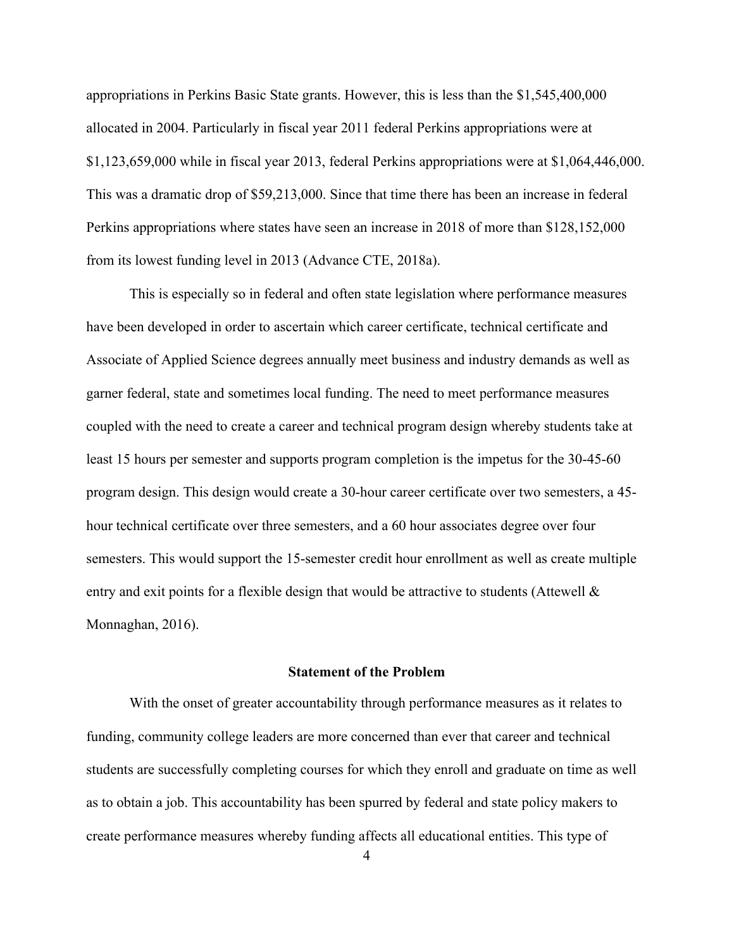appropriations in Perkins Basic State grants. However, this is less than the \$1,545,400,000 allocated in 2004. Particularly in fiscal year 2011 federal Perkins appropriations were at \$1,123,659,000 while in fiscal year 2013, federal Perkins appropriations were at \$1,064,446,000. This was a dramatic drop of \$59,213,000. Since that time there has been an increase in federal Perkins appropriations where states have seen an increase in 2018 of more than \$128,152,000 from its lowest funding level in 2013 (Advance CTE, 2018a).

This is especially so in federal and often state legislation where performance measures have been developed in order to ascertain which career certificate, technical certificate and Associate of Applied Science degrees annually meet business and industry demands as well as garner federal, state and sometimes local funding. The need to meet performance measures coupled with the need to create a career and technical program design whereby students take at least 15 hours per semester and supports program completion is the impetus for the 30-45-60 program design. This design would create a 30-hour career certificate over two semesters, a 45 hour technical certificate over three semesters, and a 60 hour associates degree over four semesters. This would support the 15-semester credit hour enrollment as well as create multiple entry and exit points for a flexible design that would be attractive to students (Attewell  $\&$ Monnaghan, 2016).

# **Statement of the Problem**

<span id="page-15-0"></span>With the onset of greater accountability through performance measures as it relates to funding, community college leaders are more concerned than ever that career and technical students are successfully completing courses for which they enroll and graduate on time as well as to obtain a job. This accountability has been spurred by federal and state policy makers to create performance measures whereby funding affects all educational entities. This type of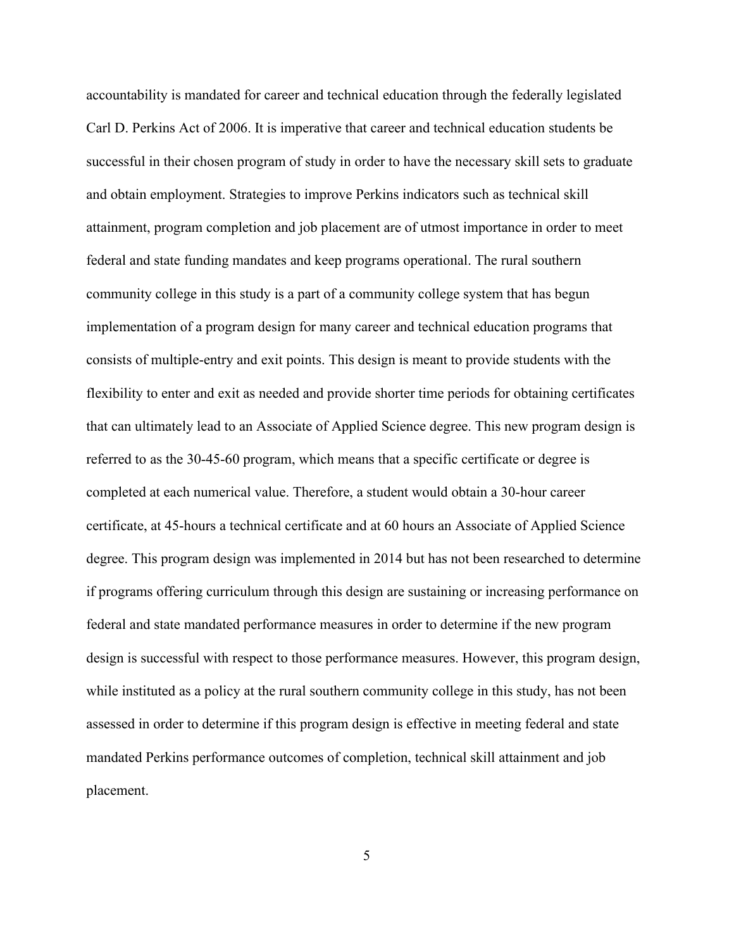accountability is mandated for career and technical education through the federally legislated Carl D. Perkins Act of 2006. It is imperative that career and technical education students be successful in their chosen program of study in order to have the necessary skill sets to graduate and obtain employment. Strategies to improve Perkins indicators such as technical skill attainment, program completion and job placement are of utmost importance in order to meet federal and state funding mandates and keep programs operational. The rural southern community college in this study is a part of a community college system that has begun implementation of a program design for many career and technical education programs that consists of multiple-entry and exit points. This design is meant to provide students with the flexibility to enter and exit as needed and provide shorter time periods for obtaining certificates that can ultimately lead to an Associate of Applied Science degree. This new program design is referred to as the 30-45-60 program, which means that a specific certificate or degree is completed at each numerical value. Therefore, a student would obtain a 30-hour career certificate, at 45-hours a technical certificate and at 60 hours an Associate of Applied Science degree. This program design was implemented in 2014 but has not been researched to determine if programs offering curriculum through this design are sustaining or increasing performance on federal and state mandated performance measures in order to determine if the new program design is successful with respect to those performance measures. However, this program design, while instituted as a policy at the rural southern community college in this study, has not been assessed in order to determine if this program design is effective in meeting federal and state mandated Perkins performance outcomes of completion, technical skill attainment and job placement.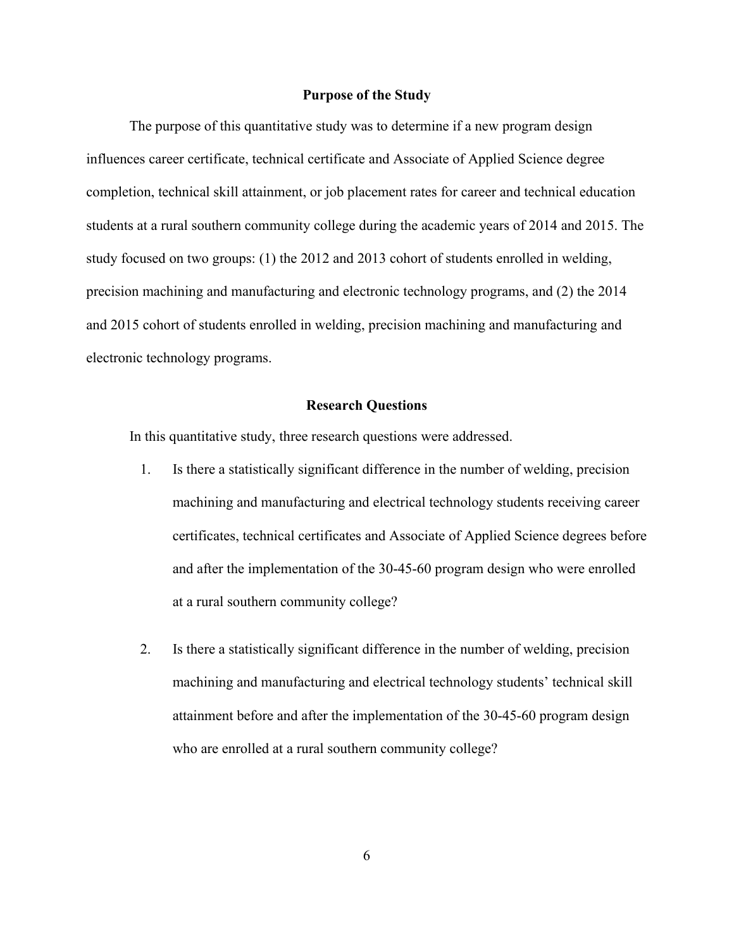### **Purpose of the Study**

<span id="page-17-0"></span>The purpose of this quantitative study was to determine if a new program design influences career certificate, technical certificate and Associate of Applied Science degree completion, technical skill attainment, or job placement rates for career and technical education students at a rural southern community college during the academic years of 2014 and 2015. The study focused on two groups: (1) the 2012 and 2013 cohort of students enrolled in welding, precision machining and manufacturing and electronic technology programs, and (2) the 2014 and 2015 cohort of students enrolled in welding, precision machining and manufacturing and electronic technology programs.

### **Research Questions**

<span id="page-17-1"></span>In this quantitative study, three research questions were addressed.

- 1. Is there a statistically significant difference in the number of welding, precision machining and manufacturing and electrical technology students receiving career certificates, technical certificates and Associate of Applied Science degrees before and after the implementation of the 30-45-60 program design who were enrolled at a rural southern community college?
- 2. Is there a statistically significant difference in the number of welding, precision machining and manufacturing and electrical technology students' technical skill attainment before and after the implementation of the 30-45-60 program design who are enrolled at a rural southern community college?

6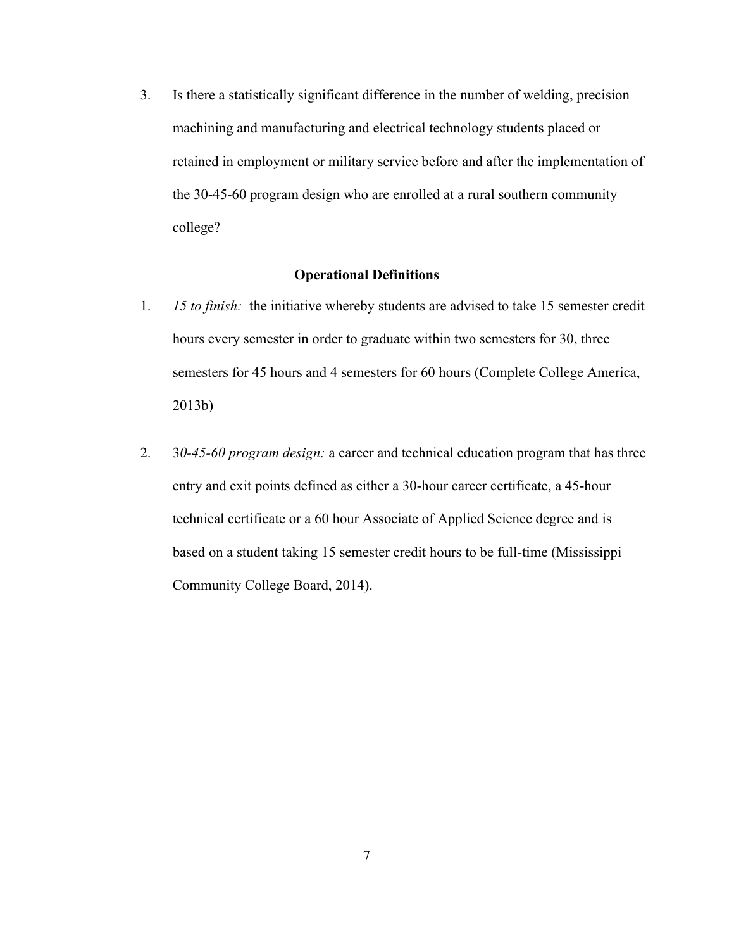3. Is there a statistically significant difference in the number of welding, precision machining and manufacturing and electrical technology students placed or retained in employment or military service before and after the implementation of the 30-45-60 program design who are enrolled at a rural southern community college?

# **Operational Definitions**

- <span id="page-18-0"></span>1. *15 to finish:* the initiative whereby students are advised to take 15 semester credit hours every semester in order to graduate within two semesters for 30, three semesters for 45 hours and 4 semesters for 60 hours (Complete College America, 2013b)
- 2. 3*0-45-60 program design:* a career and technical education program that has three entry and exit points defined as either a 30-hour career certificate, a 45-hour technical certificate or a 60 hour Associate of Applied Science degree and is based on a student taking 15 semester credit hours to be full-time (Mississippi Community College Board, 2014).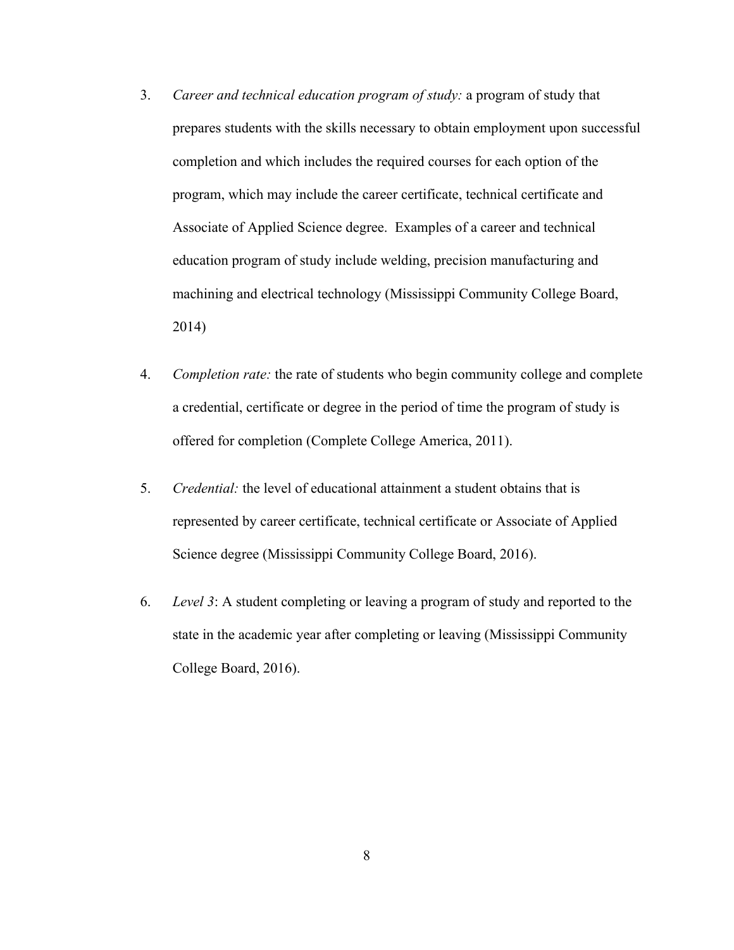- 3. *Career and technical education program of study:* a program of study that prepares students with the skills necessary to obtain employment upon successful completion and which includes the required courses for each option of the program, which may include the career certificate, technical certificate and Associate of Applied Science degree. Examples of a career and technical education program of study include welding, precision manufacturing and machining and electrical technology (Mississippi Community College Board, 2014)
- 4. *Completion rate:* the rate of students who begin community college and complete a credential, certificate or degree in the period of time the program of study is offered for completion (Complete College America, 2011).
- 5. *Credential:* the level of educational attainment a student obtains that is represented by career certificate, technical certificate or Associate of Applied Science degree (Mississippi Community College Board, 2016).
- 6. *Level 3*: A student completing or leaving a program of study and reported to the state in the academic year after completing or leaving (Mississippi Community College Board, 2016).

8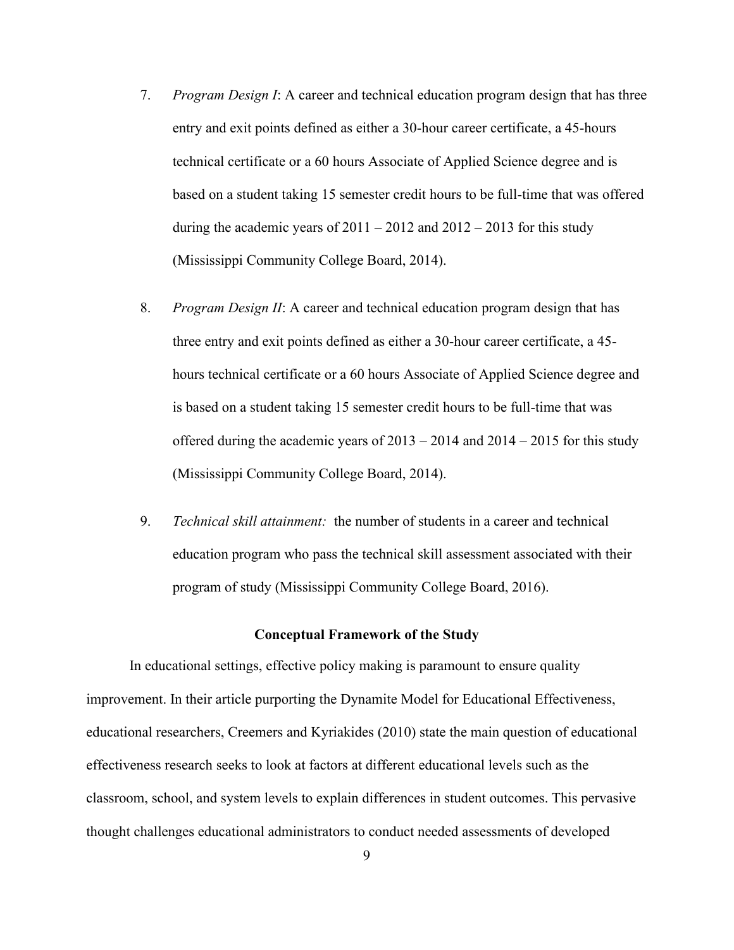- 7. *Program Design I*: A career and technical education program design that has three entry and exit points defined as either a 30-hour career certificate, a 45-hours technical certificate or a 60 hours Associate of Applied Science degree and is based on a student taking 15 semester credit hours to be full-time that was offered during the academic years of  $2011 - 2012$  and  $2012 - 2013$  for this study (Mississippi Community College Board, 2014).
- 8. *Program Design II*: A career and technical education program design that has three entry and exit points defined as either a 30-hour career certificate, a 45 hours technical certificate or a 60 hours Associate of Applied Science degree and is based on a student taking 15 semester credit hours to be full-time that was offered during the academic years of  $2013 - 2014$  and  $2014 - 2015$  for this study (Mississippi Community College Board, 2014).
- 9. *Technical skill attainment:* the number of students in a career and technical education program who pass the technical skill assessment associated with their program of study (Mississippi Community College Board, 2016).

## **Conceptual Framework of the Study**

<span id="page-20-0"></span>In educational settings, effective policy making is paramount to ensure quality improvement. In their article purporting the Dynamite Model for Educational Effectiveness, educational researchers, Creemers and Kyriakides (2010) state the main question of educational effectiveness research seeks to look at factors at different educational levels such as the classroom, school, and system levels to explain differences in student outcomes. This pervasive thought challenges educational administrators to conduct needed assessments of developed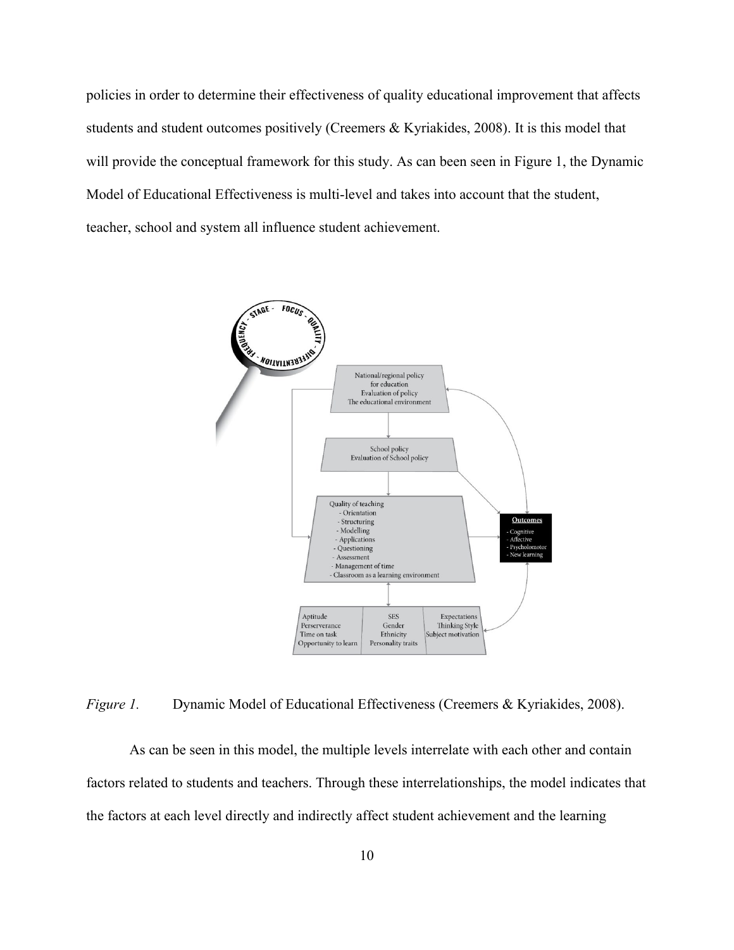policies in order to determine their effectiveness of quality educational improvement that affects students and student outcomes positively (Creemers & Kyriakides, 2008). It is this model that will provide the conceptual framework for this study. As can been seen in Figure 1, the Dynamic Model of Educational Effectiveness is multi-level and takes into account that the student, teacher, school and system all influence student achievement.



<span id="page-21-0"></span>*Figure 1.* Dynamic Model of Educational Effectiveness (Creemers & Kyriakides, 2008).

As can be seen in this model, the multiple levels interrelate with each other and contain factors related to students and teachers. Through these interrelationships, the model indicates that the factors at each level directly and indirectly affect student achievement and the learning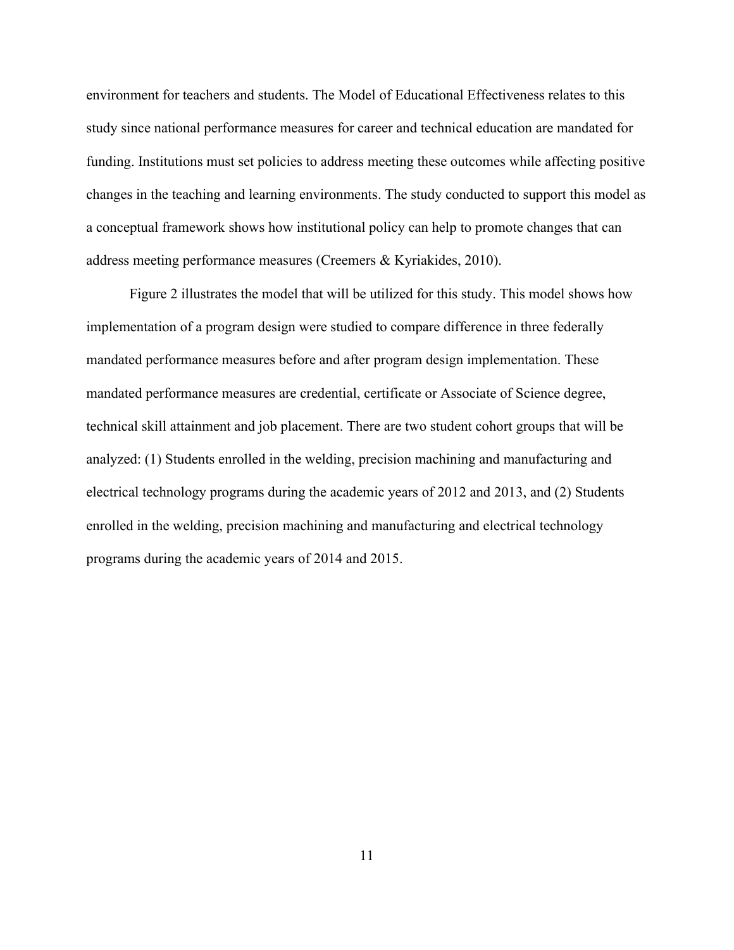environment for teachers and students. The Model of Educational Effectiveness relates to this study since national performance measures for career and technical education are mandated for funding. Institutions must set policies to address meeting these outcomes while affecting positive changes in the teaching and learning environments. The study conducted to support this model as a conceptual framework shows how institutional policy can help to promote changes that can address meeting performance measures (Creemers & Kyriakides, 2010).

Figure 2 illustrates the model that will be utilized for this study. This model shows how implementation of a program design were studied to compare difference in three federally mandated performance measures before and after program design implementation. These mandated performance measures are credential, certificate or Associate of Science degree, technical skill attainment and job placement. There are two student cohort groups that will be analyzed: (1) Students enrolled in the welding, precision machining and manufacturing and electrical technology programs during the academic years of 2012 and 2013, and (2) Students enrolled in the welding, precision machining and manufacturing and electrical technology programs during the academic years of 2014 and 2015.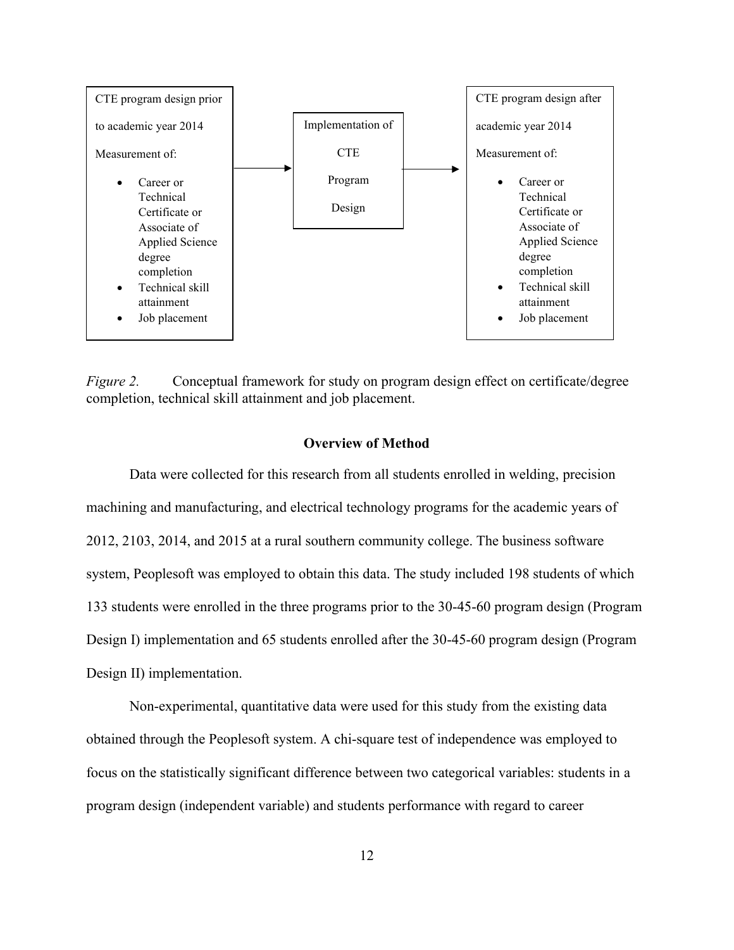

<span id="page-23-1"></span>*Figure 2.* Conceptual framework for study on program design effect on certificate/degree completion, technical skill attainment and job placement.

# **Overview of Method**

<span id="page-23-0"></span>Data were collected for this research from all students enrolled in welding, precision machining and manufacturing, and electrical technology programs for the academic years of 2012, 2103, 2014, and 2015 at a rural southern community college. The business software system, Peoplesoft was employed to obtain this data. The study included 198 students of which 133 students were enrolled in the three programs prior to the 30-45-60 program design (Program Design I) implementation and 65 students enrolled after the 30-45-60 program design (Program Design II) implementation.

Non-experimental, quantitative data were used for this study from the existing data obtained through the Peoplesoft system. A chi-square test of independence was employed to focus on the statistically significant difference between two categorical variables: students in a program design (independent variable) and students performance with regard to career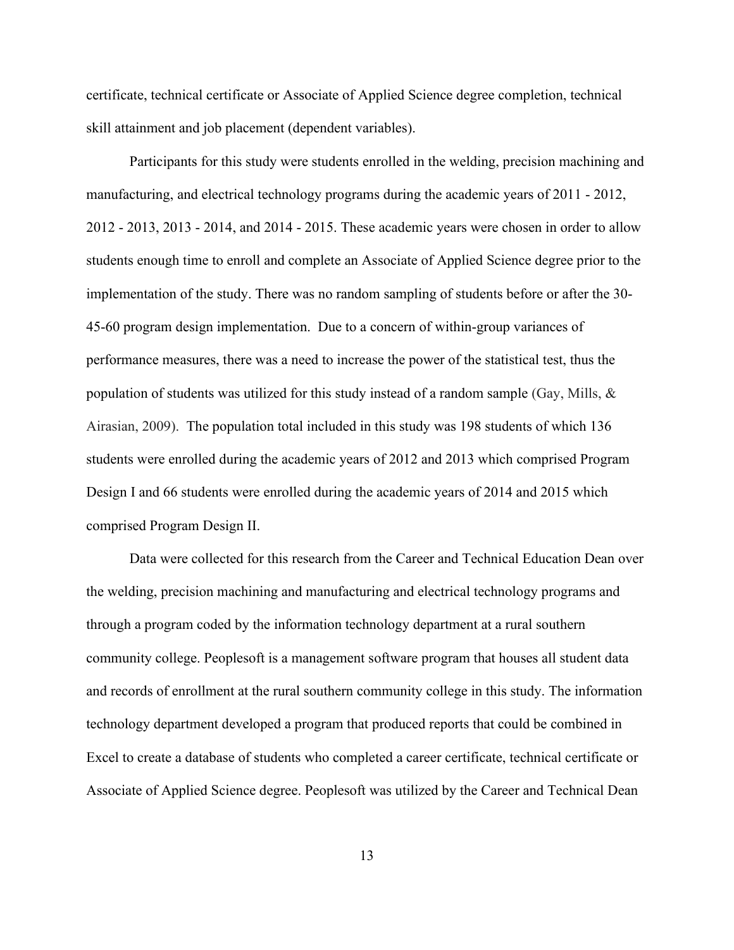certificate, technical certificate or Associate of Applied Science degree completion, technical skill attainment and job placement (dependent variables).

Participants for this study were students enrolled in the welding, precision machining and manufacturing, and electrical technology programs during the academic years of 2011 - 2012, 2012 - 2013, 2013 - 2014, and 2014 - 2015. These academic years were chosen in order to allow students enough time to enroll and complete an Associate of Applied Science degree prior to the implementation of the study. There was no random sampling of students before or after the 30- 45-60 program design implementation. Due to a concern of within-group variances of performance measures, there was a need to increase the power of the statistical test, thus the population of students was utilized for this study instead of a random sample (Gay, Mills,  $\&$ Airasian, 2009). The population total included in this study was 198 students of which 136 students were enrolled during the academic years of 2012 and 2013 which comprised Program Design I and 66 students were enrolled during the academic years of 2014 and 2015 which comprised Program Design II.

Data were collected for this research from the Career and Technical Education Dean over the welding, precision machining and manufacturing and electrical technology programs and through a program coded by the information technology department at a rural southern community college. Peoplesoft is a management software program that houses all student data and records of enrollment at the rural southern community college in this study. The information technology department developed a program that produced reports that could be combined in Excel to create a database of students who completed a career certificate, technical certificate or Associate of Applied Science degree. Peoplesoft was utilized by the Career and Technical Dean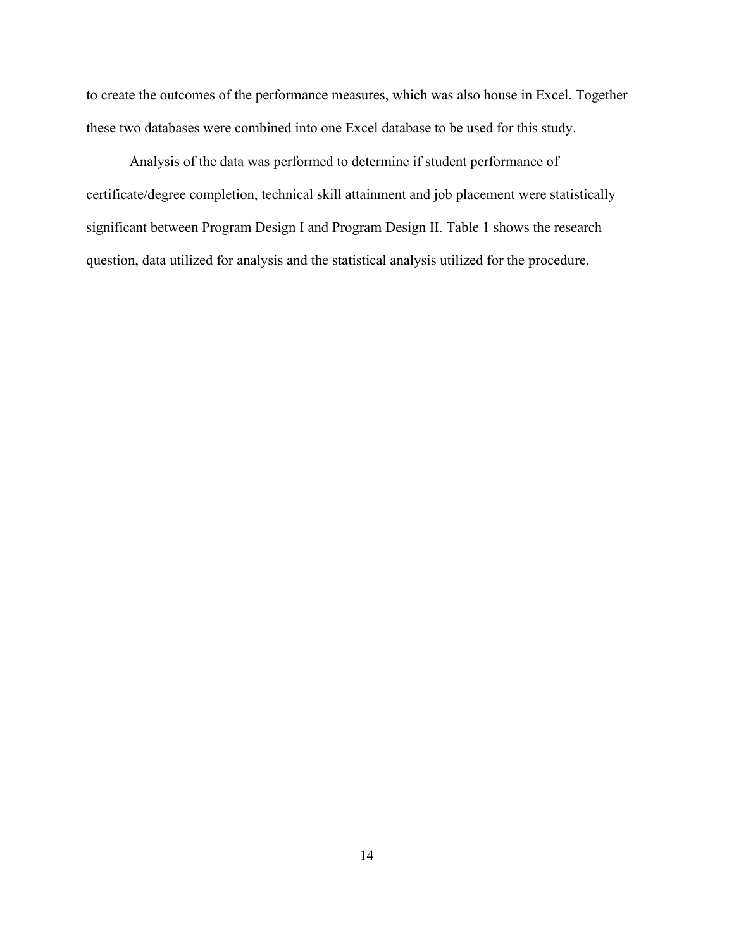to create the outcomes of the performance measures, which was also house in Excel. Together these two databases were combined into one Excel database to be used for this study.

Analysis of the data was performed to determine if student performance of certificate/degree completion, technical skill attainment and job placement were statistically significant between Program Design I and Program Design II. Table 1 shows the research question, data utilized for analysis and the statistical analysis utilized for the procedure.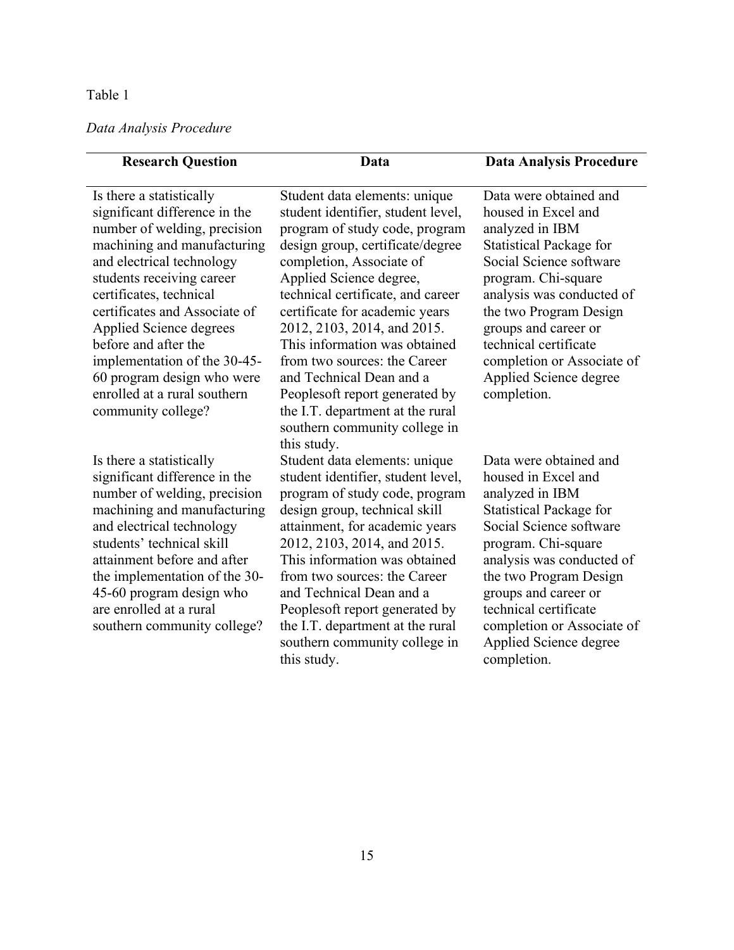# Table 1

# <span id="page-26-0"></span>*Data Analysis Procedure*

| <b>Research Question</b>                                    | Data                                                                | <b>Data Analysis Procedure</b>                    |
|-------------------------------------------------------------|---------------------------------------------------------------------|---------------------------------------------------|
| Is there a statistically                                    | Student data elements: unique                                       | Data were obtained and                            |
| significant difference in the                               | student identifier, student level,                                  | housed in Excel and                               |
| number of welding, precision                                | program of study code, program                                      | analyzed in IBM                                   |
| machining and manufacturing                                 | design group, certificate/degree                                    | <b>Statistical Package for</b>                    |
| and electrical technology                                   | completion, Associate of                                            | Social Science software                           |
| students receiving career                                   | Applied Science degree,                                             | program. Chi-square                               |
| certificates, technical                                     | technical certificate, and career                                   | analysis was conducted of                         |
| certificates and Associate of                               | certificate for academic years                                      | the two Program Design                            |
| Applied Science degrees                                     | 2012, 2103, 2014, and 2015.                                         | groups and career or                              |
| before and after the                                        | This information was obtained                                       | technical certificate                             |
| implementation of the 30-45-                                | from two sources: the Career                                        | completion or Associate of                        |
| 60 program design who were                                  | and Technical Dean and a                                            | Applied Science degree                            |
| enrolled at a rural southern                                | Peoplesoft report generated by                                      | completion.                                       |
| community college?                                          | the I.T. department at the rural                                    |                                                   |
|                                                             | southern community college in                                       |                                                   |
|                                                             | this study.                                                         | Data were obtained and                            |
| Is there a statistically                                    | Student data elements: unique<br>student identifier, student level, | housed in Excel and                               |
| significant difference in the                               |                                                                     |                                                   |
| number of welding, precision<br>machining and manufacturing | program of study code, program<br>design group, technical skill     | analyzed in IBM<br><b>Statistical Package for</b> |
| and electrical technology                                   | attainment, for academic years                                      | Social Science software                           |
| students' technical skill                                   | 2012, 2103, 2014, and 2015.                                         | program. Chi-square                               |
| attainment before and after                                 | This information was obtained                                       | analysis was conducted of                         |
| the implementation of the 30-                               | from two sources: the Career                                        | the two Program Design                            |
| 45-60 program design who                                    | and Technical Dean and a                                            | groups and career or                              |
| are enrolled at a rural                                     | Peoplesoft report generated by                                      | technical certificate                             |
| southern community college?                                 | the I.T. department at the rural                                    | completion or Associate of                        |
|                                                             | southern community college in                                       | Applied Science degree                            |
|                                                             | this study.                                                         | completion.                                       |

 $\overline{\phantom{0}}$ 

15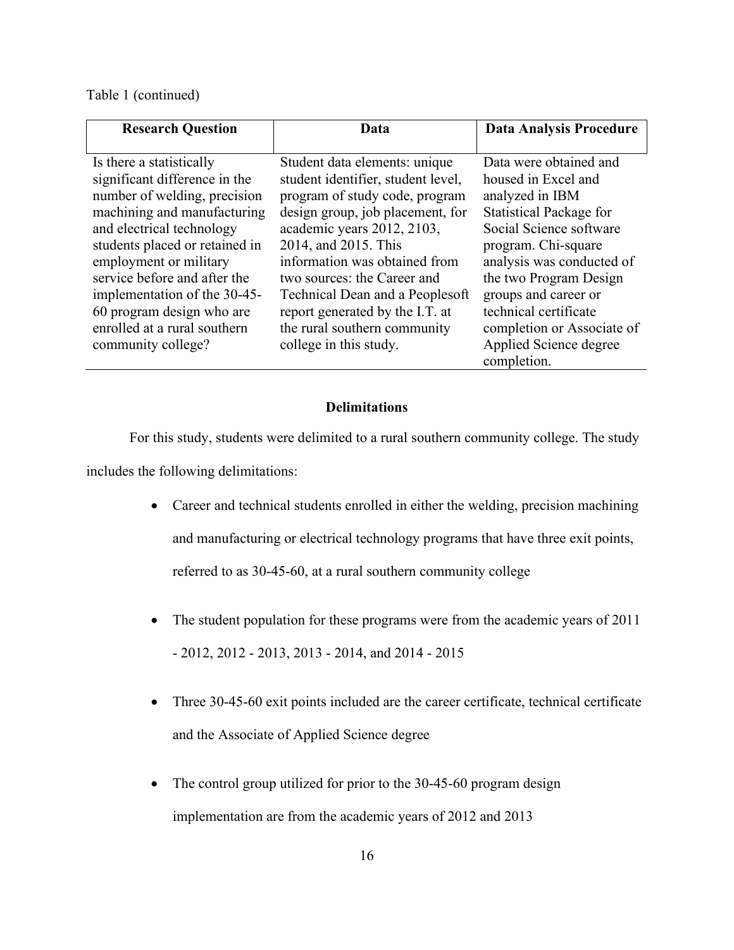# Table 1 (continued)

| <b>Research Question</b>                                                                                                                                                                                                                                                                                                                                             | Data                                                                                                                                                                                                                                                                                                                                                                                            | <b>Data Analysis Procedure</b>                                                                                                                                                                                                                                                                                                      |
|----------------------------------------------------------------------------------------------------------------------------------------------------------------------------------------------------------------------------------------------------------------------------------------------------------------------------------------------------------------------|-------------------------------------------------------------------------------------------------------------------------------------------------------------------------------------------------------------------------------------------------------------------------------------------------------------------------------------------------------------------------------------------------|-------------------------------------------------------------------------------------------------------------------------------------------------------------------------------------------------------------------------------------------------------------------------------------------------------------------------------------|
| Is there a statistically<br>significant difference in the<br>number of welding, precision<br>machining and manufacturing<br>and electrical technology<br>students placed or retained in<br>employment or military<br>service before and after the<br>implementation of the 30-45-<br>60 program design who are<br>enrolled at a rural southern<br>community college? | Student data elements: unique<br>student identifier, student level,<br>program of study code, program<br>design group, job placement, for<br>academic years 2012, 2103,<br>2014, and 2015. This<br>information was obtained from<br>two sources: the Career and<br>Technical Dean and a Peoplesoft<br>report generated by the I.T. at<br>the rural southern community<br>college in this study. | Data were obtained and<br>housed in Excel and<br>analyzed in IBM<br><b>Statistical Package for</b><br>Social Science software<br>program. Chi-square<br>analysis was conducted of<br>the two Program Design<br>groups and career or<br>technical certificate<br>completion or Associate of<br>Applied Science degree<br>completion. |

# **Delimitations**

<span id="page-27-0"></span>For this study, students were delimited to a rural southern community college. The study includes the following delimitations:

- Career and technical students enrolled in either the welding, precision machining and manufacturing or electrical technology programs that have three exit points, referred to as 30-45-60, at a rural southern community college
- The student population for these programs were from the academic years of 2011 - 2012, 2012 - 2013, 2013 - 2014, and 2014 - 2015
- Three 30-45-60 exit points included are the career certificate, technical certificate and the Associate of Applied Science degree
- The control group utilized for prior to the 30-45-60 program design implementation are from the academic years of 2012 and 2013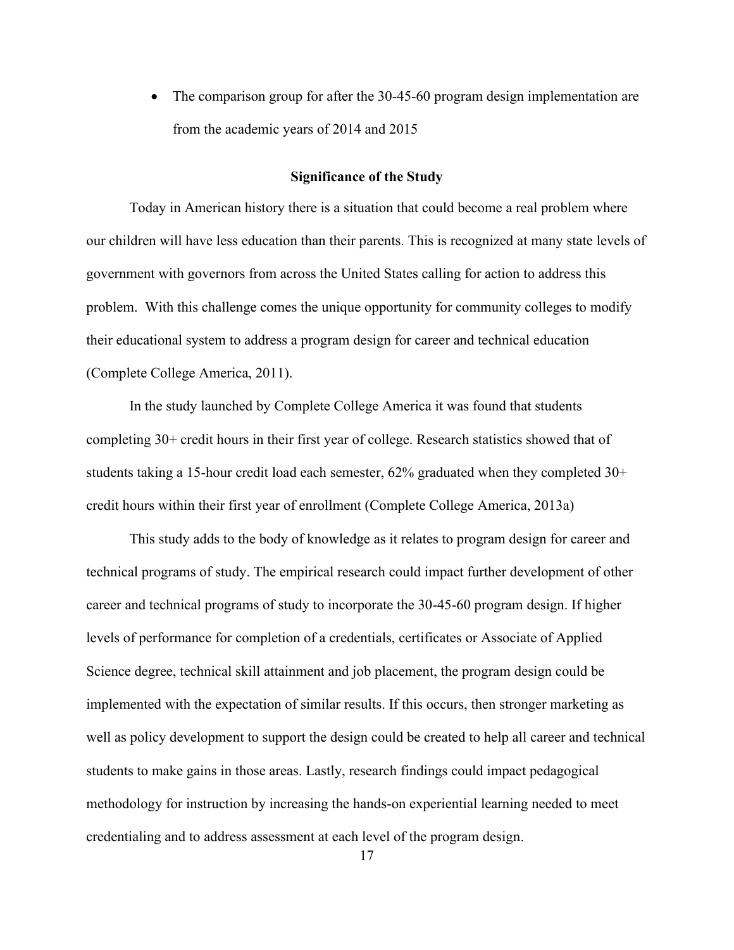• The comparison group for after the 30-45-60 program design implementation are from the academic years of 2014 and 2015

### **Significance of the Study**

<span id="page-28-0"></span>Today in American history there is a situation that could become a real problem where our children will have less education than their parents. This is recognized at many state levels of government with governors from across the United States calling for action to address this problem. With this challenge comes the unique opportunity for community colleges to modify their educational system to address a program design for career and technical education (Complete College America, 2011).

In the study launched by Complete College America it was found that students completing 30+ credit hours in their first year of college. Research statistics showed that of students taking a 15-hour credit load each semester, 62% graduated when they completed 30+ credit hours within their first year of enrollment (Complete College America, 2013a)

This study adds to the body of knowledge as it relates to program design for career and technical programs of study. The empirical research could impact further development of other career and technical programs of study to incorporate the 30-45-60 program design. If higher levels of performance for completion of a credentials, certificates or Associate of Applied Science degree, technical skill attainment and job placement, the program design could be implemented with the expectation of similar results. If this occurs, then stronger marketing as well as policy development to support the design could be created to help all career and technical students to make gains in those areas. Lastly, research findings could impact pedagogical methodology for instruction by increasing the hands-on experiential learning needed to meet credentialing and to address assessment at each level of the program design.

17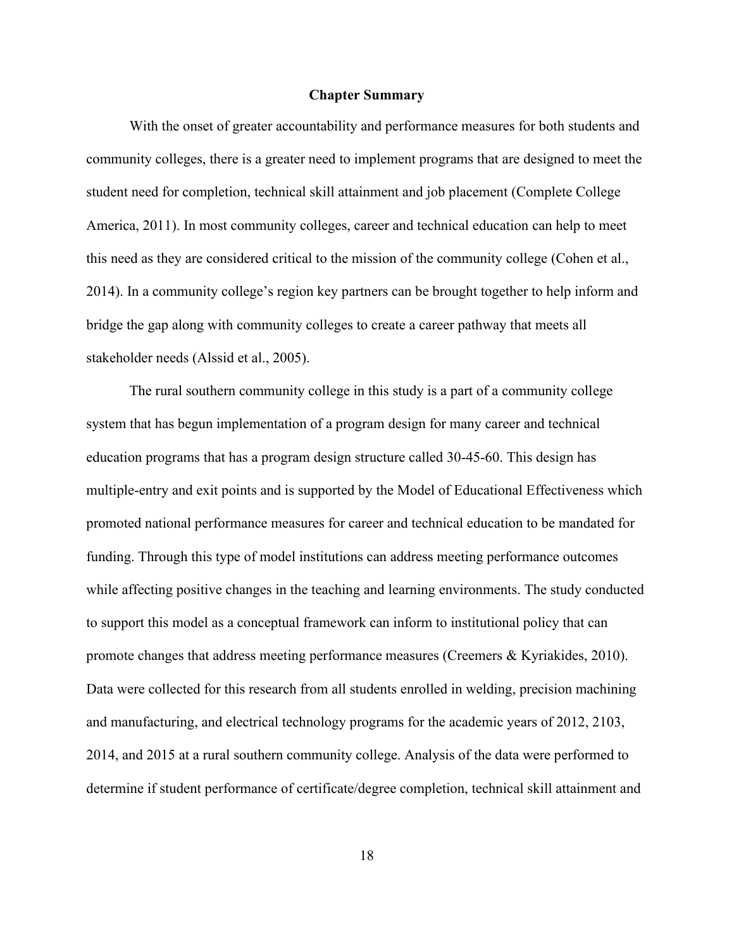## **Chapter Summary**

<span id="page-29-0"></span>With the onset of greater accountability and performance measures for both students and community colleges, there is a greater need to implement programs that are designed to meet the student need for completion, technical skill attainment and job placement (Complete College America, 2011). In most community colleges, career and technical education can help to meet this need as they are considered critical to the mission of the community college (Cohen et al., 2014). In a community college's region key partners can be brought together to help inform and bridge the gap along with community colleges to create a career pathway that meets all stakeholder needs (Alssid et al., 2005).

The rural southern community college in this study is a part of a community college system that has begun implementation of a program design for many career and technical education programs that has a program design structure called 30-45-60. This design has multiple-entry and exit points and is supported by the Model of Educational Effectiveness which promoted national performance measures for career and technical education to be mandated for funding. Through this type of model institutions can address meeting performance outcomes while affecting positive changes in the teaching and learning environments. The study conducted to support this model as a conceptual framework can inform to institutional policy that can promote changes that address meeting performance measures (Creemers & Kyriakides, 2010). Data were collected for this research from all students enrolled in welding, precision machining and manufacturing, and electrical technology programs for the academic years of 2012, 2103, 2014, and 2015 at a rural southern community college. Analysis of the data were performed to determine if student performance of certificate/degree completion, technical skill attainment and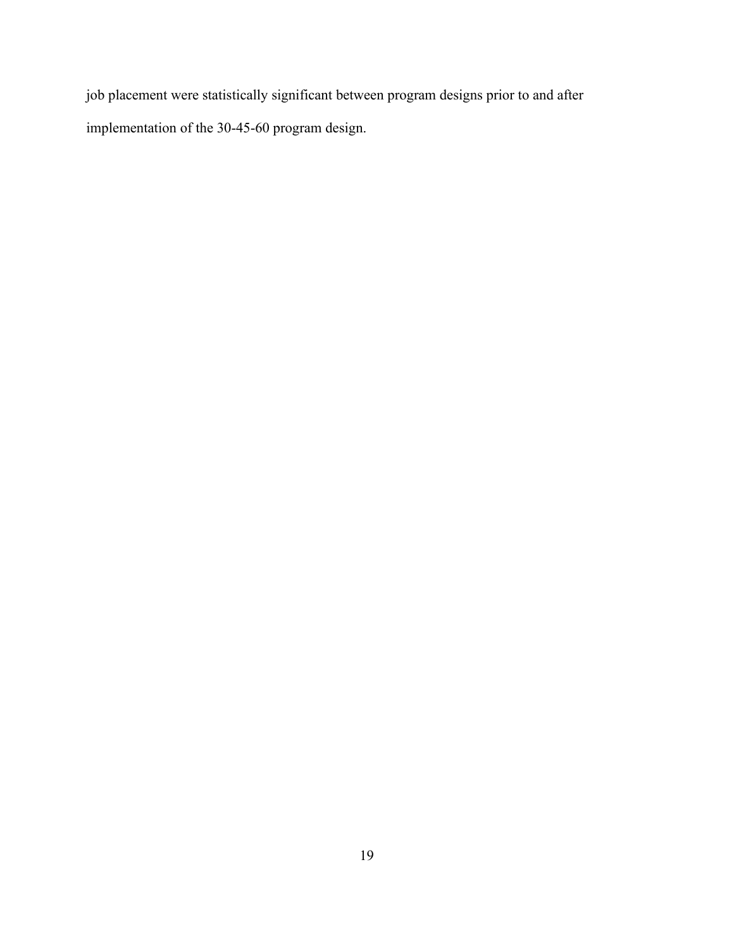job placement were statistically significant between program designs prior to and after implementation of the 30-45-60 program design.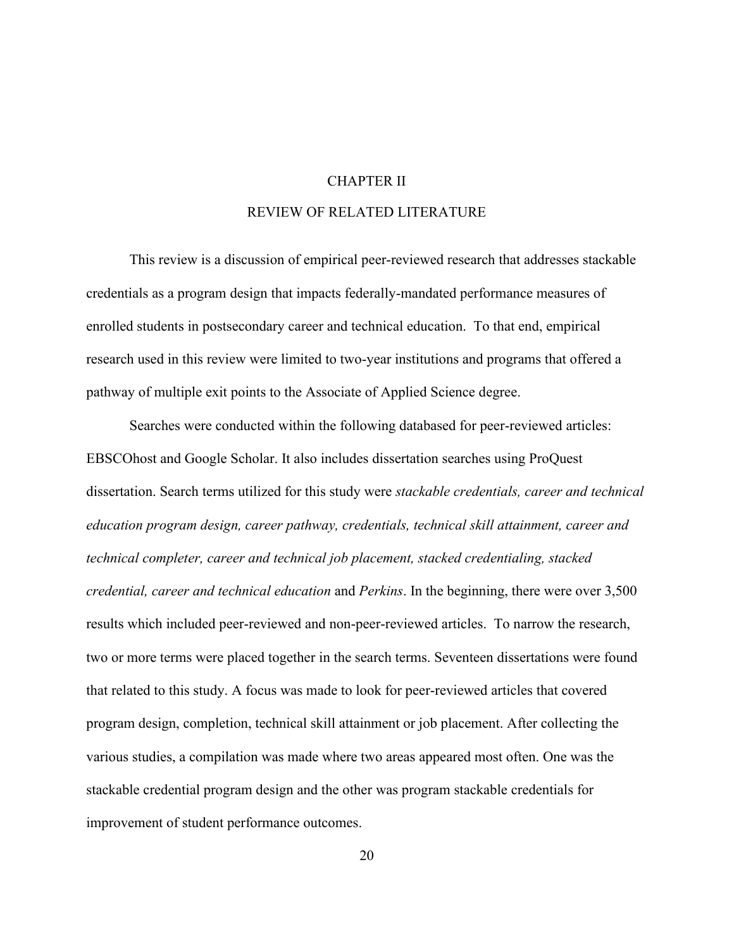### CHAPTER II

# REVIEW OF RELATED LITERATURE

<span id="page-31-0"></span>This review is a discussion of empirical peer-reviewed research that addresses stackable credentials as a program design that impacts federally-mandated performance measures of enrolled students in postsecondary career and technical education. To that end, empirical research used in this review were limited to two-year institutions and programs that offered a pathway of multiple exit points to the Associate of Applied Science degree.

Searches were conducted within the following databased for peer-reviewed articles: EBSCOhost and Google Scholar. It also includes dissertation searches using ProQuest dissertation. Search terms utilized for this study were *stackable credentials, career and technical education program design, career pathway, credentials, technical skill attainment, career and technical completer, career and technical job placement, stacked credentialing, stacked credential, career and technical education* and *Perkins*. In the beginning, there were over 3,500 results which included peer-reviewed and non-peer-reviewed articles. To narrow the research, two or more terms were placed together in the search terms. Seventeen dissertations were found that related to this study. A focus was made to look for peer-reviewed articles that covered program design, completion, technical skill attainment or job placement. After collecting the various studies, a compilation was made where two areas appeared most often. One was the stackable credential program design and the other was program stackable credentials for improvement of student performance outcomes.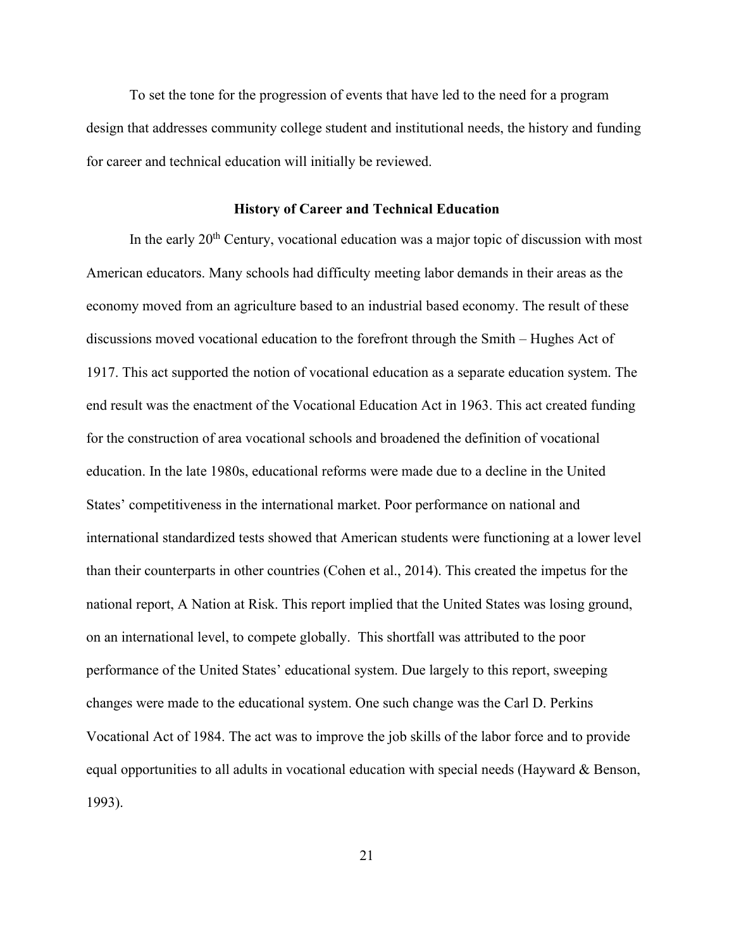To set the tone for the progression of events that have led to the need for a program design that addresses community college student and institutional needs, the history and funding for career and technical education will initially be reviewed.

#### **History of Career and Technical Education**

<span id="page-32-0"></span>In the early 20<sup>th</sup> Century, vocational education was a major topic of discussion with most American educators. Many schools had difficulty meeting labor demands in their areas as the economy moved from an agriculture based to an industrial based economy. The result of these discussions moved vocational education to the forefront through the Smith – Hughes Act of 1917. This act supported the notion of vocational education as a separate education system. The end result was the enactment of the Vocational Education Act in 1963. This act created funding for the construction of area vocational schools and broadened the definition of vocational education. In the late 1980s, educational reforms were made due to a decline in the United States' competitiveness in the international market. Poor performance on national and international standardized tests showed that American students were functioning at a lower level than their counterparts in other countries (Cohen et al., 2014). This created the impetus for the national report, A Nation at Risk. This report implied that the United States was losing ground, on an international level, to compete globally. This shortfall was attributed to the poor performance of the United States' educational system. Due largely to this report, sweeping changes were made to the educational system. One such change was the Carl D. Perkins Vocational Act of 1984. The act was to improve the job skills of the labor force and to provide equal opportunities to all adults in vocational education with special needs (Hayward & Benson, 1993).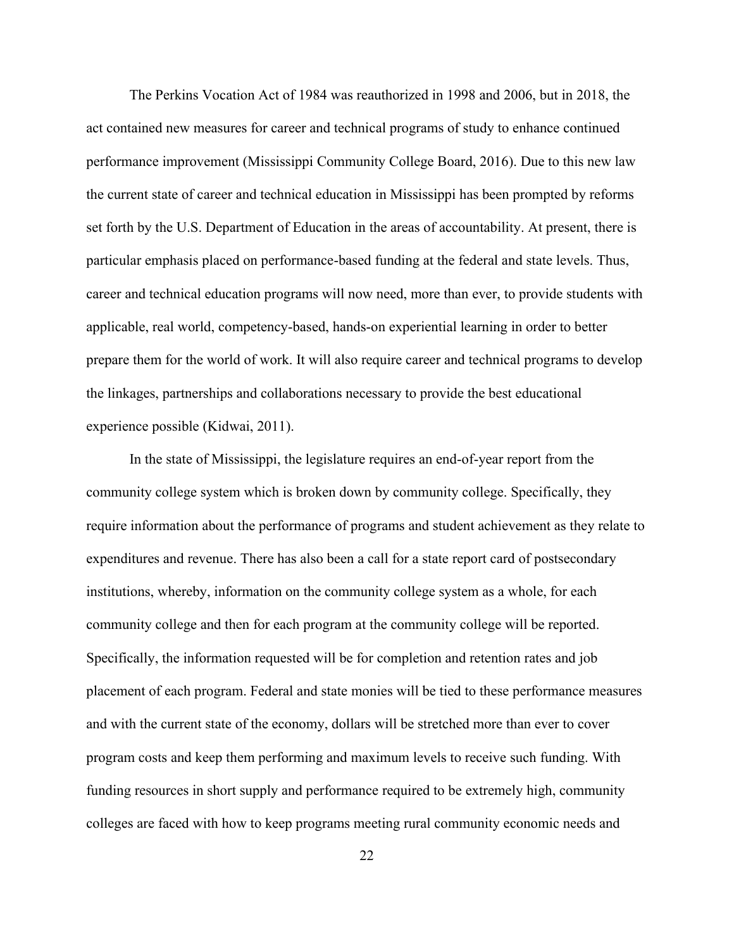The Perkins Vocation Act of 1984 was reauthorized in 1998 and 2006, but in 2018, the act contained new measures for career and technical programs of study to enhance continued performance improvement (Mississippi Community College Board, 2016). Due to this new law the current state of career and technical education in Mississippi has been prompted by reforms set forth by the U.S. Department of Education in the areas of accountability. At present, there is particular emphasis placed on performance-based funding at the federal and state levels. Thus, career and technical education programs will now need, more than ever, to provide students with applicable, real world, competency-based, hands-on experiential learning in order to better prepare them for the world of work. It will also require career and technical programs to develop the linkages, partnerships and collaborations necessary to provide the best educational experience possible (Kidwai, 2011).

In the state of Mississippi, the legislature requires an end-of-year report from the community college system which is broken down by community college. Specifically, they require information about the performance of programs and student achievement as they relate to expenditures and revenue. There has also been a call for a state report card of postsecondary institutions, whereby, information on the community college system as a whole, for each community college and then for each program at the community college will be reported. Specifically, the information requested will be for completion and retention rates and job placement of each program. Federal and state monies will be tied to these performance measures and with the current state of the economy, dollars will be stretched more than ever to cover program costs and keep them performing and maximum levels to receive such funding. With funding resources in short supply and performance required to be extremely high, community colleges are faced with how to keep programs meeting rural community economic needs and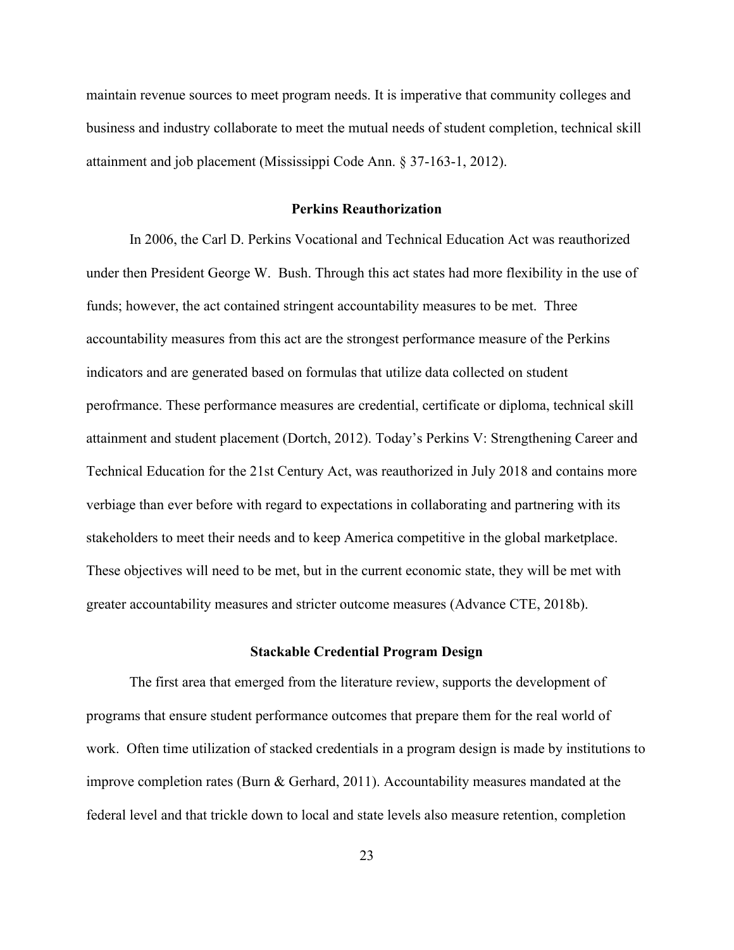maintain revenue sources to meet program needs. It is imperative that community colleges and business and industry collaborate to meet the mutual needs of student completion, technical skill attainment and job placement (Mississippi Code Ann. § 37-163-1, 2012).

#### **Perkins Reauthorization**

<span id="page-34-0"></span>In 2006, the Carl D. Perkins Vocational and Technical Education Act was reauthorized under then President George W. Bush. Through this act states had more flexibility in the use of funds; however, the act contained stringent accountability measures to be met. Three accountability measures from this act are the strongest performance measure of the Perkins indicators and are generated based on formulas that utilize data collected on student perofrmance. These performance measures are credential, certificate or diploma, technical skill attainment and student placement (Dortch, 2012). Today's Perkins V: Strengthening Career and Technical Education for the 21st Century Act, was reauthorized in July 2018 and contains more verbiage than ever before with regard to expectations in collaborating and partnering with its stakeholders to meet their needs and to keep America competitive in the global marketplace. These objectives will need to be met, but in the current economic state, they will be met with greater accountability measures and stricter outcome measures (Advance CTE, 2018b).

#### **Stackable Credential Program Design**

<span id="page-34-1"></span>The first area that emerged from the literature review, supports the development of programs that ensure student performance outcomes that prepare them for the real world of work. Often time utilization of stacked credentials in a program design is made by institutions to improve completion rates (Burn & Gerhard, 2011). Accountability measures mandated at the federal level and that trickle down to local and state levels also measure retention, completion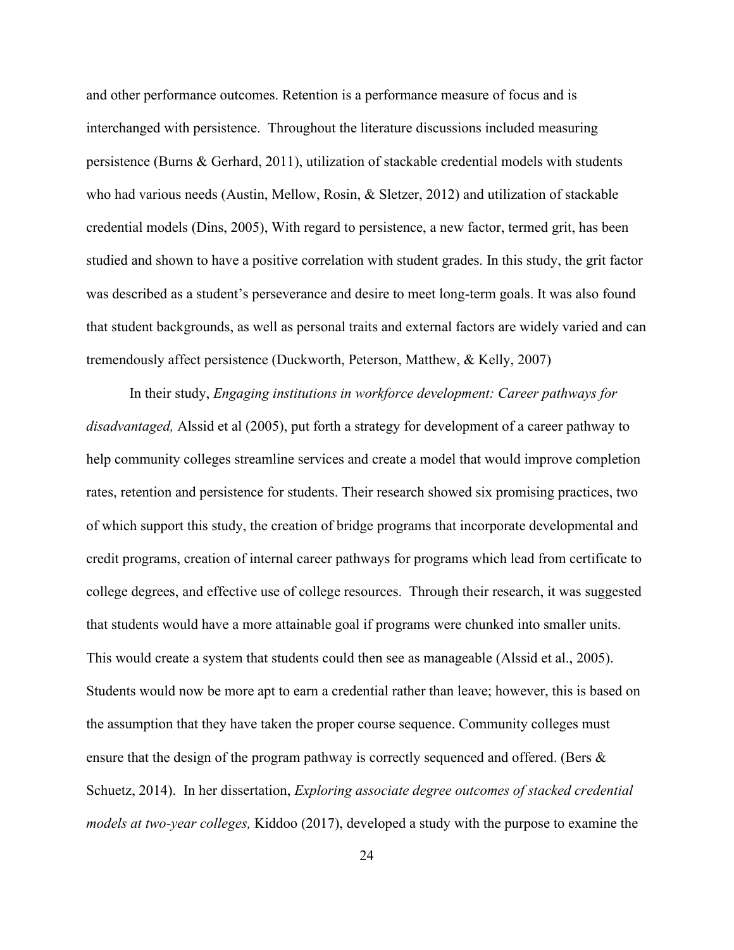and other performance outcomes. Retention is a performance measure of focus and is interchanged with persistence. Throughout the literature discussions included measuring persistence (Burns & Gerhard, 2011), utilization of stackable credential models with students who had various needs (Austin, Mellow, Rosin, & Sletzer, 2012) and utilization of stackable credential models (Dins, 2005), With regard to persistence, a new factor, termed grit, has been studied and shown to have a positive correlation with student grades. In this study, the grit factor was described as a student's perseverance and desire to meet long-term goals. It was also found that student backgrounds, as well as personal traits and external factors are widely varied and can tremendously affect persistence (Duckworth, Peterson, Matthew, & Kelly, 2007)

In their study, *Engaging institutions in workforce development: Career pathways for disadvantaged,* Alssid et al (2005), put forth a strategy for development of a career pathway to help community colleges streamline services and create a model that would improve completion rates, retention and persistence for students. Their research showed six promising practices, two of which support this study, the creation of bridge programs that incorporate developmental and credit programs, creation of internal career pathways for programs which lead from certificate to college degrees, and effective use of college resources. Through their research, it was suggested that students would have a more attainable goal if programs were chunked into smaller units. This would create a system that students could then see as manageable (Alssid et al., 2005). Students would now be more apt to earn a credential rather than leave; however, this is based on the assumption that they have taken the proper course sequence. Community colleges must ensure that the design of the program pathway is correctly sequenced and offered. (Bers  $\&$ Schuetz, 2014). In her dissertation, *Exploring associate degree outcomes of stacked credential models at two-year colleges,* Kiddoo (2017), developed a study with the purpose to examine the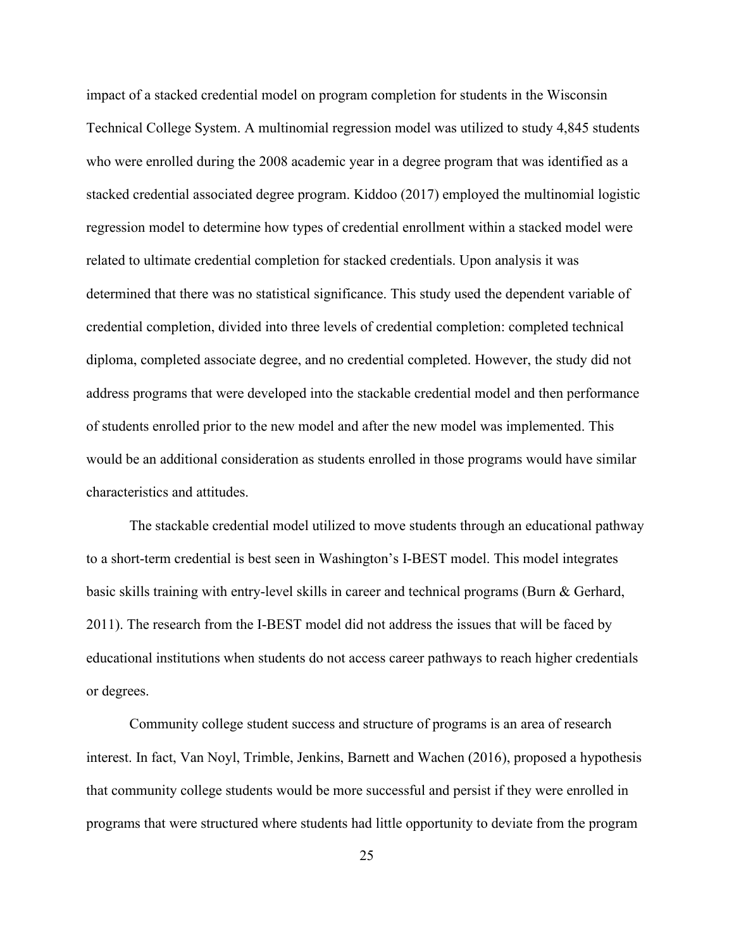impact of a stacked credential model on program completion for students in the Wisconsin Technical College System. A multinomial regression model was utilized to study 4,845 students who were enrolled during the 2008 academic year in a degree program that was identified as a stacked credential associated degree program. Kiddoo (2017) employed the multinomial logistic regression model to determine how types of credential enrollment within a stacked model were related to ultimate credential completion for stacked credentials. Upon analysis it was determined that there was no statistical significance. This study used the dependent variable of credential completion, divided into three levels of credential completion: completed technical diploma, completed associate degree, and no credential completed. However, the study did not address programs that were developed into the stackable credential model and then performance of students enrolled prior to the new model and after the new model was implemented. This would be an additional consideration as students enrolled in those programs would have similar characteristics and attitudes.

The stackable credential model utilized to move students through an educational pathway to a short-term credential is best seen in Washington's I-BEST model. This model integrates basic skills training with entry-level skills in career and technical programs (Burn & Gerhard, 2011). The research from the I-BEST model did not address the issues that will be faced by educational institutions when students do not access career pathways to reach higher credentials or degrees.

Community college student success and structure of programs is an area of research interest. In fact, Van Noyl, Trimble, Jenkins, Barnett and Wachen (2016), proposed a hypothesis that community college students would be more successful and persist if they were enrolled in programs that were structured where students had little opportunity to deviate from the program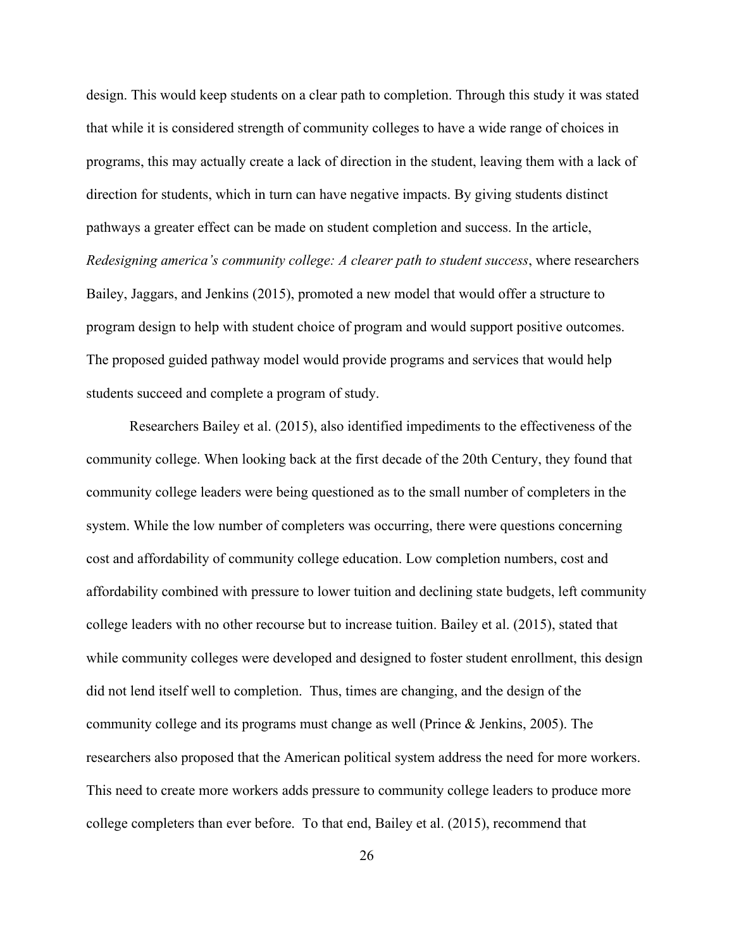design. This would keep students on a clear path to completion. Through this study it was stated that while it is considered strength of community colleges to have a wide range of choices in programs, this may actually create a lack of direction in the student, leaving them with a lack of direction for students, which in turn can have negative impacts. By giving students distinct pathways a greater effect can be made on student completion and success. In the article, *Redesigning america's community college: A clearer path to student success*, where researchers Bailey, Jaggars, and Jenkins (2015), promoted a new model that would offer a structure to program design to help with student choice of program and would support positive outcomes. The proposed guided pathway model would provide programs and services that would help students succeed and complete a program of study.

Researchers Bailey et al. (2015), also identified impediments to the effectiveness of the community college. When looking back at the first decade of the 20th Century, they found that community college leaders were being questioned as to the small number of completers in the system. While the low number of completers was occurring, there were questions concerning cost and affordability of community college education. Low completion numbers, cost and affordability combined with pressure to lower tuition and declining state budgets, left community college leaders with no other recourse but to increase tuition. Bailey et al. (2015), stated that while community colleges were developed and designed to foster student enrollment, this design did not lend itself well to completion. Thus, times are changing, and the design of the community college and its programs must change as well (Prince & Jenkins, 2005). The researchers also proposed that the American political system address the need for more workers. This need to create more workers adds pressure to community college leaders to produce more college completers than ever before. To that end, Bailey et al. (2015), recommend that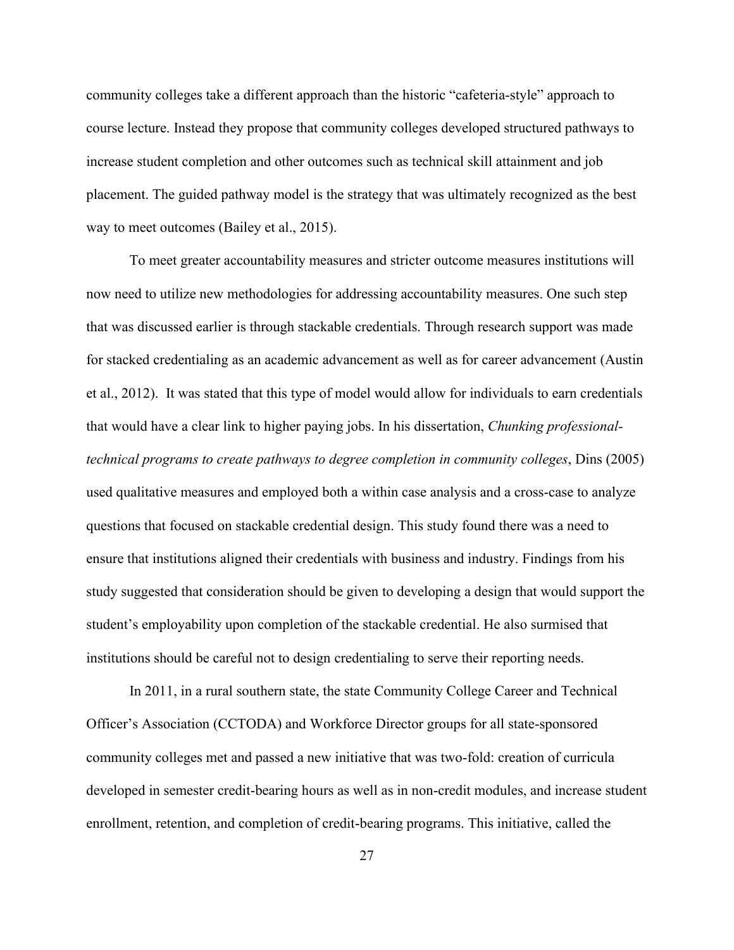community colleges take a different approach than the historic "cafeteria-style" approach to course lecture. Instead they propose that community colleges developed structured pathways to increase student completion and other outcomes such as technical skill attainment and job placement. The guided pathway model is the strategy that was ultimately recognized as the best way to meet outcomes (Bailey et al., 2015).

To meet greater accountability measures and stricter outcome measures institutions will now need to utilize new methodologies for addressing accountability measures. One such step that was discussed earlier is through stackable credentials. Through research support was made for stacked credentialing as an academic advancement as well as for career advancement (Austin et al., 2012). It was stated that this type of model would allow for individuals to earn credentials that would have a clear link to higher paying jobs. In his dissertation, *Chunking professionaltechnical programs to create pathways to degree completion in community colleges*, Dins (2005) used qualitative measures and employed both a within case analysis and a cross-case to analyze questions that focused on stackable credential design. This study found there was a need to ensure that institutions aligned their credentials with business and industry. Findings from his study suggested that consideration should be given to developing a design that would support the student's employability upon completion of the stackable credential. He also surmised that institutions should be careful not to design credentialing to serve their reporting needs.

In 2011, in a rural southern state, the state Community College Career and Technical Officer's Association (CCTODA) and Workforce Director groups for all state-sponsored community colleges met and passed a new initiative that was two-fold: creation of curricula developed in semester credit-bearing hours as well as in non-credit modules, and increase student enrollment, retention, and completion of credit-bearing programs. This initiative, called the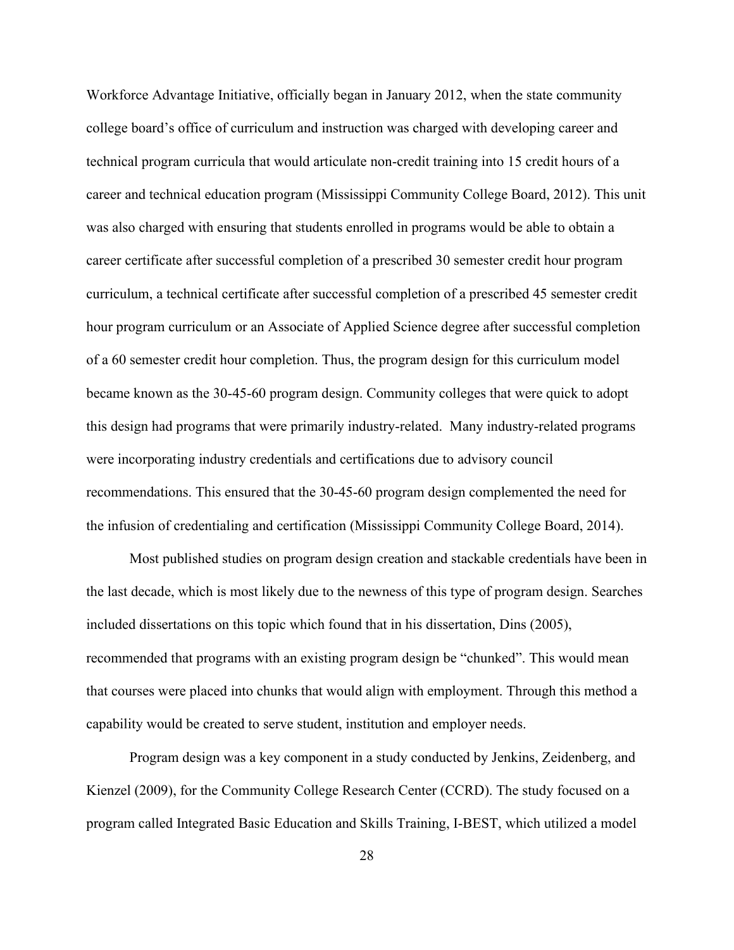Workforce Advantage Initiative, officially began in January 2012, when the state community college board's office of curriculum and instruction was charged with developing career and technical program curricula that would articulate non-credit training into 15 credit hours of a career and technical education program (Mississippi Community College Board, 2012). This unit was also charged with ensuring that students enrolled in programs would be able to obtain a career certificate after successful completion of a prescribed 30 semester credit hour program curriculum, a technical certificate after successful completion of a prescribed 45 semester credit hour program curriculum or an Associate of Applied Science degree after successful completion of a 60 semester credit hour completion. Thus, the program design for this curriculum model became known as the 30-45-60 program design. Community colleges that were quick to adopt this design had programs that were primarily industry-related. Many industry-related programs were incorporating industry credentials and certifications due to advisory council recommendations. This ensured that the 30-45-60 program design complemented the need for the infusion of credentialing and certification (Mississippi Community College Board, 2014).

Most published studies on program design creation and stackable credentials have been in the last decade, which is most likely due to the newness of this type of program design. Searches included dissertations on this topic which found that in his dissertation, Dins (2005), recommended that programs with an existing program design be "chunked". This would mean that courses were placed into chunks that would align with employment. Through this method a capability would be created to serve student, institution and employer needs.

Program design was a key component in a study conducted by Jenkins, Zeidenberg, and Kienzel (2009), for the Community College Research Center (CCRD). The study focused on a program called Integrated Basic Education and Skills Training, I-BEST, which utilized a model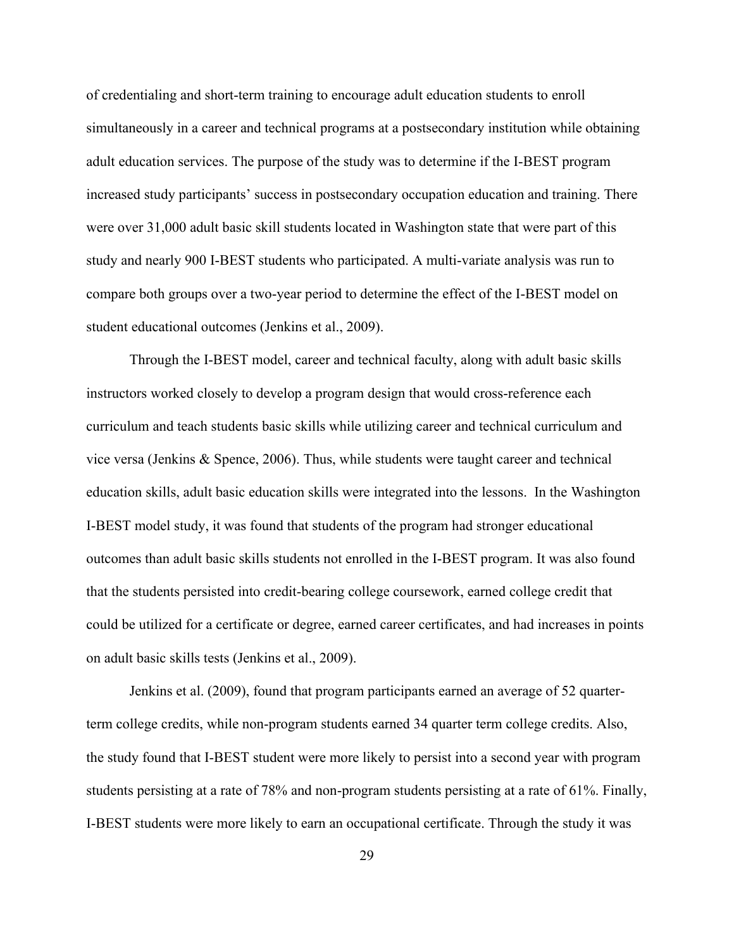of credentialing and short-term training to encourage adult education students to enroll simultaneously in a career and technical programs at a postsecondary institution while obtaining adult education services. The purpose of the study was to determine if the I-BEST program increased study participants' success in postsecondary occupation education and training. There were over 31,000 adult basic skill students located in Washington state that were part of this study and nearly 900 I-BEST students who participated. A multi-variate analysis was run to compare both groups over a two-year period to determine the effect of the I-BEST model on student educational outcomes (Jenkins et al., 2009).

Through the I-BEST model, career and technical faculty, along with adult basic skills instructors worked closely to develop a program design that would cross-reference each curriculum and teach students basic skills while utilizing career and technical curriculum and vice versa (Jenkins & Spence, 2006). Thus, while students were taught career and technical education skills, adult basic education skills were integrated into the lessons. In the Washington I-BEST model study, it was found that students of the program had stronger educational outcomes than adult basic skills students not enrolled in the I-BEST program. It was also found that the students persisted into credit-bearing college coursework, earned college credit that could be utilized for a certificate or degree, earned career certificates, and had increases in points on adult basic skills tests (Jenkins et al., 2009).

Jenkins et al. (2009), found that program participants earned an average of 52 quarterterm college credits, while non-program students earned 34 quarter term college credits. Also, the study found that I-BEST student were more likely to persist into a second year with program students persisting at a rate of 78% and non-program students persisting at a rate of 61%. Finally, I-BEST students were more likely to earn an occupational certificate. Through the study it was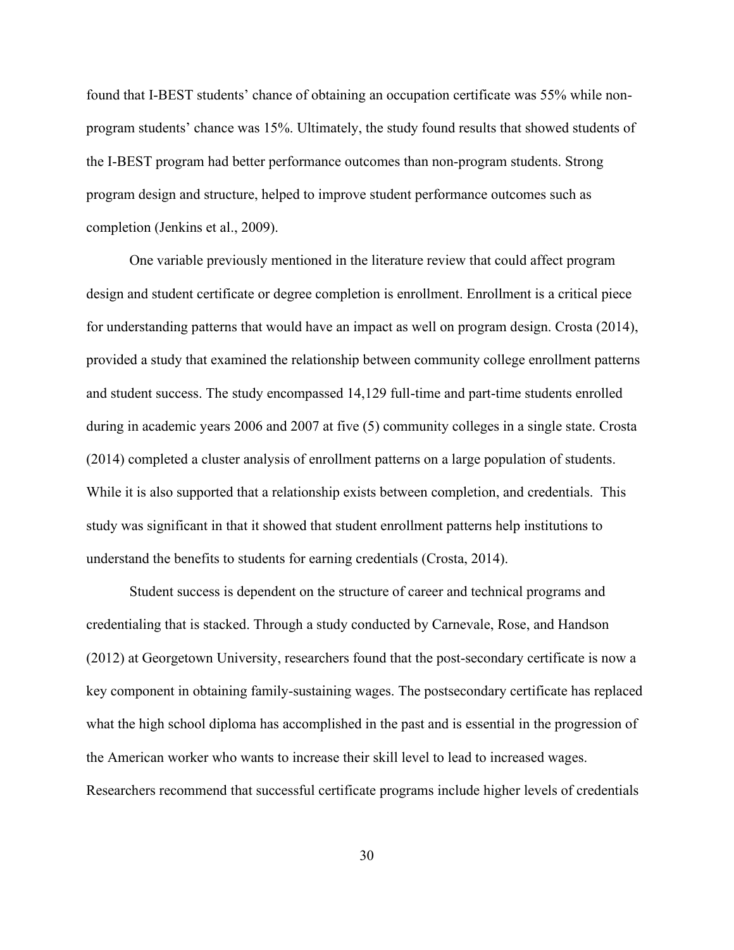found that I-BEST students' chance of obtaining an occupation certificate was 55% while nonprogram students' chance was 15%. Ultimately, the study found results that showed students of the I-BEST program had better performance outcomes than non-program students. Strong program design and structure, helped to improve student performance outcomes such as completion (Jenkins et al., 2009).

One variable previously mentioned in the literature review that could affect program design and student certificate or degree completion is enrollment. Enrollment is a critical piece for understanding patterns that would have an impact as well on program design. Crosta (2014), provided a study that examined the relationship between community college enrollment patterns and student success. The study encompassed 14,129 full-time and part-time students enrolled during in academic years 2006 and 2007 at five (5) community colleges in a single state. Crosta (2014) completed a cluster analysis of enrollment patterns on a large population of students. While it is also supported that a relationship exists between completion, and credentials. This study was significant in that it showed that student enrollment patterns help institutions to understand the benefits to students for earning credentials (Crosta, 2014).

Student success is dependent on the structure of career and technical programs and credentialing that is stacked. Through a study conducted by Carnevale, Rose, and Handson (2012) at Georgetown University, researchers found that the post-secondary certificate is now a key component in obtaining family-sustaining wages. The postsecondary certificate has replaced what the high school diploma has accomplished in the past and is essential in the progression of the American worker who wants to increase their skill level to lead to increased wages. Researchers recommend that successful certificate programs include higher levels of credentials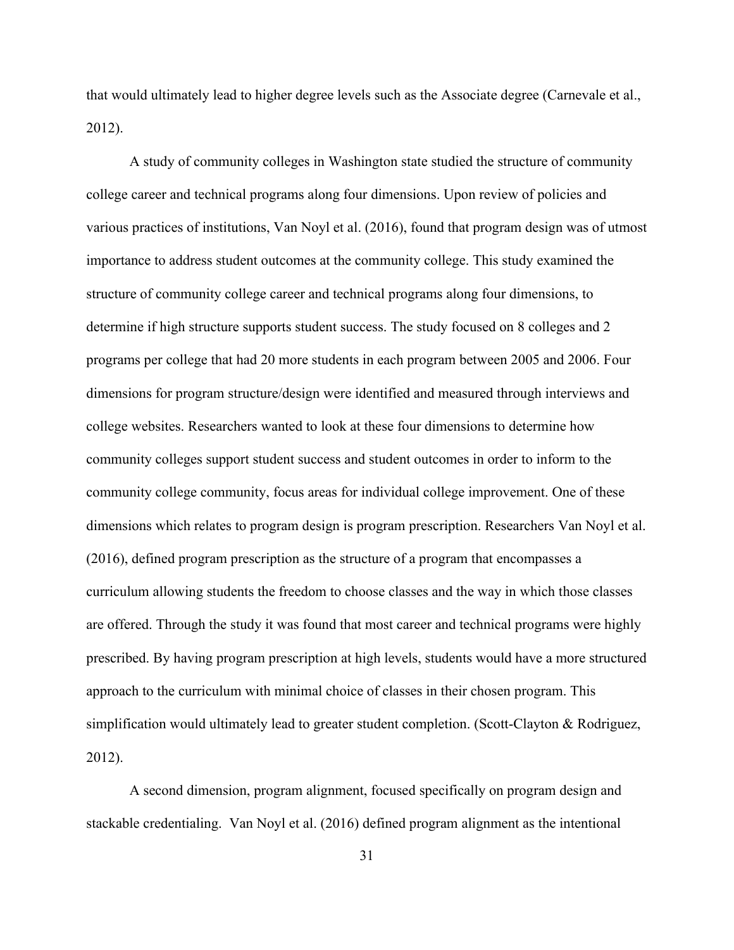that would ultimately lead to higher degree levels such as the Associate degree (Carnevale et al., 2012).

A study of community colleges in Washington state studied the structure of community college career and technical programs along four dimensions. Upon review of policies and various practices of institutions, Van Noyl et al. (2016), found that program design was of utmost importance to address student outcomes at the community college. This study examined the structure of community college career and technical programs along four dimensions, to determine if high structure supports student success. The study focused on 8 colleges and 2 programs per college that had 20 more students in each program between 2005 and 2006. Four dimensions for program structure/design were identified and measured through interviews and college websites. Researchers wanted to look at these four dimensions to determine how community colleges support student success and student outcomes in order to inform to the community college community, focus areas for individual college improvement. One of these dimensions which relates to program design is program prescription. Researchers Van Noyl et al. (2016), defined program prescription as the structure of a program that encompasses a curriculum allowing students the freedom to choose classes and the way in which those classes are offered. Through the study it was found that most career and technical programs were highly prescribed. By having program prescription at high levels, students would have a more structured approach to the curriculum with minimal choice of classes in their chosen program. This simplification would ultimately lead to greater student completion. (Scott-Clayton & Rodriguez, 2012).

A second dimension, program alignment, focused specifically on program design and stackable credentialing. Van Noyl et al. (2016) defined program alignment as the intentional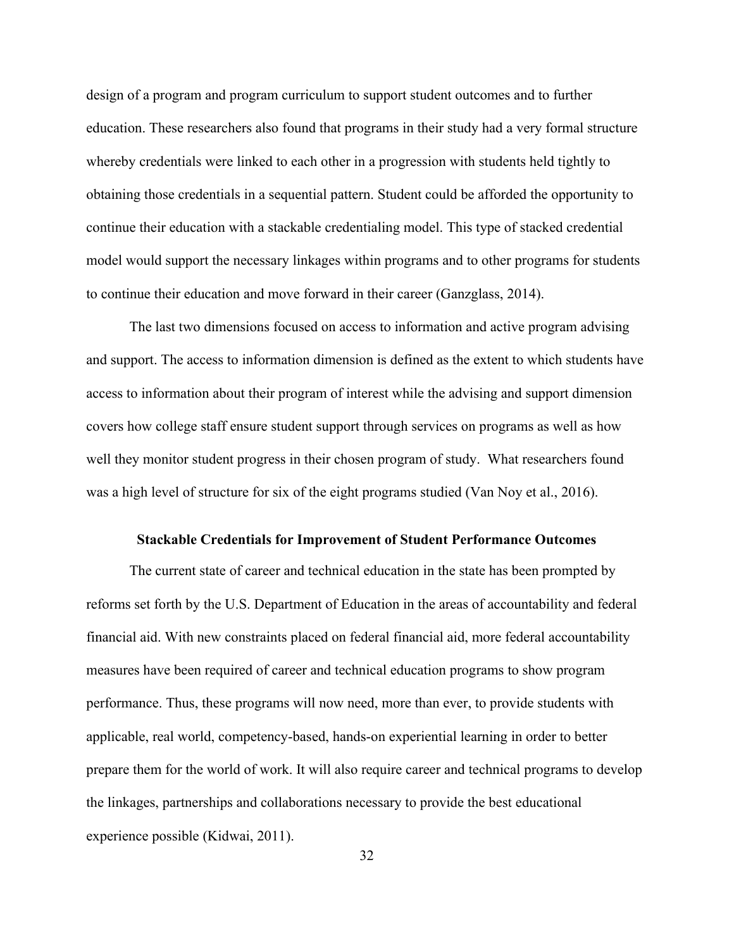design of a program and program curriculum to support student outcomes and to further education. These researchers also found that programs in their study had a very formal structure whereby credentials were linked to each other in a progression with students held tightly to obtaining those credentials in a sequential pattern. Student could be afforded the opportunity to continue their education with a stackable credentialing model. This type of stacked credential model would support the necessary linkages within programs and to other programs for students to continue their education and move forward in their career (Ganzglass, 2014).

The last two dimensions focused on access to information and active program advising and support. The access to information dimension is defined as the extent to which students have access to information about their program of interest while the advising and support dimension covers how college staff ensure student support through services on programs as well as how well they monitor student progress in their chosen program of study. What researchers found was a high level of structure for six of the eight programs studied (Van Noy et al., 2016).

#### **Stackable Credentials for Improvement of Student Performance Outcomes**

The current state of career and technical education in the state has been prompted by reforms set forth by the U.S. Department of Education in the areas of accountability and federal financial aid. With new constraints placed on federal financial aid, more federal accountability measures have been required of career and technical education programs to show program performance. Thus, these programs will now need, more than ever, to provide students with applicable, real world, competency-based, hands-on experiential learning in order to better prepare them for the world of work. It will also require career and technical programs to develop the linkages, partnerships and collaborations necessary to provide the best educational experience possible (Kidwai, 2011).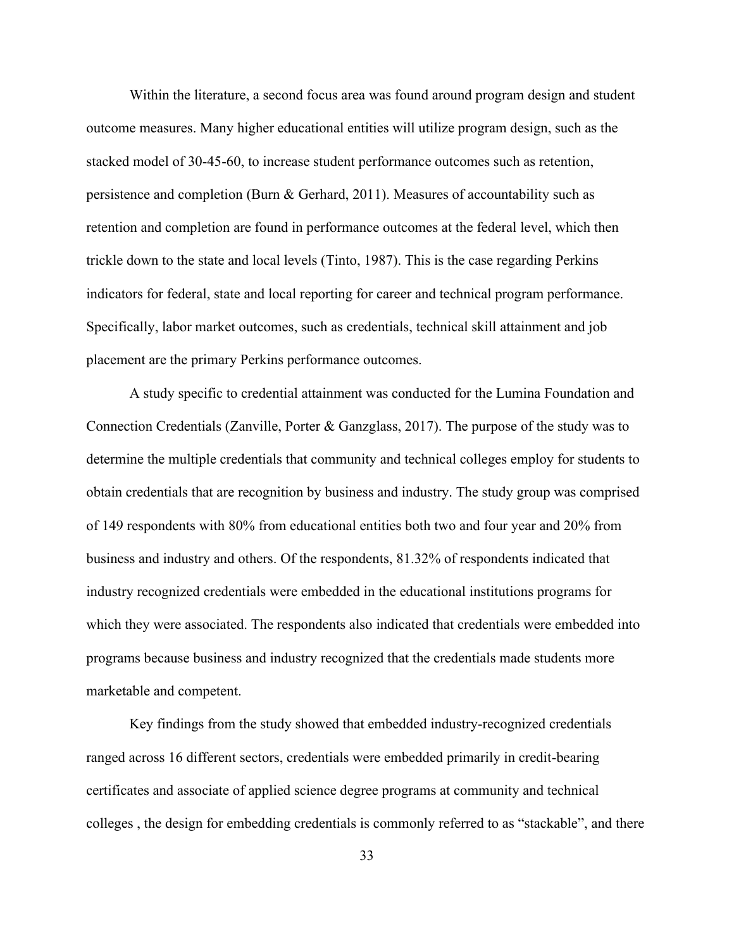Within the literature, a second focus area was found around program design and student outcome measures. Many higher educational entities will utilize program design, such as the stacked model of 30-45-60, to increase student performance outcomes such as retention, persistence and completion (Burn & Gerhard, 2011). Measures of accountability such as retention and completion are found in performance outcomes at the federal level, which then trickle down to the state and local levels (Tinto, 1987). This is the case regarding Perkins indicators for federal, state and local reporting for career and technical program performance. Specifically, labor market outcomes, such as credentials, technical skill attainment and job placement are the primary Perkins performance outcomes.

A study specific to credential attainment was conducted for the Lumina Foundation and Connection Credentials (Zanville, Porter & Ganzglass, 2017). The purpose of the study was to determine the multiple credentials that community and technical colleges employ for students to obtain credentials that are recognition by business and industry. The study group was comprised of 149 respondents with 80% from educational entities both two and four year and 20% from business and industry and others. Of the respondents, 81.32% of respondents indicated that industry recognized credentials were embedded in the educational institutions programs for which they were associated. The respondents also indicated that credentials were embedded into programs because business and industry recognized that the credentials made students more marketable and competent.

Key findings from the study showed that embedded industry-recognized credentials ranged across 16 different sectors, credentials were embedded primarily in credit-bearing certificates and associate of applied science degree programs at community and technical colleges , the design for embedding credentials is commonly referred to as "stackable", and there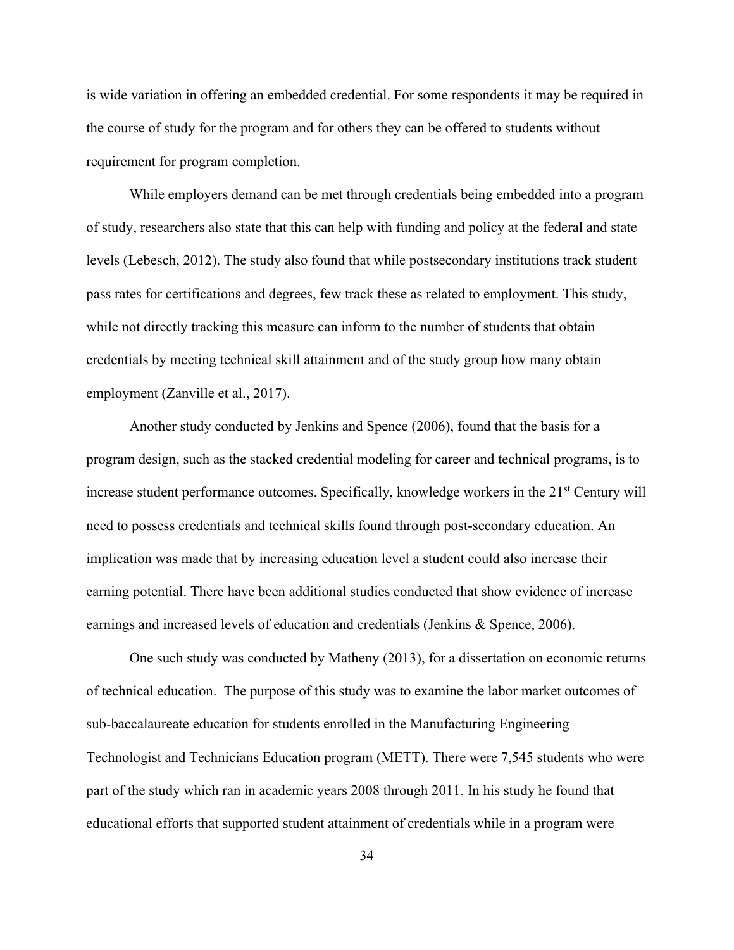is wide variation in offering an embedded credential. For some respondents it may be required in the course of study for the program and for others they can be offered to students without requirement for program completion.

While employers demand can be met through credentials being embedded into a program of study, researchers also state that this can help with funding and policy at the federal and state levels (Lebesch, 2012). The study also found that while postsecondary institutions track student pass rates for certifications and degrees, few track these as related to employment. This study, while not directly tracking this measure can inform to the number of students that obtain credentials by meeting technical skill attainment and of the study group how many obtain employment (Zanville et al., 2017).

Another study conducted by Jenkins and Spence (2006), found that the basis for a program design, such as the stacked credential modeling for career and technical programs, is to increase student performance outcomes. Specifically, knowledge workers in the 21<sup>st</sup> Century will need to possess credentials and technical skills found through post-secondary education. An implication was made that by increasing education level a student could also increase their earning potential. There have been additional studies conducted that show evidence of increase earnings and increased levels of education and credentials (Jenkins & Spence, 2006).

One such study was conducted by Matheny (2013), for a dissertation on economic returns of technical education. The purpose of this study was to examine the labor market outcomes of sub-baccalaureate education for students enrolled in the Manufacturing Engineering Technologist and Technicians Education program (METT). There were 7,545 students who were part of the study which ran in academic years 2008 through 2011. In his study he found that educational efforts that supported student attainment of credentials while in a program were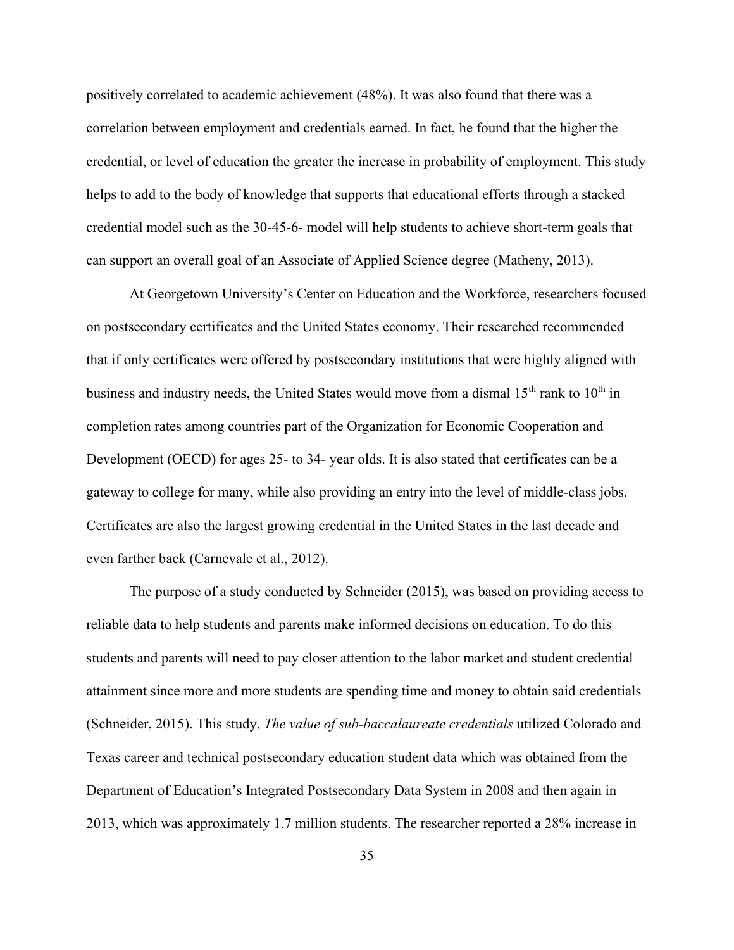positively correlated to academic achievement (48%). It was also found that there was a correlation between employment and credentials earned. In fact, he found that the higher the credential, or level of education the greater the increase in probability of employment. This study helps to add to the body of knowledge that supports that educational efforts through a stacked credential model such as the 30-45-6- model will help students to achieve short-term goals that can support an overall goal of an Associate of Applied Science degree (Matheny, 2013).

At Georgetown University's Center on Education and the Workforce, researchers focused on postsecondary certificates and the United States economy. Their researched recommended that if only certificates were offered by postsecondary institutions that were highly aligned with business and industry needs, the United States would move from a dismal  $15<sup>th</sup>$  rank to  $10<sup>th</sup>$  in completion rates among countries part of the Organization for Economic Cooperation and Development (OECD) for ages 25- to 34- year olds. It is also stated that certificates can be a gateway to college for many, while also providing an entry into the level of middle-class jobs. Certificates are also the largest growing credential in the United States in the last decade and even farther back (Carnevale et al., 2012).

The purpose of a study conducted by Schneider (2015), was based on providing access to reliable data to help students and parents make informed decisions on education. To do this students and parents will need to pay closer attention to the labor market and student credential attainment since more and more students are spending time and money to obtain said credentials (Schneider, 2015). This study, *The value of sub-baccalaureate credentials* utilized Colorado and Texas career and technical postsecondary education student data which was obtained from the Department of Education's Integrated Postsecondary Data System in 2008 and then again in 2013, which was approximately 1.7 million students. The researcher reported a 28% increase in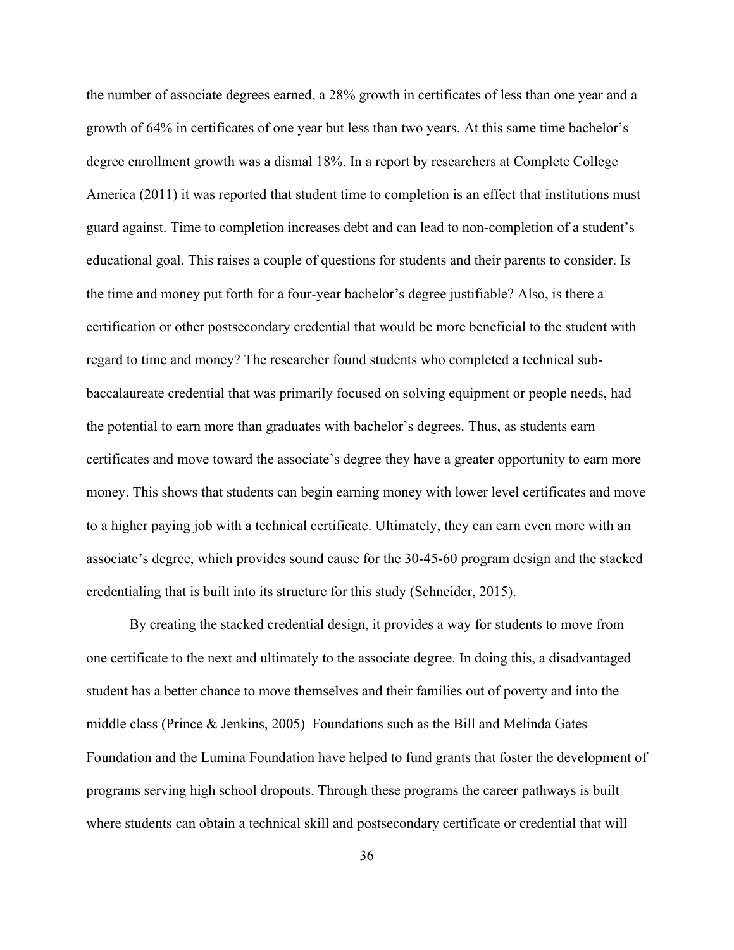the number of associate degrees earned, a 28% growth in certificates of less than one year and a growth of 64% in certificates of one year but less than two years. At this same time bachelor's degree enrollment growth was a dismal 18%. In a report by researchers at Complete College America (2011) it was reported that student time to completion is an effect that institutions must guard against. Time to completion increases debt and can lead to non-completion of a student's educational goal. This raises a couple of questions for students and their parents to consider. Is the time and money put forth for a four-year bachelor's degree justifiable? Also, is there a certification or other postsecondary credential that would be more beneficial to the student with regard to time and money? The researcher found students who completed a technical subbaccalaureate credential that was primarily focused on solving equipment or people needs, had the potential to earn more than graduates with bachelor's degrees. Thus, as students earn certificates and move toward the associate's degree they have a greater opportunity to earn more money. This shows that students can begin earning money with lower level certificates and move to a higher paying job with a technical certificate. Ultimately, they can earn even more with an associate's degree, which provides sound cause for the 30-45-60 program design and the stacked credentialing that is built into its structure for this study (Schneider, 2015).

By creating the stacked credential design, it provides a way for students to move from one certificate to the next and ultimately to the associate degree. In doing this, a disadvantaged student has a better chance to move themselves and their families out of poverty and into the middle class (Prince & Jenkins, 2005) Foundations such as the Bill and Melinda Gates Foundation and the Lumina Foundation have helped to fund grants that foster the development of programs serving high school dropouts. Through these programs the career pathways is built where students can obtain a technical skill and postsecondary certificate or credential that will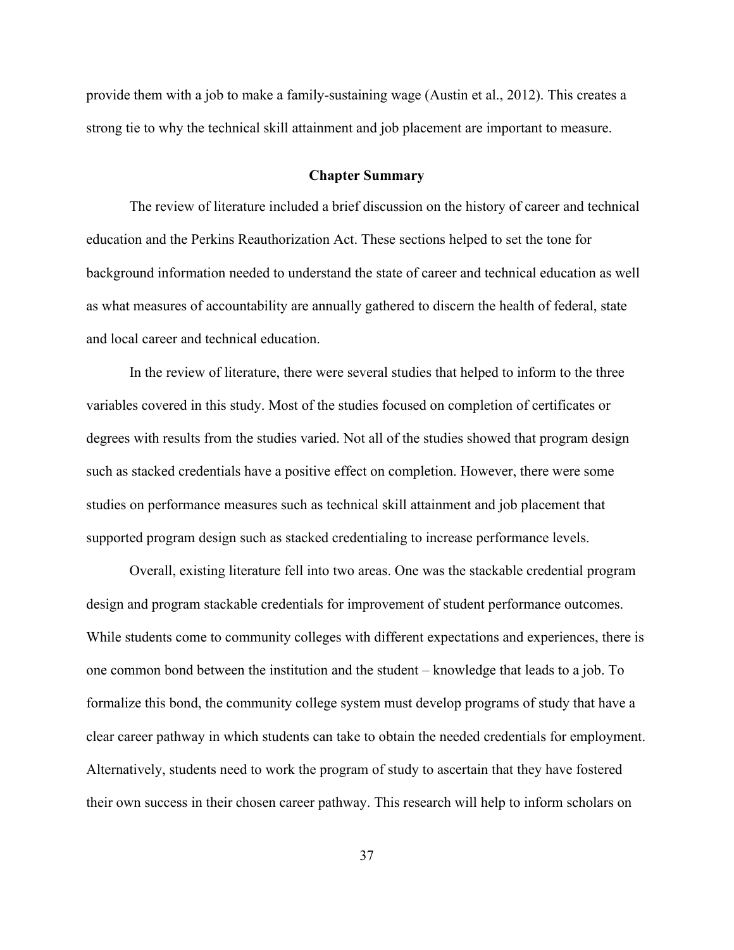provide them with a job to make a family-sustaining wage (Austin et al., 2012). This creates a strong tie to why the technical skill attainment and job placement are important to measure.

#### **Chapter Summary**

The review of literature included a brief discussion on the history of career and technical education and the Perkins Reauthorization Act. These sections helped to set the tone for background information needed to understand the state of career and technical education as well as what measures of accountability are annually gathered to discern the health of federal, state and local career and technical education.

In the review of literature, there were several studies that helped to inform to the three variables covered in this study. Most of the studies focused on completion of certificates or degrees with results from the studies varied. Not all of the studies showed that program design such as stacked credentials have a positive effect on completion. However, there were some studies on performance measures such as technical skill attainment and job placement that supported program design such as stacked credentialing to increase performance levels.

Overall, existing literature fell into two areas. One was the stackable credential program design and program stackable credentials for improvement of student performance outcomes. While students come to community colleges with different expectations and experiences, there is one common bond between the institution and the student – knowledge that leads to a job. To formalize this bond, the community college system must develop programs of study that have a clear career pathway in which students can take to obtain the needed credentials for employment. Alternatively, students need to work the program of study to ascertain that they have fostered their own success in their chosen career pathway. This research will help to inform scholars on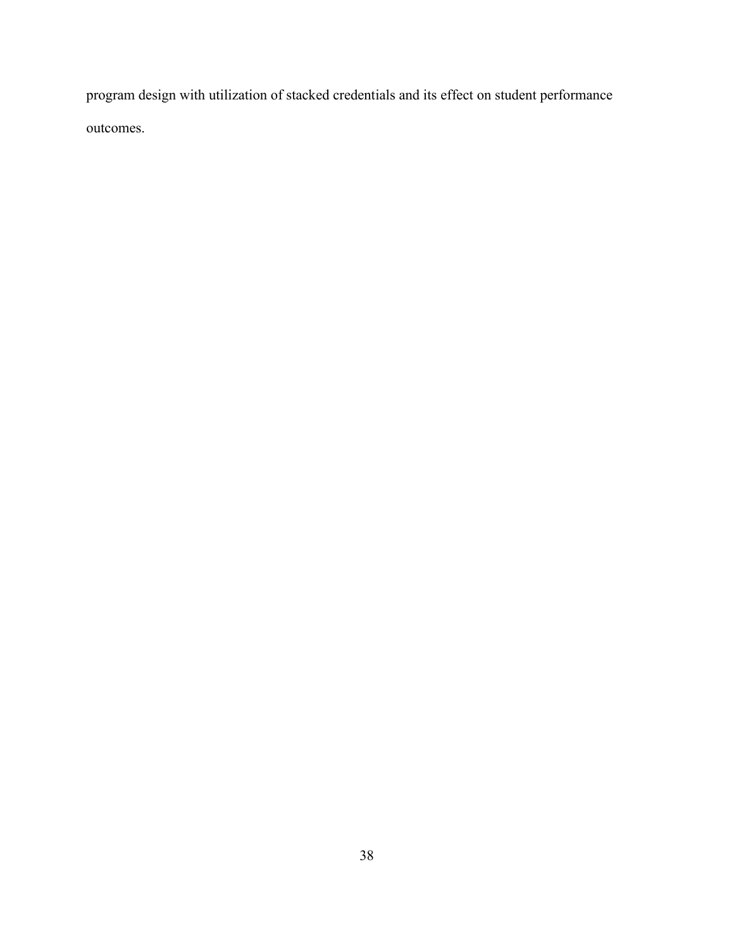program design with utilization of stacked credentials and its effect on student performance outcomes.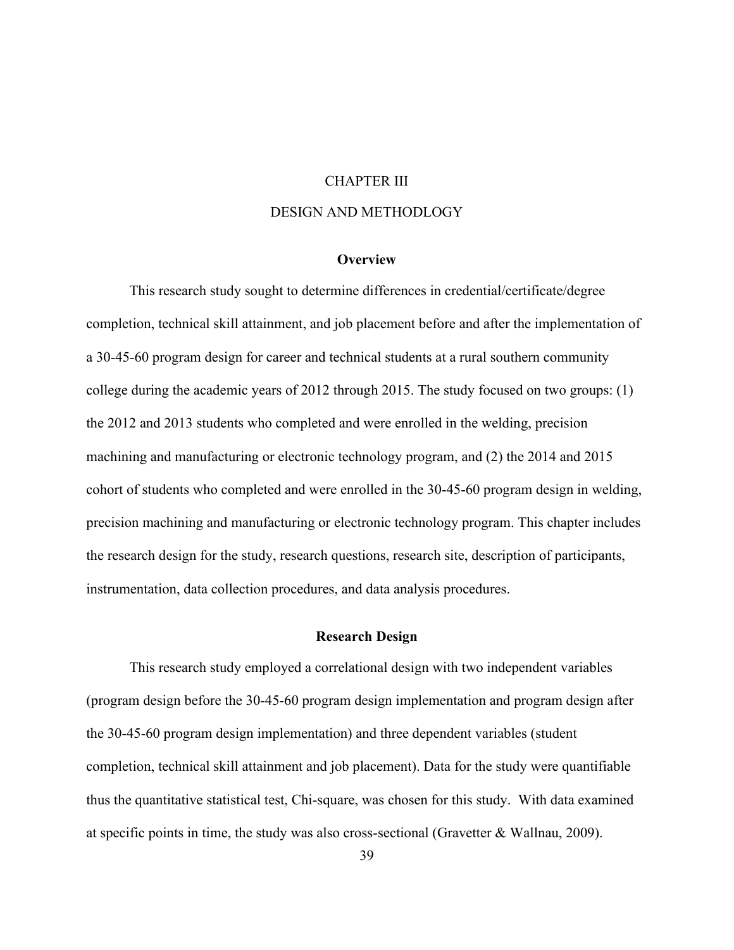#### CHAPTER III

## DESIGN AND METHODLOGY

## **Overview**

This research study sought to determine differences in credential/certificate/degree completion, technical skill attainment, and job placement before and after the implementation of a 30-45-60 program design for career and technical students at a rural southern community college during the academic years of 2012 through 2015. The study focused on two groups: (1) the 2012 and 2013 students who completed and were enrolled in the welding, precision machining and manufacturing or electronic technology program, and (2) the 2014 and 2015 cohort of students who completed and were enrolled in the 30-45-60 program design in welding, precision machining and manufacturing or electronic technology program. This chapter includes the research design for the study, research questions, research site, description of participants, instrumentation, data collection procedures, and data analysis procedures.

#### **Research Design**

This research study employed a correlational design with two independent variables (program design before the 30-45-60 program design implementation and program design after the 30-45-60 program design implementation) and three dependent variables (student completion, technical skill attainment and job placement). Data for the study were quantifiable thus the quantitative statistical test, Chi-square, was chosen for this study. With data examined at specific points in time, the study was also cross-sectional (Gravetter & Wallnau, 2009).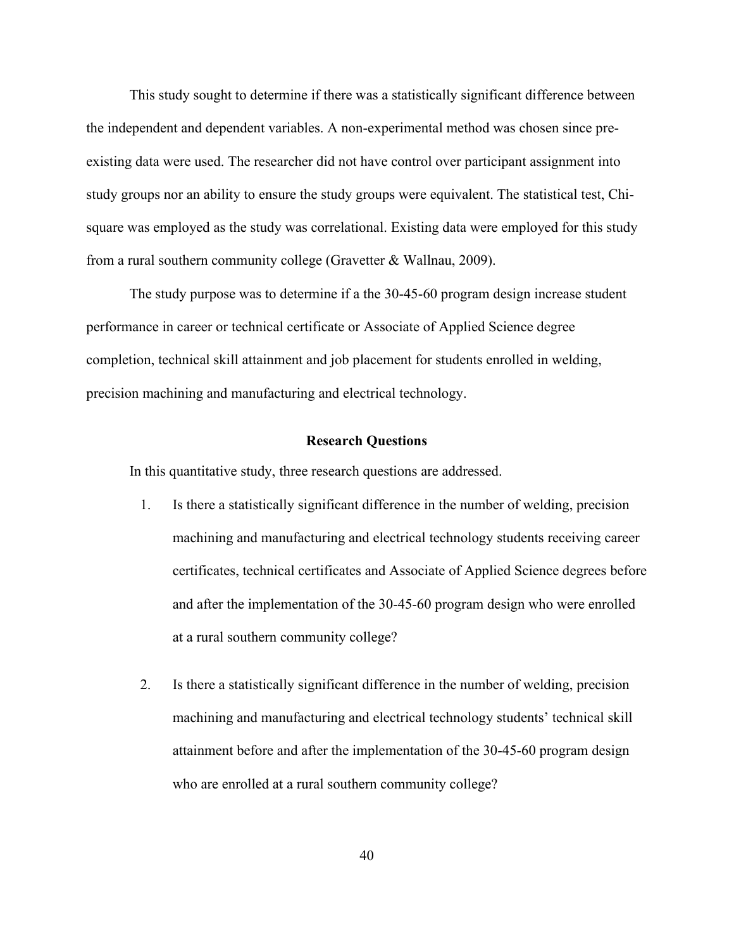This study sought to determine if there was a statistically significant difference between the independent and dependent variables. A non-experimental method was chosen since preexisting data were used. The researcher did not have control over participant assignment into study groups nor an ability to ensure the study groups were equivalent. The statistical test, Chisquare was employed as the study was correlational. Existing data were employed for this study from a rural southern community college (Gravetter & Wallnau, 2009).

The study purpose was to determine if a the 30-45-60 program design increase student performance in career or technical certificate or Associate of Applied Science degree completion, technical skill attainment and job placement for students enrolled in welding, precision machining and manufacturing and electrical technology.

#### **Research Questions**

In this quantitative study, three research questions are addressed.

- 1. Is there a statistically significant difference in the number of welding, precision machining and manufacturing and electrical technology students receiving career certificates, technical certificates and Associate of Applied Science degrees before and after the implementation of the 30-45-60 program design who were enrolled at a rural southern community college?
- 2. Is there a statistically significant difference in the number of welding, precision machining and manufacturing and electrical technology students' technical skill attainment before and after the implementation of the 30-45-60 program design who are enrolled at a rural southern community college?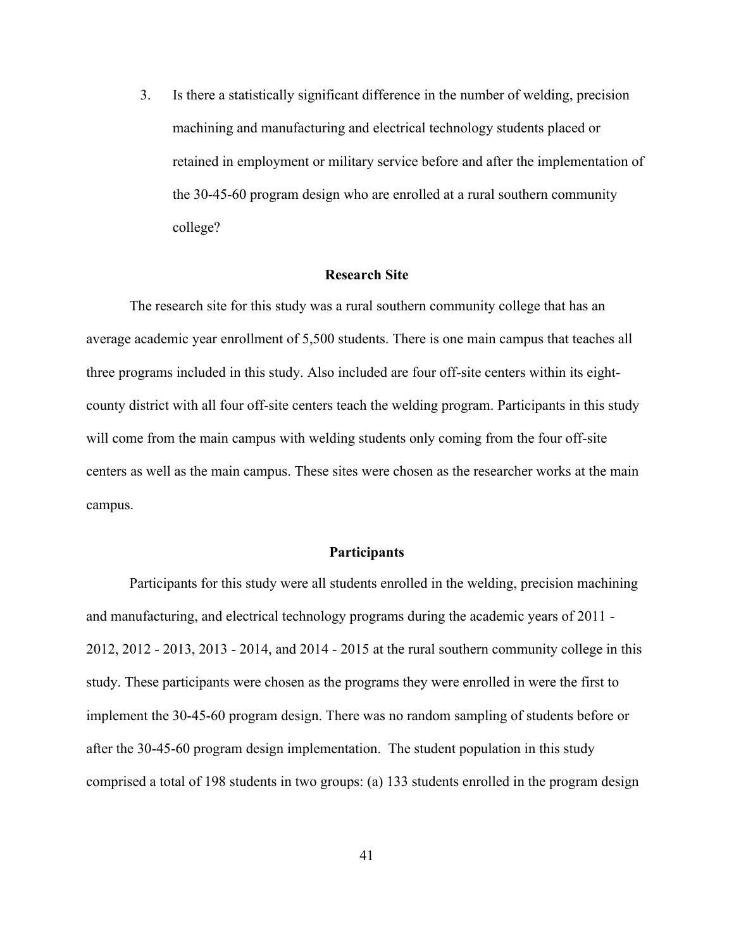3. Is there a statistically significant difference in the number of welding, precision machining and manufacturing and electrical technology students placed or retained in employment or military service before and after the implementation of the 30-45-60 program design who are enrolled at a rural southern community college?

#### **Research Site**

The research site for this study was a rural southern community college that has an average academic year enrollment of 5,500 students. There is one main campus that teaches all three programs included in this study. Also included are four off-site centers within its eightcounty district with all four off-site centers teach the welding program. Participants in this study will come from the main campus with welding students only coming from the four off-site centers as well as the main campus. These sites were chosen as the researcher works at the main campus.

#### **Participants**

Participants for this study were all students enrolled in the welding, precision machining and manufacturing, and electrical technology programs during the academic years of 2011 - 2012, 2012 - 2013, 2013 - 2014, and 2014 - 2015 at the rural southern community college in this study. These participants were chosen as the programs they were enrolled in were the first to implement the 30-45-60 program design. There was no random sampling of students before or after the 30-45-60 program design implementation. The student population in this study comprised a total of 198 students in two groups: (a) 133 students enrolled in the program design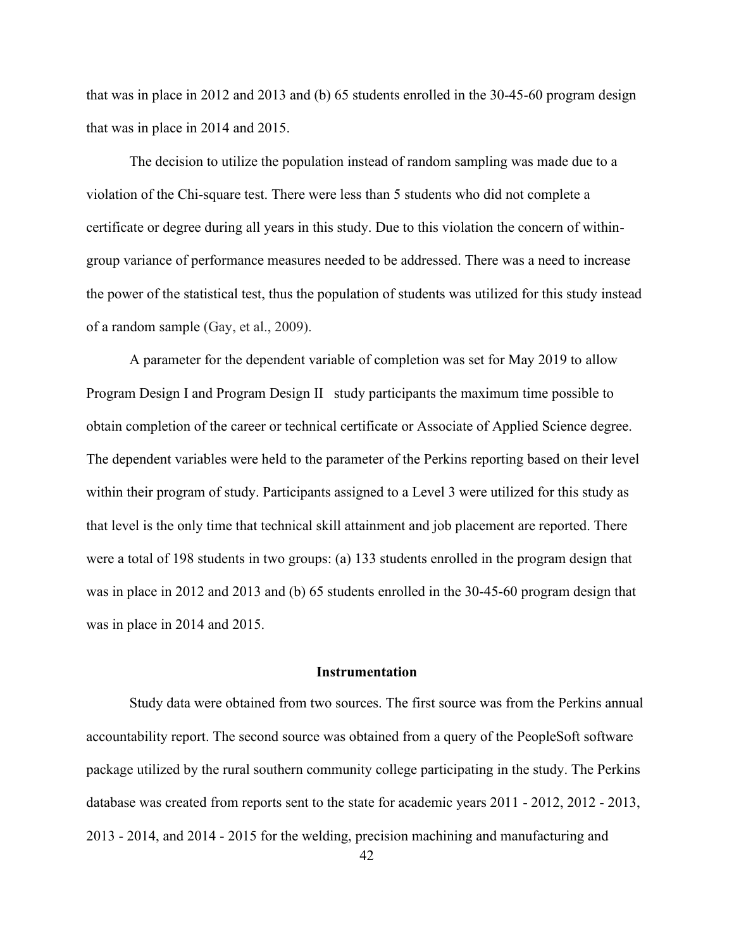that was in place in 2012 and 2013 and (b) 65 students enrolled in the 30-45-60 program design that was in place in 2014 and 2015.

The decision to utilize the population instead of random sampling was made due to a violation of the Chi-square test. There were less than 5 students who did not complete a certificate or degree during all years in this study. Due to this violation the concern of withingroup variance of performance measures needed to be addressed. There was a need to increase the power of the statistical test, thus the population of students was utilized for this study instead of a random sample (Gay, et al., 2009).

A parameter for the dependent variable of completion was set for May 2019 to allow Program Design I and Program Design II study participants the maximum time possible to obtain completion of the career or technical certificate or Associate of Applied Science degree. The dependent variables were held to the parameter of the Perkins reporting based on their level within their program of study. Participants assigned to a Level 3 were utilized for this study as that level is the only time that technical skill attainment and job placement are reported. There were a total of 198 students in two groups: (a) 133 students enrolled in the program design that was in place in 2012 and 2013 and (b) 65 students enrolled in the 30-45-60 program design that was in place in 2014 and 2015.

## **Instrumentation**

Study data were obtained from two sources. The first source was from the Perkins annual accountability report. The second source was obtained from a query of the PeopleSoft software package utilized by the rural southern community college participating in the study. The Perkins database was created from reports sent to the state for academic years 2011 - 2012, 2012 - 2013, 2013 - 2014, and 2014 - 2015 for the welding, precision machining and manufacturing and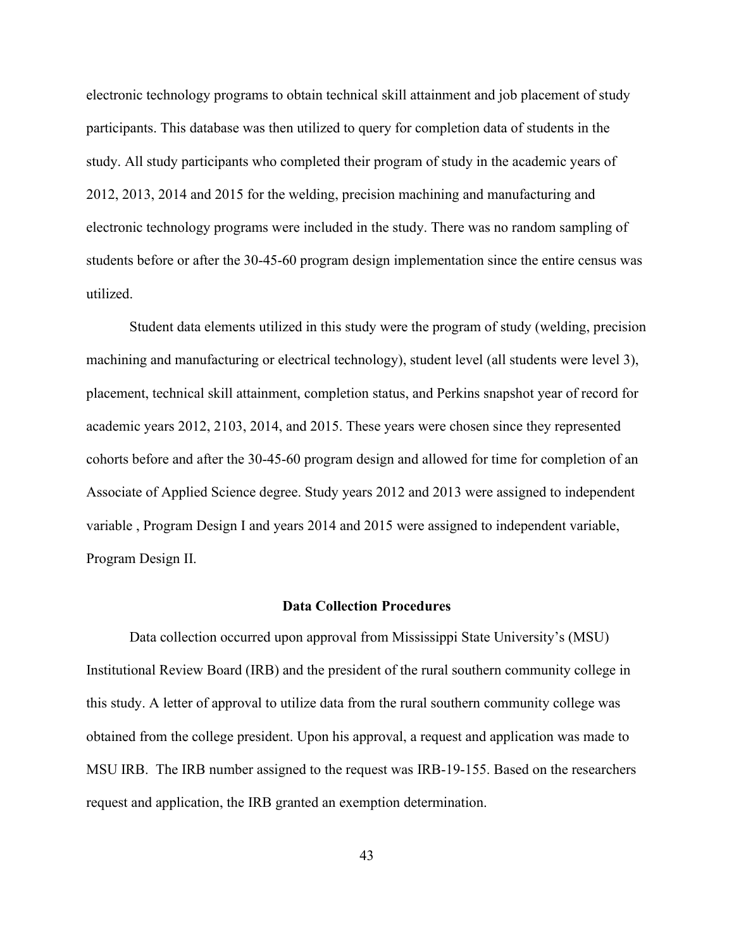electronic technology programs to obtain technical skill attainment and job placement of study participants. This database was then utilized to query for completion data of students in the study. All study participants who completed their program of study in the academic years of 2012, 2013, 2014 and 2015 for the welding, precision machining and manufacturing and electronic technology programs were included in the study. There was no random sampling of students before or after the 30-45-60 program design implementation since the entire census was utilized.

Student data elements utilized in this study were the program of study (welding, precision machining and manufacturing or electrical technology), student level (all students were level 3), placement, technical skill attainment, completion status, and Perkins snapshot year of record for academic years 2012, 2103, 2014, and 2015. These years were chosen since they represented cohorts before and after the 30-45-60 program design and allowed for time for completion of an Associate of Applied Science degree. Study years 2012 and 2013 were assigned to independent variable , Program Design I and years 2014 and 2015 were assigned to independent variable, Program Design II.

#### **Data Collection Procedures**

Data collection occurred upon approval from Mississippi State University's (MSU) Institutional Review Board (IRB) and the president of the rural southern community college in this study. A letter of approval to utilize data from the rural southern community college was obtained from the college president. Upon his approval, a request and application was made to MSU IRB. The IRB number assigned to the request was IRB-19-155. Based on the researchers request and application, the IRB granted an exemption determination.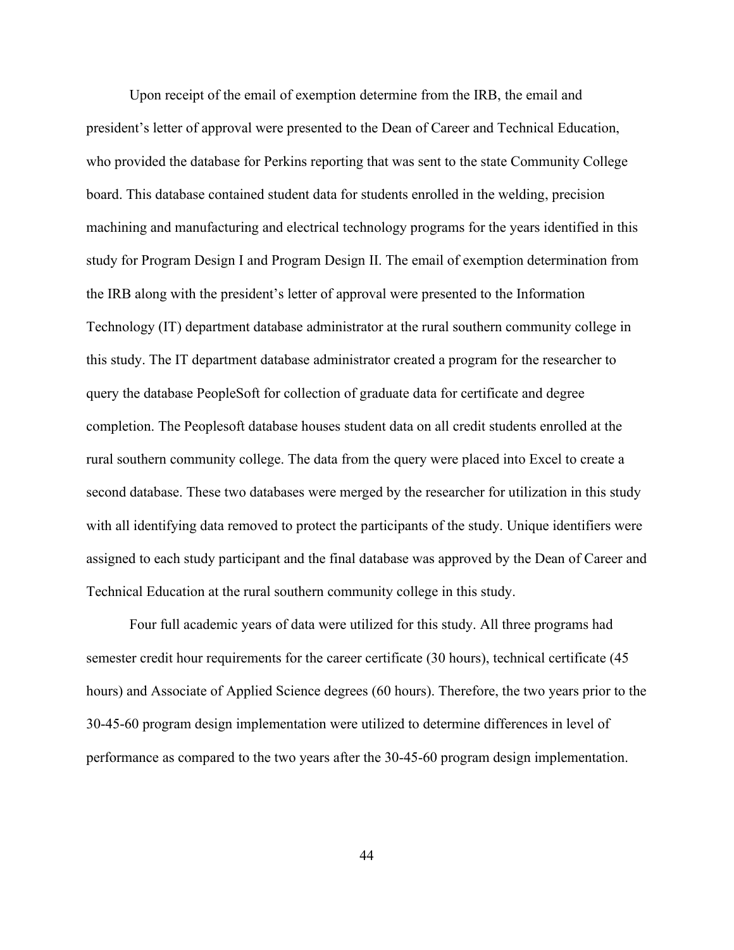Upon receipt of the email of exemption determine from the IRB, the email and president's letter of approval were presented to the Dean of Career and Technical Education, who provided the database for Perkins reporting that was sent to the state Community College board. This database contained student data for students enrolled in the welding, precision machining and manufacturing and electrical technology programs for the years identified in this study for Program Design I and Program Design II. The email of exemption determination from the IRB along with the president's letter of approval were presented to the Information Technology (IT) department database administrator at the rural southern community college in this study. The IT department database administrator created a program for the researcher to query the database PeopleSoft for collection of graduate data for certificate and degree completion. The Peoplesoft database houses student data on all credit students enrolled at the rural southern community college. The data from the query were placed into Excel to create a second database. These two databases were merged by the researcher for utilization in this study with all identifying data removed to protect the participants of the study. Unique identifiers were assigned to each study participant and the final database was approved by the Dean of Career and Technical Education at the rural southern community college in this study.

Four full academic years of data were utilized for this study. All three programs had semester credit hour requirements for the career certificate (30 hours), technical certificate (45 hours) and Associate of Applied Science degrees (60 hours). Therefore, the two years prior to the 30-45-60 program design implementation were utilized to determine differences in level of performance as compared to the two years after the 30-45-60 program design implementation.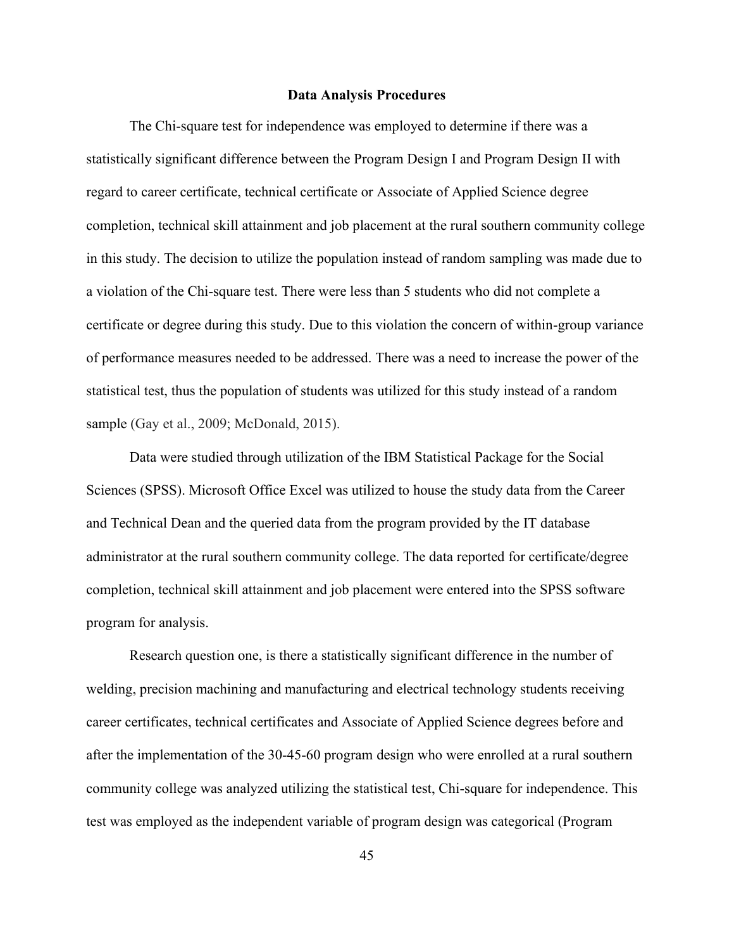#### **Data Analysis Procedures**

The Chi-square test for independence was employed to determine if there was a statistically significant difference between the Program Design I and Program Design II with regard to career certificate, technical certificate or Associate of Applied Science degree completion, technical skill attainment and job placement at the rural southern community college in this study. The decision to utilize the population instead of random sampling was made due to a violation of the Chi-square test. There were less than 5 students who did not complete a certificate or degree during this study. Due to this violation the concern of within-group variance of performance measures needed to be addressed. There was a need to increase the power of the statistical test, thus the population of students was utilized for this study instead of a random sample (Gay et al., 2009; McDonald, 2015).

Data were studied through utilization of the IBM Statistical Package for the Social Sciences (SPSS). Microsoft Office Excel was utilized to house the study data from the Career and Technical Dean and the queried data from the program provided by the IT database administrator at the rural southern community college. The data reported for certificate/degree completion, technical skill attainment and job placement were entered into the SPSS software program for analysis.

Research question one, is there a statistically significant difference in the number of welding, precision machining and manufacturing and electrical technology students receiving career certificates, technical certificates and Associate of Applied Science degrees before and after the implementation of the 30-45-60 program design who were enrolled at a rural southern community college was analyzed utilizing the statistical test, Chi-square for independence. This test was employed as the independent variable of program design was categorical (Program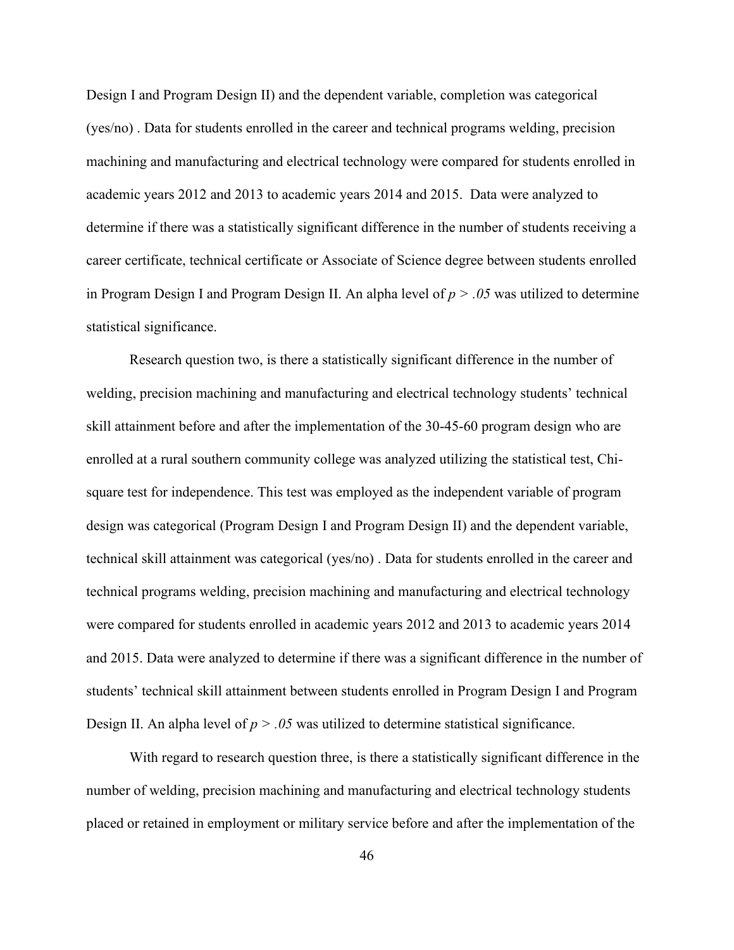Design I and Program Design II) and the dependent variable, completion was categorical (yes/no) . Data for students enrolled in the career and technical programs welding, precision machining and manufacturing and electrical technology were compared for students enrolled in academic years 2012 and 2013 to academic years 2014 and 2015. Data were analyzed to determine if there was a statistically significant difference in the number of students receiving a career certificate, technical certificate or Associate of Science degree between students enrolled in Program Design I and Program Design II. An alpha level of *p > .05* was utilized to determine statistical significance.

Research question two, is there a statistically significant difference in the number of welding, precision machining and manufacturing and electrical technology students' technical skill attainment before and after the implementation of the 30-45-60 program design who are enrolled at a rural southern community college was analyzed utilizing the statistical test, Chisquare test for independence. This test was employed as the independent variable of program design was categorical (Program Design I and Program Design II) and the dependent variable, technical skill attainment was categorical (yes/no) . Data for students enrolled in the career and technical programs welding, precision machining and manufacturing and electrical technology were compared for students enrolled in academic years 2012 and 2013 to academic years 2014 and 2015. Data were analyzed to determine if there was a significant difference in the number of students' technical skill attainment between students enrolled in Program Design I and Program Design II. An alpha level of  $p > 0.05$  was utilized to determine statistical significance.

With regard to research question three, is there a statistically significant difference in the number of welding, precision machining and manufacturing and electrical technology students placed or retained in employment or military service before and after the implementation of the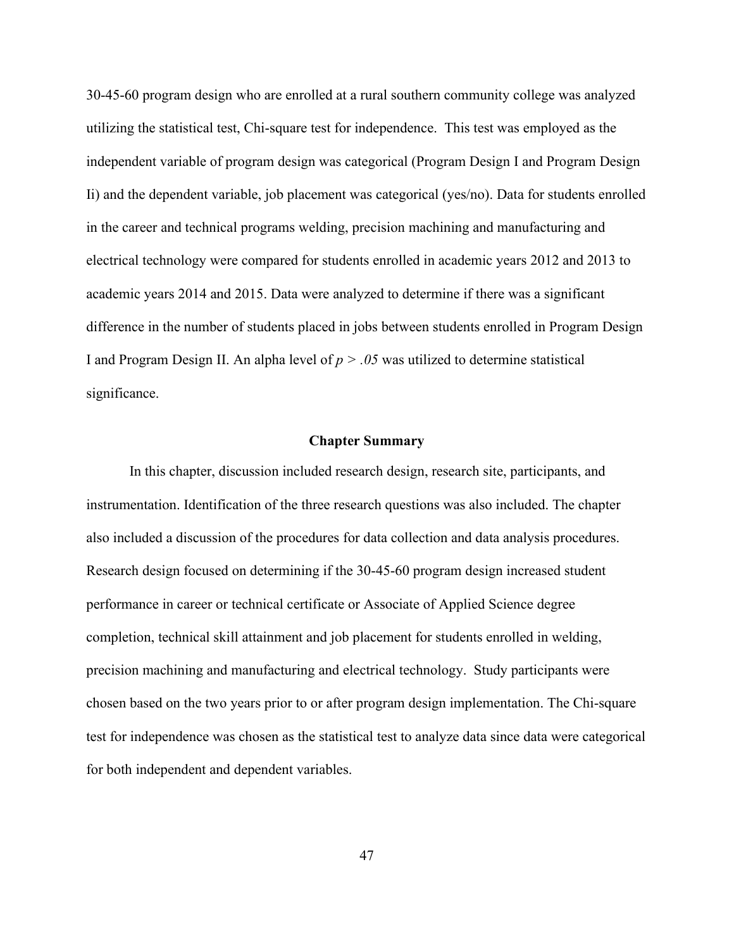30-45-60 program design who are enrolled at a rural southern community college was analyzed utilizing the statistical test, Chi-square test for independence. This test was employed as the independent variable of program design was categorical (Program Design I and Program Design Ii) and the dependent variable, job placement was categorical (yes/no). Data for students enrolled in the career and technical programs welding, precision machining and manufacturing and electrical technology were compared for students enrolled in academic years 2012 and 2013 to academic years 2014 and 2015. Data were analyzed to determine if there was a significant difference in the number of students placed in jobs between students enrolled in Program Design I and Program Design II. An alpha level of  $p > 0.05$  was utilized to determine statistical significance.

#### **Chapter Summary**

In this chapter, discussion included research design, research site, participants, and instrumentation. Identification of the three research questions was also included. The chapter also included a discussion of the procedures for data collection and data analysis procedures. Research design focused on determining if the 30-45-60 program design increased student performance in career or technical certificate or Associate of Applied Science degree completion, technical skill attainment and job placement for students enrolled in welding, precision machining and manufacturing and electrical technology. Study participants were chosen based on the two years prior to or after program design implementation. The Chi-square test for independence was chosen as the statistical test to analyze data since data were categorical for both independent and dependent variables.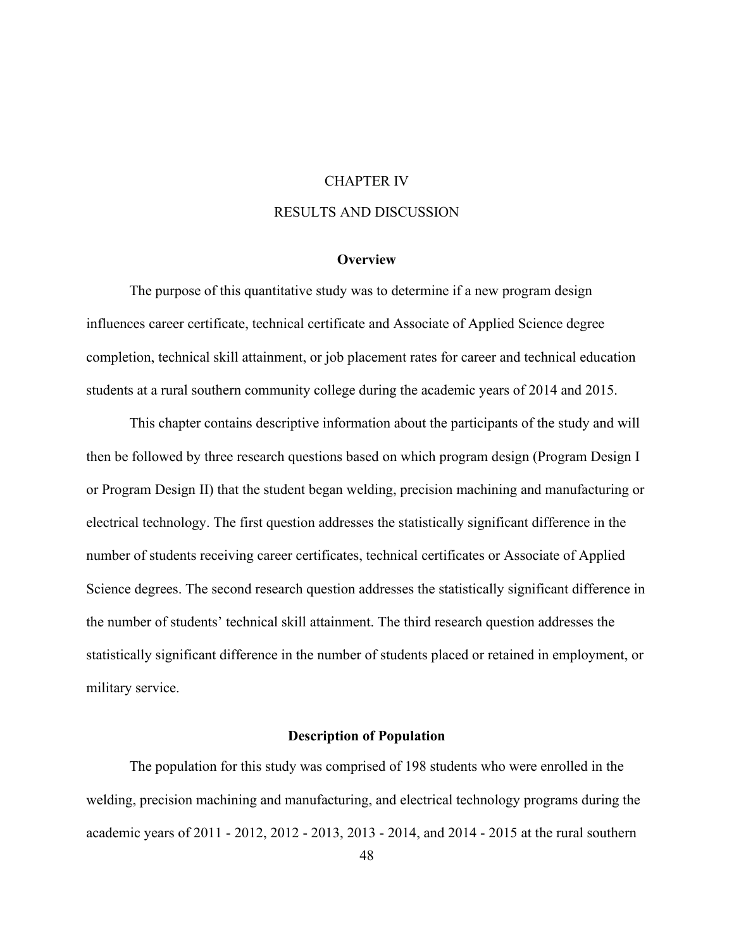# CHAPTER IV

# RESULTS AND DISCUSSION

## **Overview**

The purpose of this quantitative study was to determine if a new program design influences career certificate, technical certificate and Associate of Applied Science degree completion, technical skill attainment, or job placement rates for career and technical education students at a rural southern community college during the academic years of 2014 and 2015.

This chapter contains descriptive information about the participants of the study and will then be followed by three research questions based on which program design (Program Design I or Program Design II) that the student began welding, precision machining and manufacturing or electrical technology. The first question addresses the statistically significant difference in the number of students receiving career certificates, technical certificates or Associate of Applied Science degrees. The second research question addresses the statistically significant difference in the number of students' technical skill attainment. The third research question addresses the statistically significant difference in the number of students placed or retained in employment, or military service.

#### **Description of Population**

The population for this study was comprised of 198 students who were enrolled in the welding, precision machining and manufacturing, and electrical technology programs during the academic years of 2011 - 2012, 2012 - 2013, 2013 - 2014, and 2014 - 2015 at the rural southern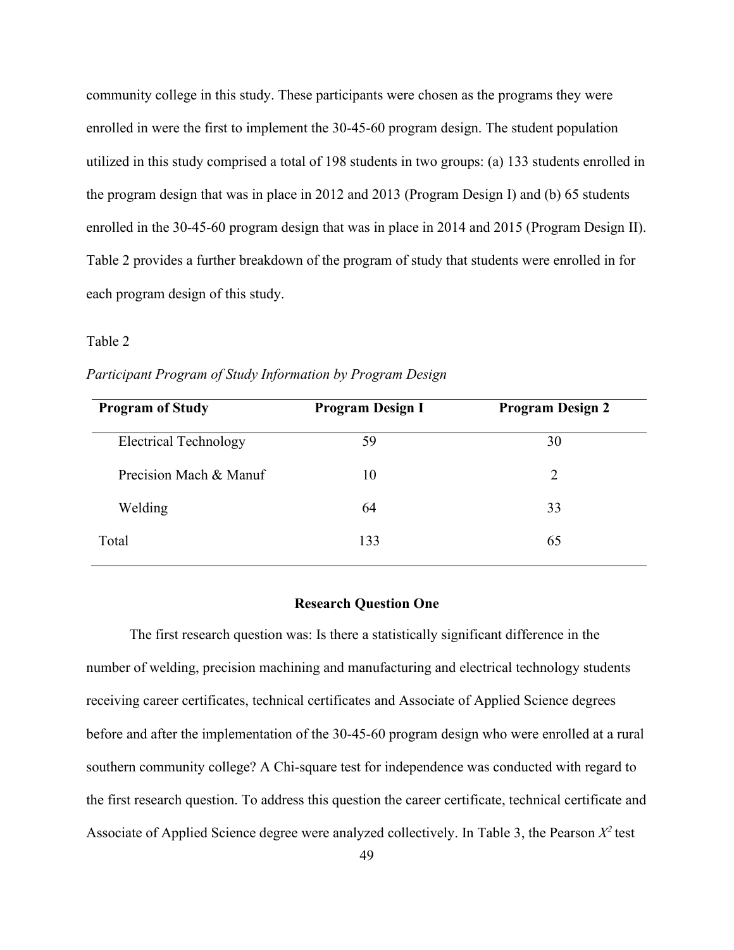community college in this study. These participants were chosen as the programs they were enrolled in were the first to implement the 30-45-60 program design. The student population utilized in this study comprised a total of 198 students in two groups: (a) 133 students enrolled in the program design that was in place in 2012 and 2013 (Program Design I) and (b) 65 students enrolled in the 30-45-60 program design that was in place in 2014 and 2015 (Program Design II). Table 2 provides a further breakdown of the program of study that students were enrolled in for each program design of this study.

#### Table 2

| <b>Program of Study</b>      | <b>Program Design I</b> | <b>Program Design 2</b> |
|------------------------------|-------------------------|-------------------------|
| <b>Electrical Technology</b> | 59                      | 30                      |
| Precision Mach & Manuf       | 10                      | 2                       |
| Welding                      | 64                      | 33                      |
| Total                        | 133                     | 65                      |

*Participant Program of Study Information by Program Design*

#### **Research Question One**

The first research question was: Is there a statistically significant difference in the number of welding, precision machining and manufacturing and electrical technology students receiving career certificates, technical certificates and Associate of Applied Science degrees before and after the implementation of the 30-45-60 program design who were enrolled at a rural southern community college? A Chi-square test for independence was conducted with regard to the first research question. To address this question the career certificate, technical certificate and Associate of Applied Science degree were analyzed collectively. In Table 3, the Pearson  $X^2$  test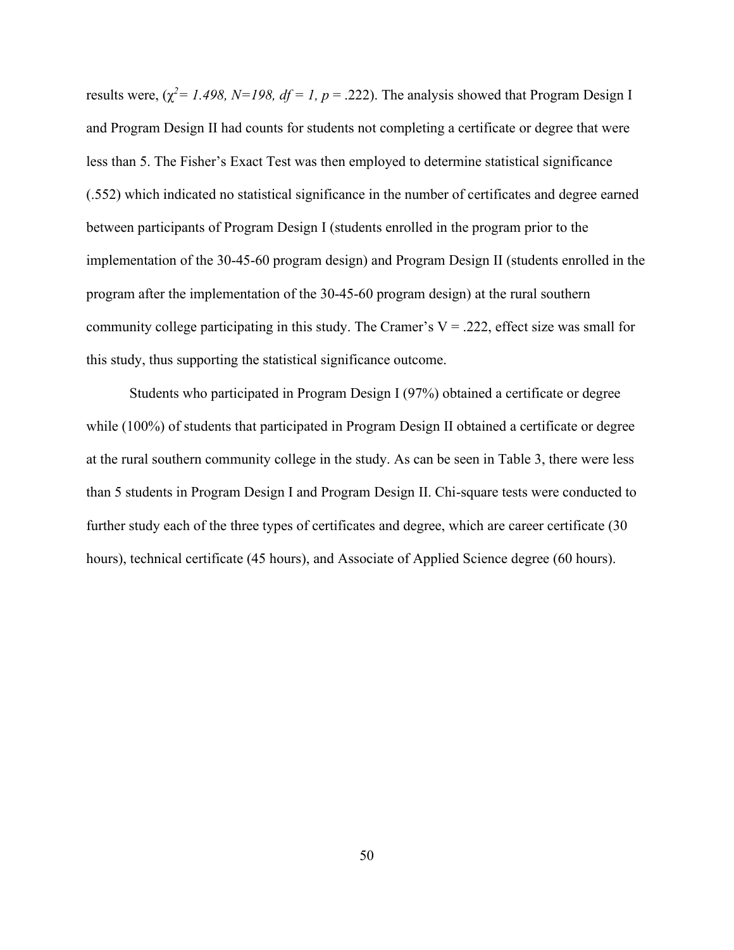results were,  $(\chi^2 = 1.498, N = 198, df = 1, p = .222)$ . The analysis showed that Program Design I and Program Design II had counts for students not completing a certificate or degree that were less than 5. The Fisher's Exact Test was then employed to determine statistical significance (.552) which indicated no statistical significance in the number of certificates and degree earned between participants of Program Design I (students enrolled in the program prior to the implementation of the 30-45-60 program design) and Program Design II (students enrolled in the program after the implementation of the 30-45-60 program design) at the rural southern community college participating in this study. The Cramer's  $V = 0.222$ , effect size was small for this study, thus supporting the statistical significance outcome.

Students who participated in Program Design I (97%) obtained a certificate or degree while (100%) of students that participated in Program Design II obtained a certificate or degree at the rural southern community college in the study. As can be seen in Table 3, there were less than 5 students in Program Design I and Program Design II. Chi-square tests were conducted to further study each of the three types of certificates and degree, which are career certificate (30 hours), technical certificate (45 hours), and Associate of Applied Science degree (60 hours).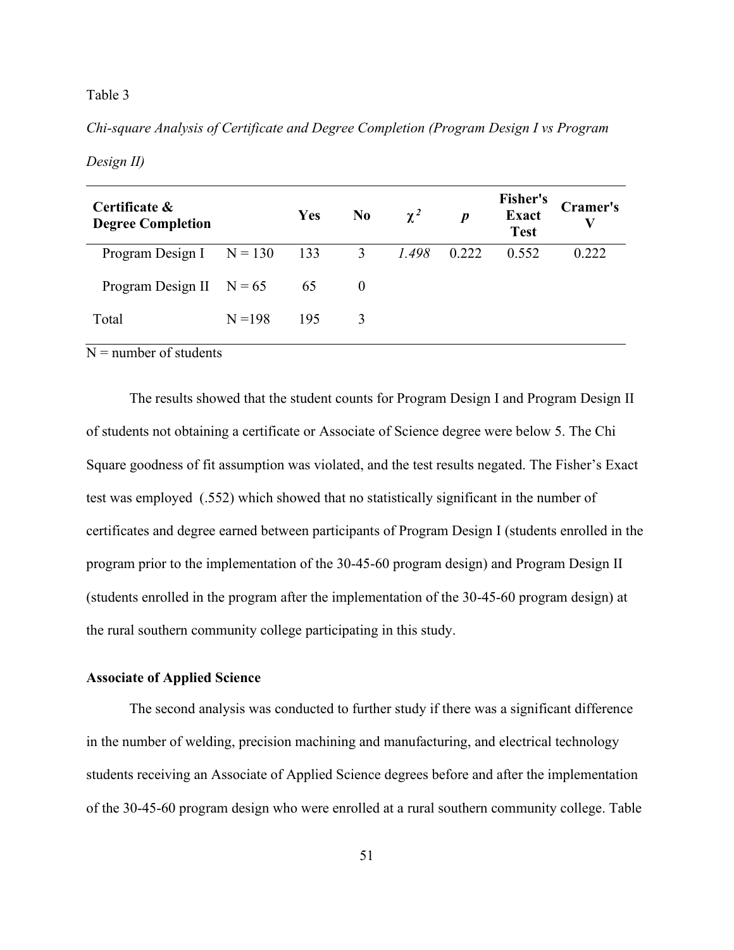#### Table 3

*Chi-square Analysis of Certificate and Degree Completion (Program Design I vs Program* 

## *Design II)*

| Certificate &<br><b>Degree Completion</b> |           | <b>Yes</b> | N <sub>0</sub>          | $\chi^2$ | $\boldsymbol{p}$ | <b>Fisher's</b><br><b>Exact</b><br><b>Test</b> | <b>Cramer's</b><br>V |
|-------------------------------------------|-----------|------------|-------------------------|----------|------------------|------------------------------------------------|----------------------|
| Program Design I $N = 130$                |           | 133        | $\overline{\mathbf{3}}$ | 1.498    | 0.222            | 0.552                                          | 0.222                |
| Program Design II $N = 65$                |           | 65         | $\theta$                |          |                  |                                                |                      |
| Total                                     | $N = 198$ | 195        | 3                       |          |                  |                                                |                      |

 $N =$  number of students

The results showed that the student counts for Program Design I and Program Design II of students not obtaining a certificate or Associate of Science degree were below 5. The Chi Square goodness of fit assumption was violated, and the test results negated. The Fisher's Exact test was employed (.552) which showed that no statistically significant in the number of certificates and degree earned between participants of Program Design I (students enrolled in the program prior to the implementation of the 30-45-60 program design) and Program Design II (students enrolled in the program after the implementation of the 30-45-60 program design) at the rural southern community college participating in this study.

## **Associate of Applied Science**

The second analysis was conducted to further study if there was a significant difference in the number of welding, precision machining and manufacturing, and electrical technology students receiving an Associate of Applied Science degrees before and after the implementation of the 30-45-60 program design who were enrolled at a rural southern community college. Table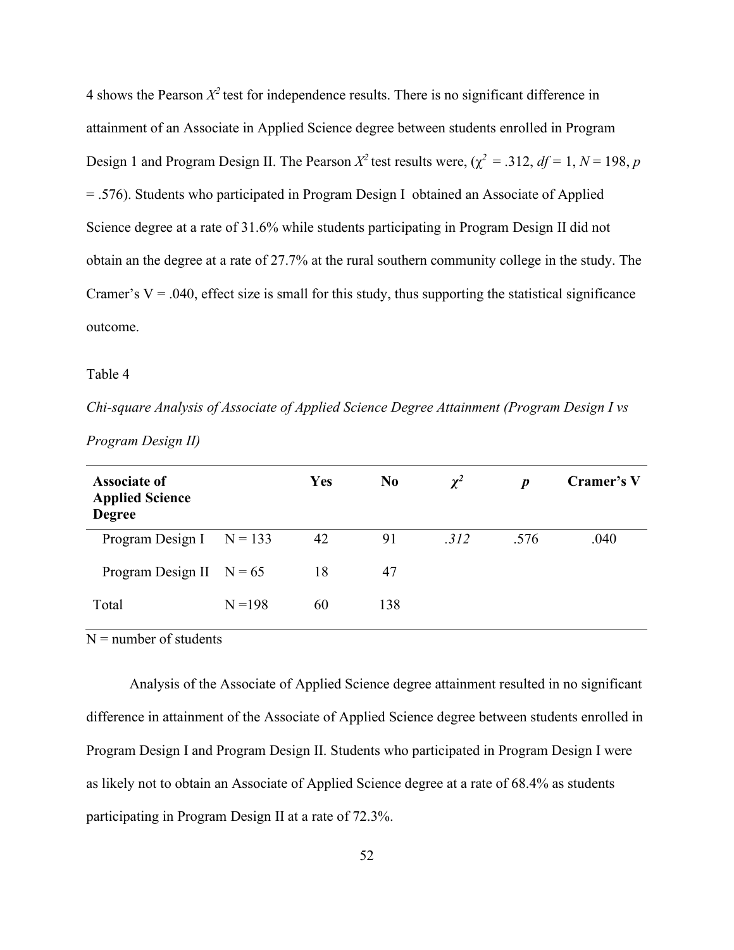4 shows the Pearson  $X^2$  test for independence results. There is no significant difference in attainment of an Associate in Applied Science degree between students enrolled in Program Design 1 and Program Design II. The Pearson  $X^2$  test results were,  $(\chi^2 = .312, df = 1, N = 198, p)$ = .576). Students who participated in Program Design I obtained an Associate of Applied Science degree at a rate of 31.6% while students participating in Program Design II did not obtain an the degree at a rate of 27.7% at the rural southern community college in the study. The Cramer's  $V = .040$ , effect size is small for this study, thus supporting the statistical significance outcome.

Table 4

*Chi-square Analysis of Associate of Applied Science Degree Attainment (Program Design I vs* 

| <b>Associate of</b><br><b>Applied Science</b><br><b>Degree</b> |           | Yes | N <sub>0</sub> | $\chi^2$ | $\boldsymbol{p}$ | Cramer's V |
|----------------------------------------------------------------|-----------|-----|----------------|----------|------------------|------------|
| Program Design I $N = 133$                                     |           | 42  | 91             | .312     | .576             | .040       |
| Program Design II $N = 65$                                     |           | 18  | 47             |          |                  |            |
| Total                                                          | $N = 198$ | 60  | 138            |          |                  |            |

*Program Design II)*

 $N =$  number of students

Analysis of the Associate of Applied Science degree attainment resulted in no significant difference in attainment of the Associate of Applied Science degree between students enrolled in Program Design I and Program Design II. Students who participated in Program Design I were as likely not to obtain an Associate of Applied Science degree at a rate of 68.4% as students participating in Program Design II at a rate of 72.3%.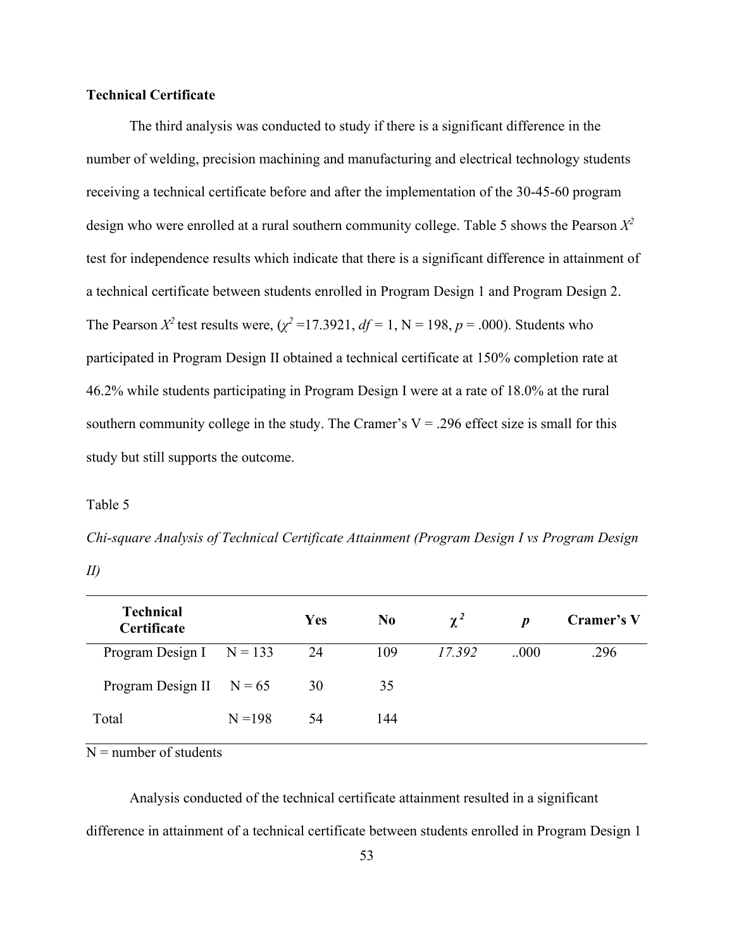## **Technical Certificate**

The third analysis was conducted to study if there is a significant difference in the number of welding, precision machining and manufacturing and electrical technology students receiving a technical certificate before and after the implementation of the 30-45-60 program design who were enrolled at a rural southern community college. Table 5 shows the Pearson *X 2*  test for independence results which indicate that there is a significant difference in attainment of a technical certificate between students enrolled in Program Design 1 and Program Design 2. The Pearson  $X^2$  test results were,  $(\chi^2 = 17.3921, df = 1, N = 198, p = .000)$ . Students who participated in Program Design II obtained a technical certificate at 150% completion rate at 46.2% while students participating in Program Design I were at a rate of 18.0% at the rural southern community college in the study. The Cramer's  $V = .296$  effect size is small for this study but still supports the outcome.

#### Table 5

*Chi-square Analysis of Technical Certificate Attainment (Program Design I vs Program Design* 

| × |  |
|---|--|
|   |  |

| <b>Technical</b><br>Certificate |           | Yes | N <sub>0</sub> | $\chi^2$ | D     | Cramer's V |
|---------------------------------|-----------|-----|----------------|----------|-------|------------|
| Program Design I $N = 133$      |           | 24  | 109            | 17.392   | .000. | .296       |
| Program Design II $N = 65$      |           | 30  | 35             |          |       |            |
| Total                           | $N = 198$ | 54  | 144            |          |       |            |

 $N =$  number of students

Analysis conducted of the technical certificate attainment resulted in a significant difference in attainment of a technical certificate between students enrolled in Program Design 1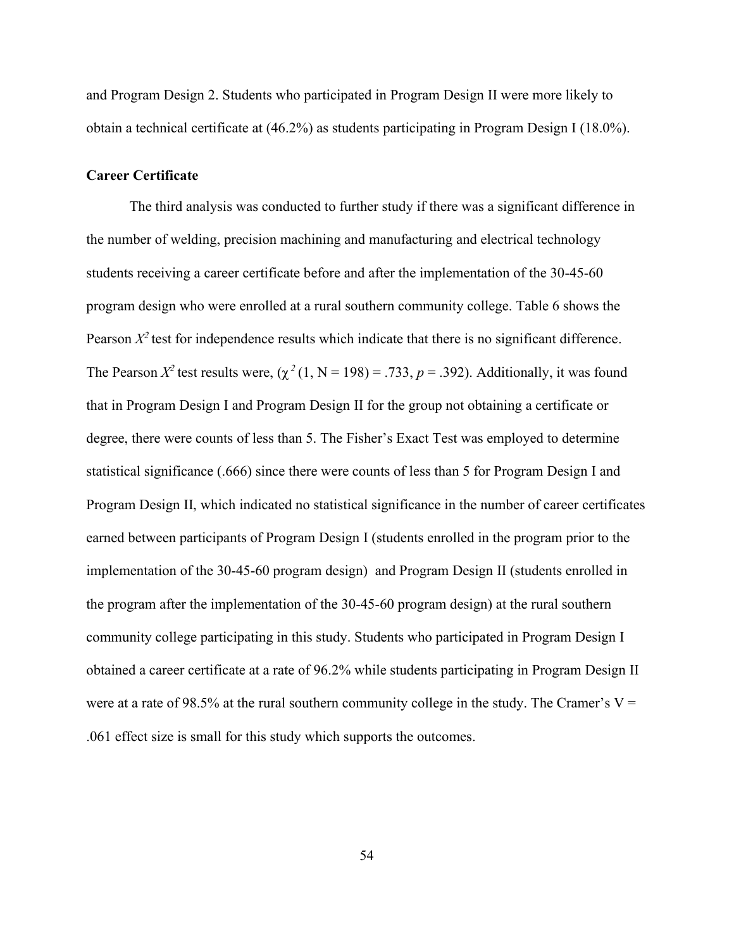and Program Design 2. Students who participated in Program Design II were more likely to obtain a technical certificate at (46.2%) as students participating in Program Design I (18.0%).

#### **Career Certificate**

The third analysis was conducted to further study if there was a significant difference in the number of welding, precision machining and manufacturing and electrical technology students receiving a career certificate before and after the implementation of the 30-45-60 program design who were enrolled at a rural southern community college. Table 6 shows the Pearson  $X^2$  test for independence results which indicate that there is no significant difference. The Pearson  $X^2$  test results were,  $(\chi^2(1, N = 198) = .733, p = .392)$ . Additionally, it was found that in Program Design I and Program Design II for the group not obtaining a certificate or degree, there were counts of less than 5. The Fisher's Exact Test was employed to determine statistical significance (.666) since there were counts of less than 5 for Program Design I and Program Design II, which indicated no statistical significance in the number of career certificates earned between participants of Program Design I (students enrolled in the program prior to the implementation of the 30-45-60 program design) and Program Design II (students enrolled in the program after the implementation of the 30-45-60 program design) at the rural southern community college participating in this study. Students who participated in Program Design I obtained a career certificate at a rate of 96.2% while students participating in Program Design II were at a rate of 98.5% at the rural southern community college in the study. The Cramer's  $V =$ .061 effect size is small for this study which supports the outcomes.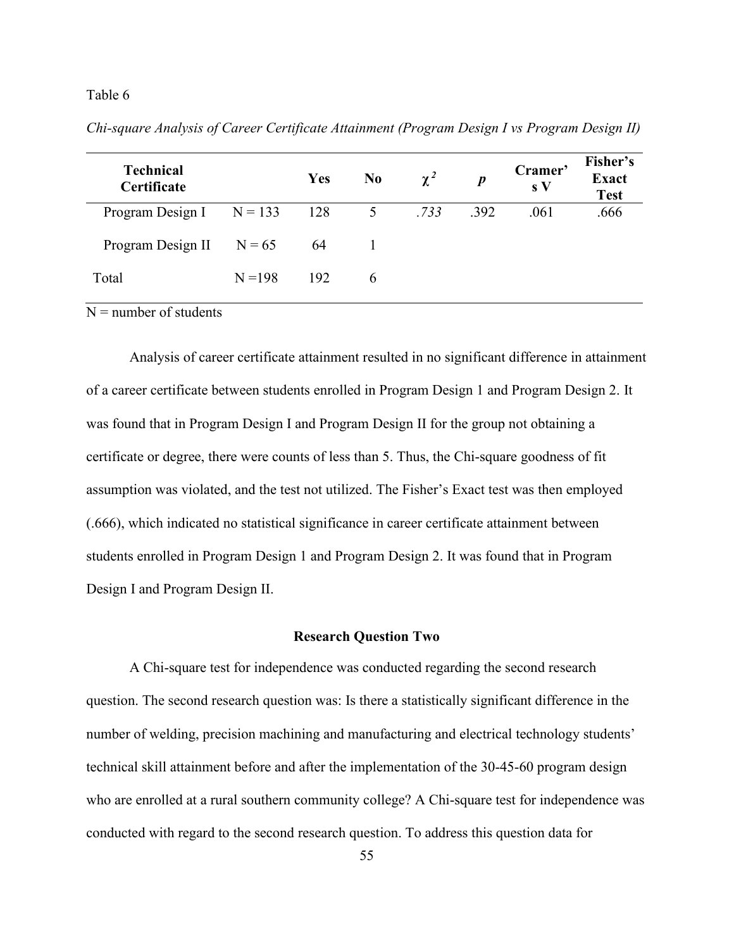#### Table 6

| <b>Technical</b><br>Certificate |           | <b>Yes</b> | N <sub>0</sub> | $\chi^2$ | $\boldsymbol{p}$ | Cramer'<br>$\mathbf{s} \mathbf{V}$ | Fisher's<br><b>Exact</b><br><b>Test</b> |
|---------------------------------|-----------|------------|----------------|----------|------------------|------------------------------------|-----------------------------------------|
| Program Design I $N = 133$      |           | 128        | 5 <sup>5</sup> | .733     | .392             | .061                               | .666                                    |
| Program Design II $N = 65$      |           | 64         |                |          |                  |                                    |                                         |
| Total                           | $N = 198$ | 192        | <sub>6</sub>   |          |                  |                                    |                                         |

*Chi-square Analysis of Career Certificate Attainment (Program Design I vs Program Design II)*

 $N =$  number of students

Analysis of career certificate attainment resulted in no significant difference in attainment of a career certificate between students enrolled in Program Design 1 and Program Design 2. It was found that in Program Design I and Program Design II for the group not obtaining a certificate or degree, there were counts of less than 5. Thus, the Chi-square goodness of fit assumption was violated, and the test not utilized. The Fisher's Exact test was then employed (.666), which indicated no statistical significance in career certificate attainment between students enrolled in Program Design 1 and Program Design 2. It was found that in Program Design I and Program Design II.

#### **Research Question Two**

A Chi-square test for independence was conducted regarding the second research question. The second research question was: Is there a statistically significant difference in the number of welding, precision machining and manufacturing and electrical technology students' technical skill attainment before and after the implementation of the 30-45-60 program design who are enrolled at a rural southern community college? A Chi-square test for independence was conducted with regard to the second research question. To address this question data for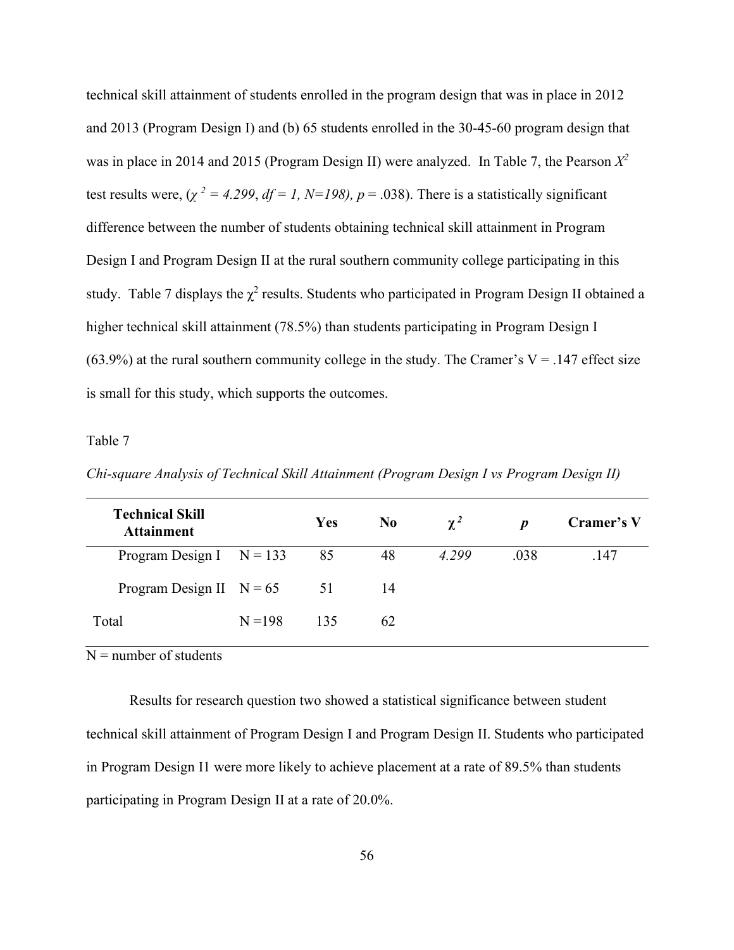technical skill attainment of students enrolled in the program design that was in place in 2012 and 2013 (Program Design I) and (b) 65 students enrolled in the 30-45-60 program design that was in place in 2014 and 2015 (Program Design II) were analyzed. In Table 7, the Pearson *X 2*  test results were,  $(\chi^2 = 4.299, df = 1, N=198)$ ,  $p = .038$ ). There is a statistically significant difference between the number of students obtaining technical skill attainment in Program Design I and Program Design II at the rural southern community college participating in this study. Table 7 displays the  $\chi^2$  results. Students who participated in Program Design II obtained a higher technical skill attainment (78.5%) than students participating in Program Design I (63.9%) at the rural southern community college in the study. The Cramer's  $V = .147$  effect size is small for this study, which supports the outcomes.

#### Table 7

| <b>Technical Skill</b><br><b>Attainment</b> |           | <b>Yes</b> | N <sub>0</sub> | $\chi^2$ | D    | Cramer's V |
|---------------------------------------------|-----------|------------|----------------|----------|------|------------|
| Program Design I $N = 133$                  |           | 85         | 48             | 4.299    | .038 | .147       |
| Program Design II $N = 65$                  |           | 51         | 14             |          |      |            |
| Total                                       | $N = 198$ | 135        | 62             |          |      |            |

*Chi-square Analysis of Technical Skill Attainment (Program Design I vs Program Design II)*

 $N =$  number of students

Results for research question two showed a statistical significance between student technical skill attainment of Program Design I and Program Design II. Students who participated in Program Design I1 were more likely to achieve placement at a rate of 89.5% than students participating in Program Design II at a rate of 20.0%.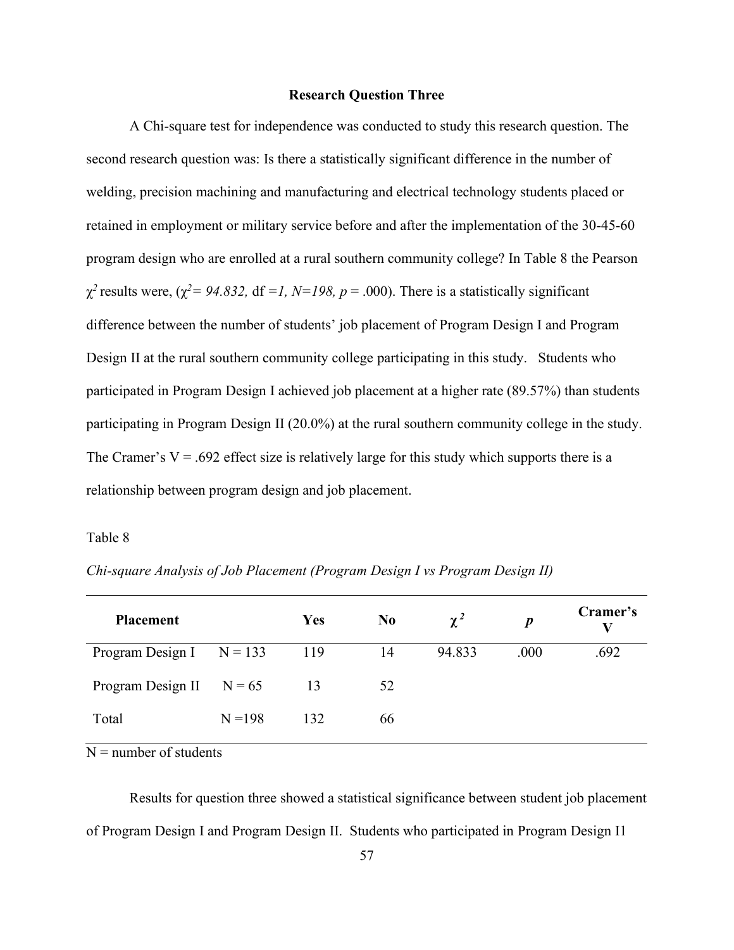#### **Research Question Three**

A Chi-square test for independence was conducted to study this research question. The second research question was: Is there a statistically significant difference in the number of welding, precision machining and manufacturing and electrical technology students placed or retained in employment or military service before and after the implementation of the 30-45-60 program design who are enrolled at a rural southern community college? In Table 8 the Pearson  $\chi^2$  results were, ( $\chi^2$  = 94.832, df =1, N=198, p = .000). There is a statistically significant difference between the number of students' job placement of Program Design I and Program Design II at the rural southern community college participating in this study. Students who participated in Program Design I achieved job placement at a higher rate (89.57%) than students participating in Program Design II (20.0%) at the rural southern community college in the study. The Cramer's  $V = .692$  effect size is relatively large for this study which supports there is a relationship between program design and job placement.

#### Table 8

| <b>Placement</b>           |           | Yes | N <sub>0</sub> | $\chi^2$ | $\boldsymbol{p}$ | Cramer's<br>V |
|----------------------------|-----------|-----|----------------|----------|------------------|---------------|
| Program Design I $N = 133$ |           | 119 | 14             | 94.833   | .000             | .692          |
| Program Design II $N = 65$ |           | 13  | 52             |          |                  |               |
| Total                      | $N = 198$ | 132 | 66             |          |                  |               |

*Chi-square Analysis of Job Placement (Program Design I vs Program Design II)*

 $N =$  number of students

Results for question three showed a statistical significance between student job placement of Program Design I and Program Design II. Students who participated in Program Design I1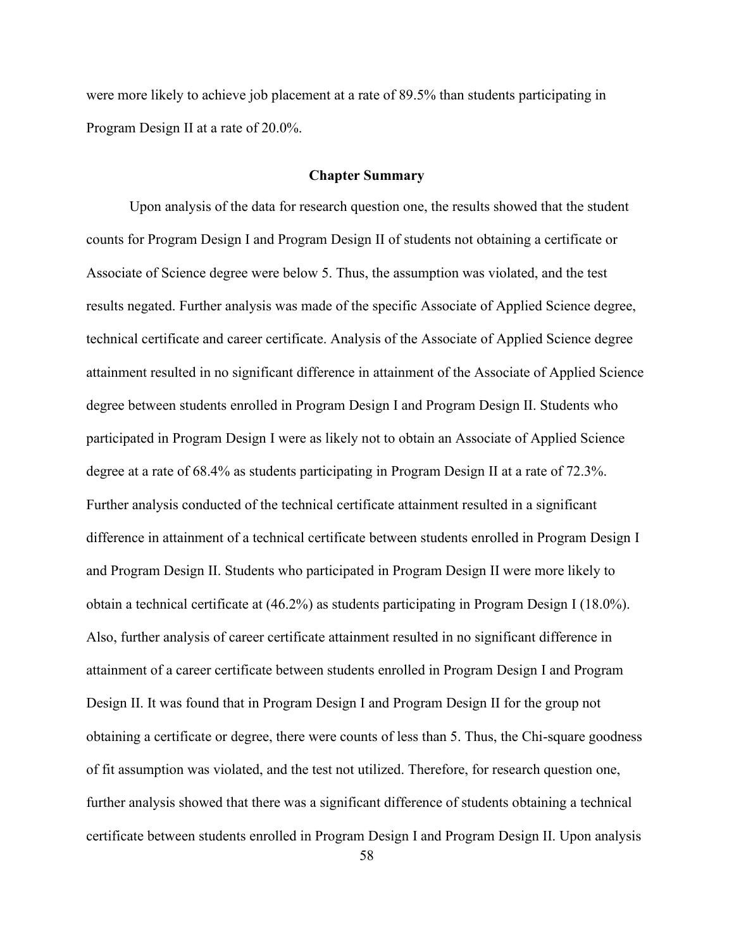were more likely to achieve job placement at a rate of 89.5% than students participating in Program Design II at a rate of 20.0%.

#### **Chapter Summary**

Upon analysis of the data for research question one, the results showed that the student counts for Program Design I and Program Design II of students not obtaining a certificate or Associate of Science degree were below 5. Thus, the assumption was violated, and the test results negated. Further analysis was made of the specific Associate of Applied Science degree, technical certificate and career certificate. Analysis of the Associate of Applied Science degree attainment resulted in no significant difference in attainment of the Associate of Applied Science degree between students enrolled in Program Design I and Program Design II. Students who participated in Program Design I were as likely not to obtain an Associate of Applied Science degree at a rate of 68.4% as students participating in Program Design II at a rate of 72.3%. Further analysis conducted of the technical certificate attainment resulted in a significant difference in attainment of a technical certificate between students enrolled in Program Design I and Program Design II. Students who participated in Program Design II were more likely to obtain a technical certificate at (46.2%) as students participating in Program Design I (18.0%). Also, further analysis of career certificate attainment resulted in no significant difference in attainment of a career certificate between students enrolled in Program Design I and Program Design II. It was found that in Program Design I and Program Design II for the group not obtaining a certificate or degree, there were counts of less than 5. Thus, the Chi-square goodness of fit assumption was violated, and the test not utilized. Therefore, for research question one, further analysis showed that there was a significant difference of students obtaining a technical certificate between students enrolled in Program Design I and Program Design II. Upon analysis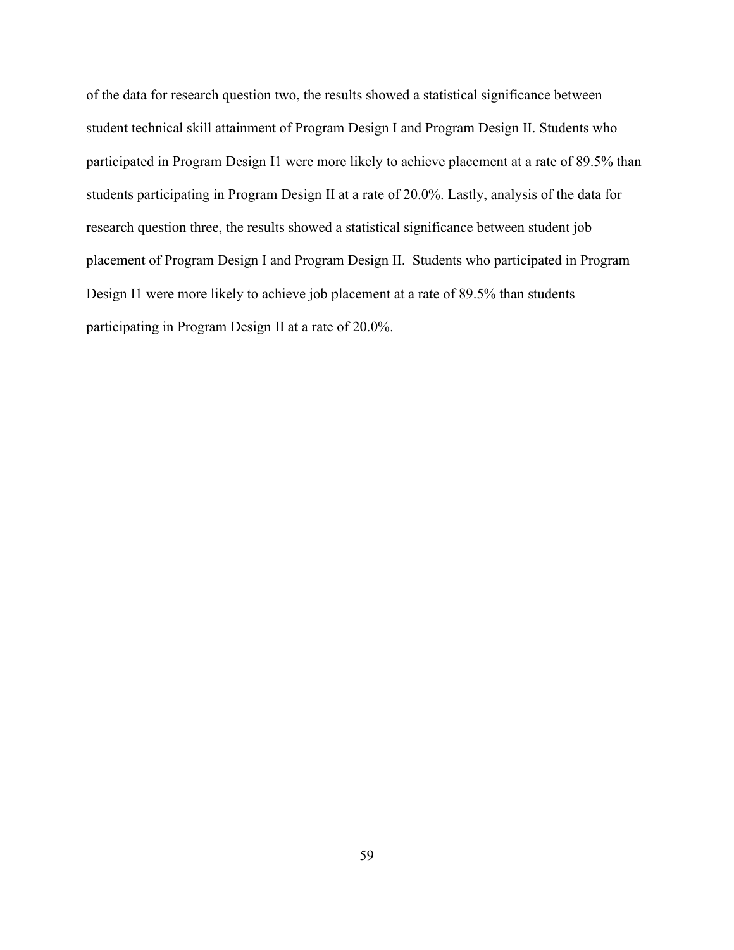of the data for research question two, the results showed a statistical significance between student technical skill attainment of Program Design I and Program Design II. Students who participated in Program Design I1 were more likely to achieve placement at a rate of 89.5% than students participating in Program Design II at a rate of 20.0%. Lastly, analysis of the data for research question three, the results showed a statistical significance between student job placement of Program Design I and Program Design II. Students who participated in Program Design I1 were more likely to achieve job placement at a rate of 89.5% than students participating in Program Design II at a rate of 20.0%.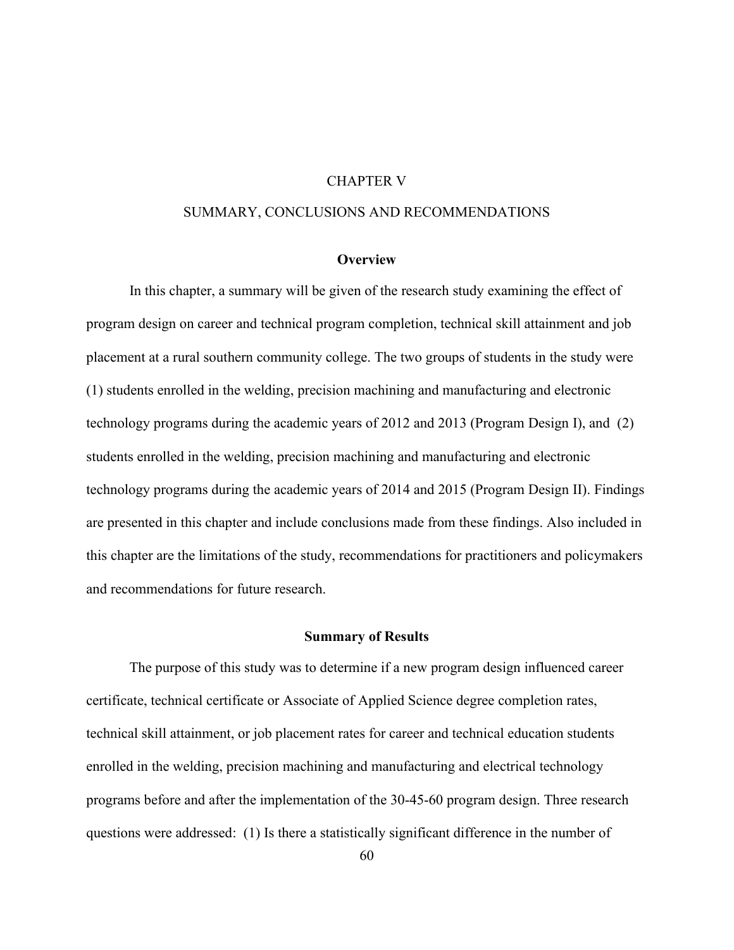#### CHAPTER V

## SUMMARY, CONCLUSIONS AND RECOMMENDATIONS

## **Overview**

In this chapter, a summary will be given of the research study examining the effect of program design on career and technical program completion, technical skill attainment and job placement at a rural southern community college. The two groups of students in the study were (1) students enrolled in the welding, precision machining and manufacturing and electronic technology programs during the academic years of 2012 and 2013 (Program Design I), and (2) students enrolled in the welding, precision machining and manufacturing and electronic technology programs during the academic years of 2014 and 2015 (Program Design II). Findings are presented in this chapter and include conclusions made from these findings. Also included in this chapter are the limitations of the study, recommendations for practitioners and policymakers and recommendations for future research.

#### **Summary of Results**

The purpose of this study was to determine if a new program design influenced career certificate, technical certificate or Associate of Applied Science degree completion rates, technical skill attainment, or job placement rates for career and technical education students enrolled in the welding, precision machining and manufacturing and electrical technology programs before and after the implementation of the 30-45-60 program design. Three research questions were addressed: (1) Is there a statistically significant difference in the number of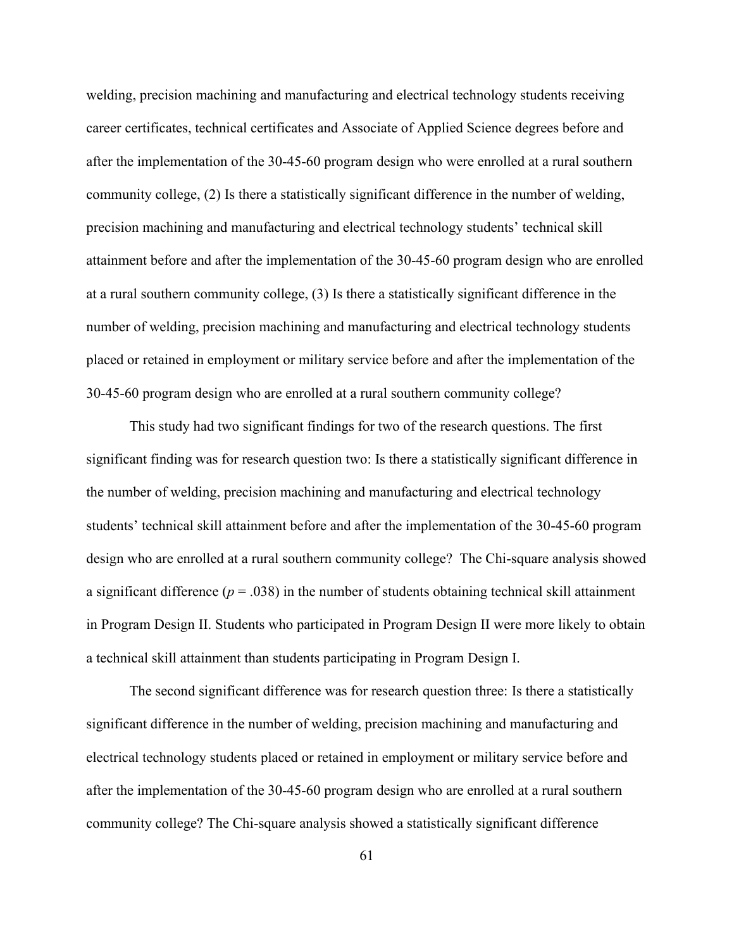welding, precision machining and manufacturing and electrical technology students receiving career certificates, technical certificates and Associate of Applied Science degrees before and after the implementation of the 30-45-60 program design who were enrolled at a rural southern community college, (2) Is there a statistically significant difference in the number of welding, precision machining and manufacturing and electrical technology students' technical skill attainment before and after the implementation of the 30-45-60 program design who are enrolled at a rural southern community college, (3) Is there a statistically significant difference in the number of welding, precision machining and manufacturing and electrical technology students placed or retained in employment or military service before and after the implementation of the 30-45-60 program design who are enrolled at a rural southern community college?

This study had two significant findings for two of the research questions. The first significant finding was for research question two: Is there a statistically significant difference in the number of welding, precision machining and manufacturing and electrical technology students' technical skill attainment before and after the implementation of the 30-45-60 program design who are enrolled at a rural southern community college? The Chi-square analysis showed a significant difference  $(p = .038)$  in the number of students obtaining technical skill attainment in Program Design II. Students who participated in Program Design II were more likely to obtain a technical skill attainment than students participating in Program Design I.

The second significant difference was for research question three: Is there a statistically significant difference in the number of welding, precision machining and manufacturing and electrical technology students placed or retained in employment or military service before and after the implementation of the 30-45-60 program design who are enrolled at a rural southern community college? The Chi-square analysis showed a statistically significant difference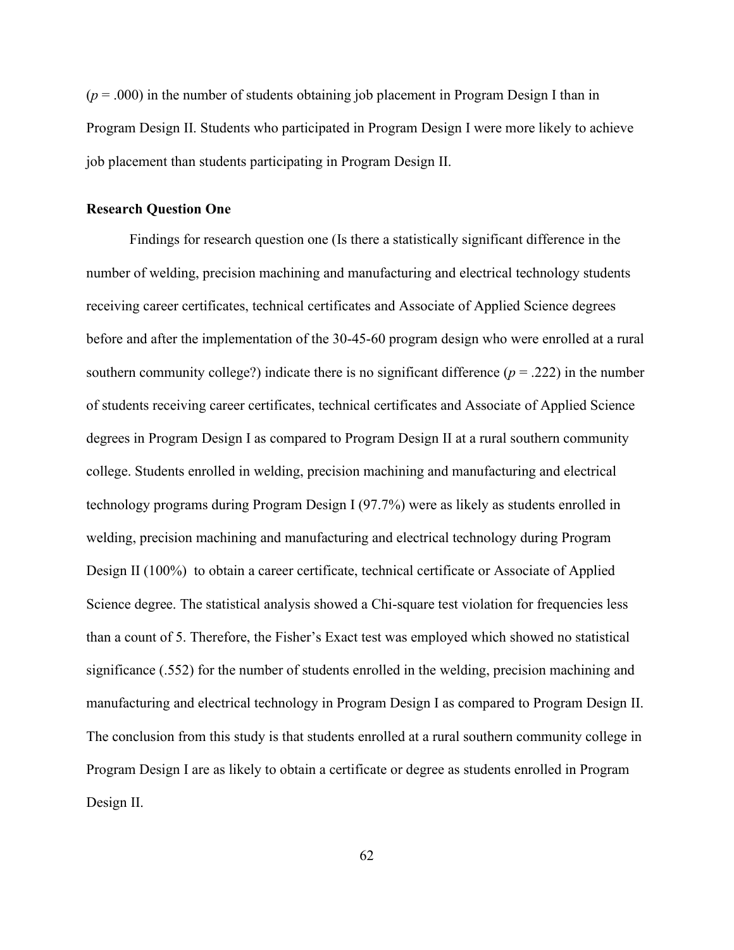$(p = .000)$  in the number of students obtaining job placement in Program Design I than in Program Design II. Students who participated in Program Design I were more likely to achieve job placement than students participating in Program Design II.

#### **Research Question One**

Findings for research question one (Is there a statistically significant difference in the number of welding, precision machining and manufacturing and electrical technology students receiving career certificates, technical certificates and Associate of Applied Science degrees before and after the implementation of the 30-45-60 program design who were enrolled at a rural southern community college?) indicate there is no significant difference  $(p = .222)$  in the number of students receiving career certificates, technical certificates and Associate of Applied Science degrees in Program Design I as compared to Program Design II at a rural southern community college. Students enrolled in welding, precision machining and manufacturing and electrical technology programs during Program Design I (97.7%) were as likely as students enrolled in welding, precision machining and manufacturing and electrical technology during Program Design II (100%) to obtain a career certificate, technical certificate or Associate of Applied Science degree. The statistical analysis showed a Chi-square test violation for frequencies less than a count of 5. Therefore, the Fisher's Exact test was employed which showed no statistical significance (.552) for the number of students enrolled in the welding, precision machining and manufacturing and electrical technology in Program Design I as compared to Program Design II. The conclusion from this study is that students enrolled at a rural southern community college in Program Design I are as likely to obtain a certificate or degree as students enrolled in Program Design II.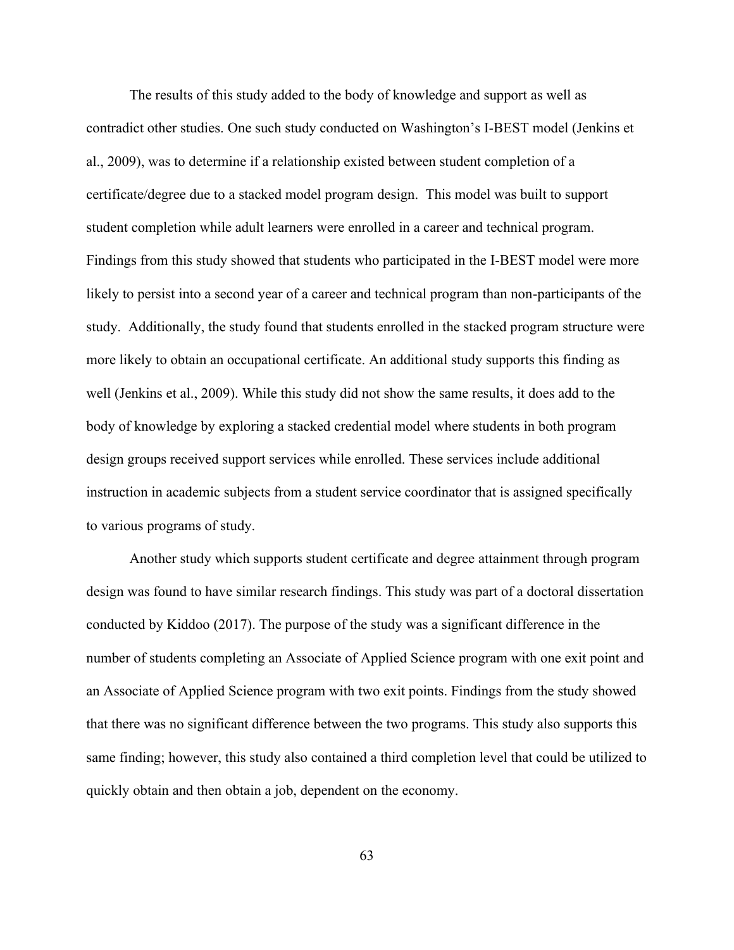The results of this study added to the body of knowledge and support as well as contradict other studies. One such study conducted on Washington's I-BEST model (Jenkins et al., 2009), was to determine if a relationship existed between student completion of a certificate/degree due to a stacked model program design. This model was built to support student completion while adult learners were enrolled in a career and technical program. Findings from this study showed that students who participated in the I-BEST model were more likely to persist into a second year of a career and technical program than non-participants of the study. Additionally, the study found that students enrolled in the stacked program structure were more likely to obtain an occupational certificate. An additional study supports this finding as well (Jenkins et al., 2009). While this study did not show the same results, it does add to the body of knowledge by exploring a stacked credential model where students in both program design groups received support services while enrolled. These services include additional instruction in academic subjects from a student service coordinator that is assigned specifically to various programs of study.

Another study which supports student certificate and degree attainment through program design was found to have similar research findings. This study was part of a doctoral dissertation conducted by Kiddoo (2017). The purpose of the study was a significant difference in the number of students completing an Associate of Applied Science program with one exit point and an Associate of Applied Science program with two exit points. Findings from the study showed that there was no significant difference between the two programs. This study also supports this same finding; however, this study also contained a third completion level that could be utilized to quickly obtain and then obtain a job, dependent on the economy.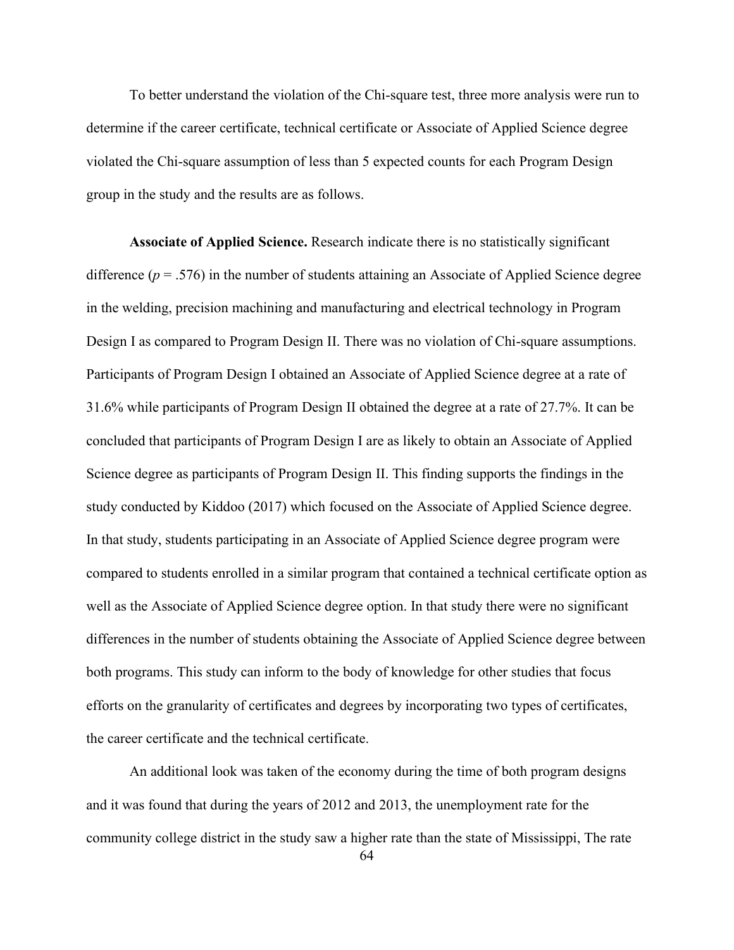To better understand the violation of the Chi-square test, three more analysis were run to determine if the career certificate, technical certificate or Associate of Applied Science degree violated the Chi-square assumption of less than 5 expected counts for each Program Design group in the study and the results are as follows.

**Associate of Applied Science.** Research indicate there is no statistically significant difference  $(p = .576)$  in the number of students attaining an Associate of Applied Science degree in the welding, precision machining and manufacturing and electrical technology in Program Design I as compared to Program Design II. There was no violation of Chi-square assumptions. Participants of Program Design I obtained an Associate of Applied Science degree at a rate of 31.6% while participants of Program Design II obtained the degree at a rate of 27.7%. It can be concluded that participants of Program Design I are as likely to obtain an Associate of Applied Science degree as participants of Program Design II. This finding supports the findings in the study conducted by Kiddoo (2017) which focused on the Associate of Applied Science degree. In that study, students participating in an Associate of Applied Science degree program were compared to students enrolled in a similar program that contained a technical certificate option as well as the Associate of Applied Science degree option. In that study there were no significant differences in the number of students obtaining the Associate of Applied Science degree between both programs. This study can inform to the body of knowledge for other studies that focus efforts on the granularity of certificates and degrees by incorporating two types of certificates, the career certificate and the technical certificate.

An additional look was taken of the economy during the time of both program designs and it was found that during the years of 2012 and 2013, the unemployment rate for the community college district in the study saw a higher rate than the state of Mississippi, The rate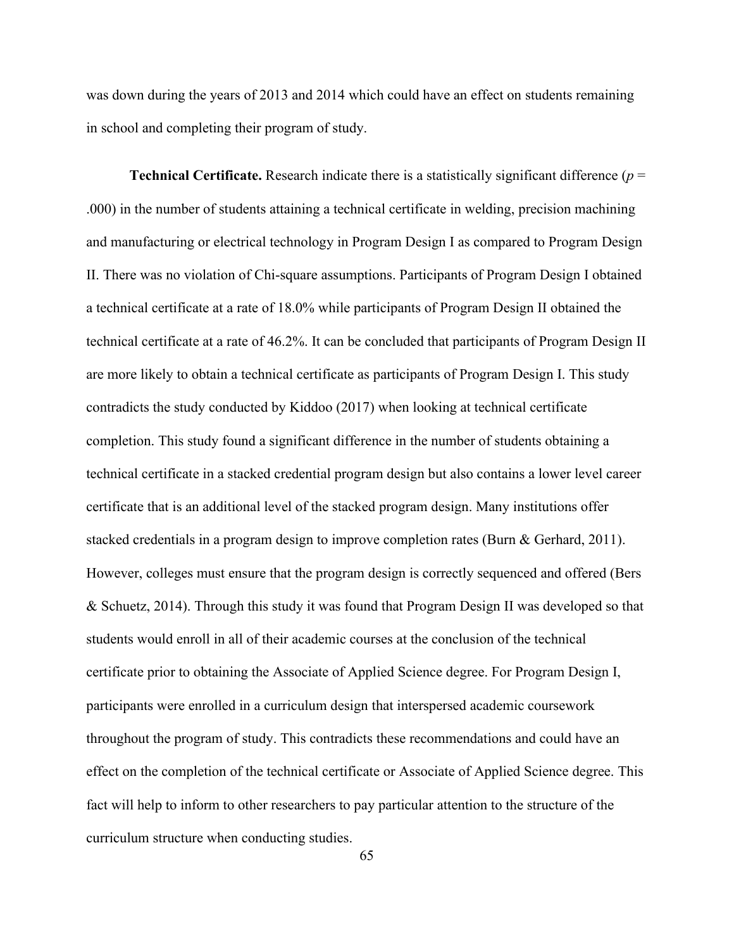was down during the years of 2013 and 2014 which could have an effect on students remaining in school and completing their program of study.

**Technical Certificate.** Research indicate there is a statistically significant difference (*p* = .000) in the number of students attaining a technical certificate in welding, precision machining and manufacturing or electrical technology in Program Design I as compared to Program Design II. There was no violation of Chi-square assumptions. Participants of Program Design I obtained a technical certificate at a rate of 18.0% while participants of Program Design II obtained the technical certificate at a rate of 46.2%. It can be concluded that participants of Program Design II are more likely to obtain a technical certificate as participants of Program Design I. This study contradicts the study conducted by Kiddoo (2017) when looking at technical certificate completion. This study found a significant difference in the number of students obtaining a technical certificate in a stacked credential program design but also contains a lower level career certificate that is an additional level of the stacked program design. Many institutions offer stacked credentials in a program design to improve completion rates (Burn & Gerhard, 2011). However, colleges must ensure that the program design is correctly sequenced and offered (Bers & Schuetz, 2014). Through this study it was found that Program Design II was developed so that students would enroll in all of their academic courses at the conclusion of the technical certificate prior to obtaining the Associate of Applied Science degree. For Program Design I, participants were enrolled in a curriculum design that interspersed academic coursework throughout the program of study. This contradicts these recommendations and could have an effect on the completion of the technical certificate or Associate of Applied Science degree. This fact will help to inform to other researchers to pay particular attention to the structure of the curriculum structure when conducting studies.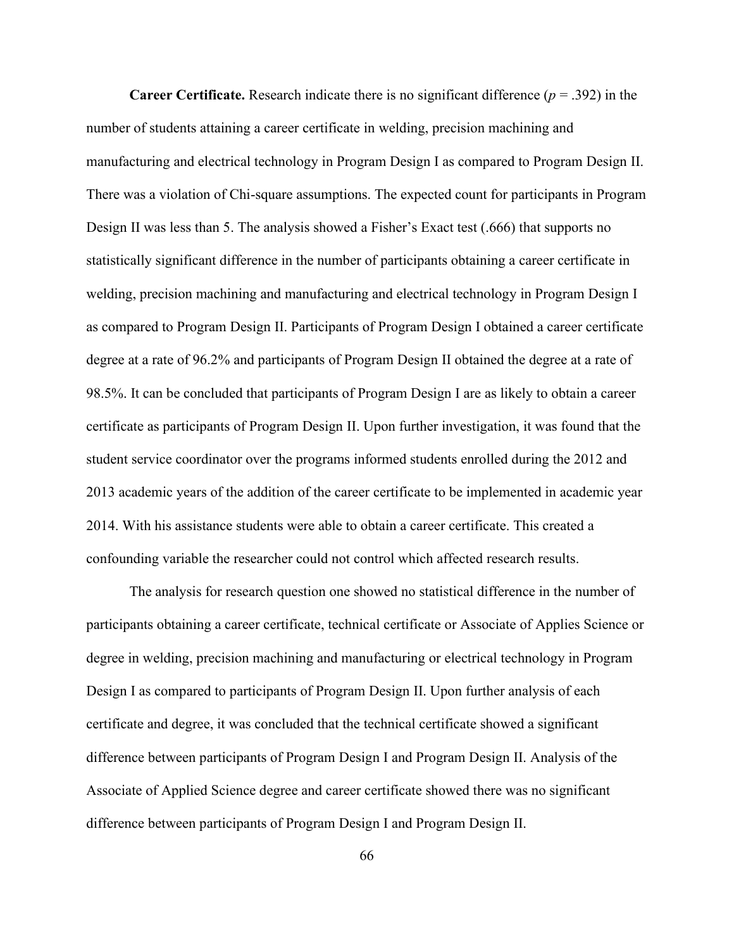**Career Certificate.** Research indicate there is no significant difference (*p* = .392) in the number of students attaining a career certificate in welding, precision machining and manufacturing and electrical technology in Program Design I as compared to Program Design II. There was a violation of Chi-square assumptions. The expected count for participants in Program Design II was less than 5. The analysis showed a Fisher's Exact test (.666) that supports no statistically significant difference in the number of participants obtaining a career certificate in welding, precision machining and manufacturing and electrical technology in Program Design I as compared to Program Design II. Participants of Program Design I obtained a career certificate degree at a rate of 96.2% and participants of Program Design II obtained the degree at a rate of 98.5%. It can be concluded that participants of Program Design I are as likely to obtain a career certificate as participants of Program Design II. Upon further investigation, it was found that the student service coordinator over the programs informed students enrolled during the 2012 and 2013 academic years of the addition of the career certificate to be implemented in academic year 2014. With his assistance students were able to obtain a career certificate. This created a confounding variable the researcher could not control which affected research results.

The analysis for research question one showed no statistical difference in the number of participants obtaining a career certificate, technical certificate or Associate of Applies Science or degree in welding, precision machining and manufacturing or electrical technology in Program Design I as compared to participants of Program Design II. Upon further analysis of each certificate and degree, it was concluded that the technical certificate showed a significant difference between participants of Program Design I and Program Design II. Analysis of the Associate of Applied Science degree and career certificate showed there was no significant difference between participants of Program Design I and Program Design II.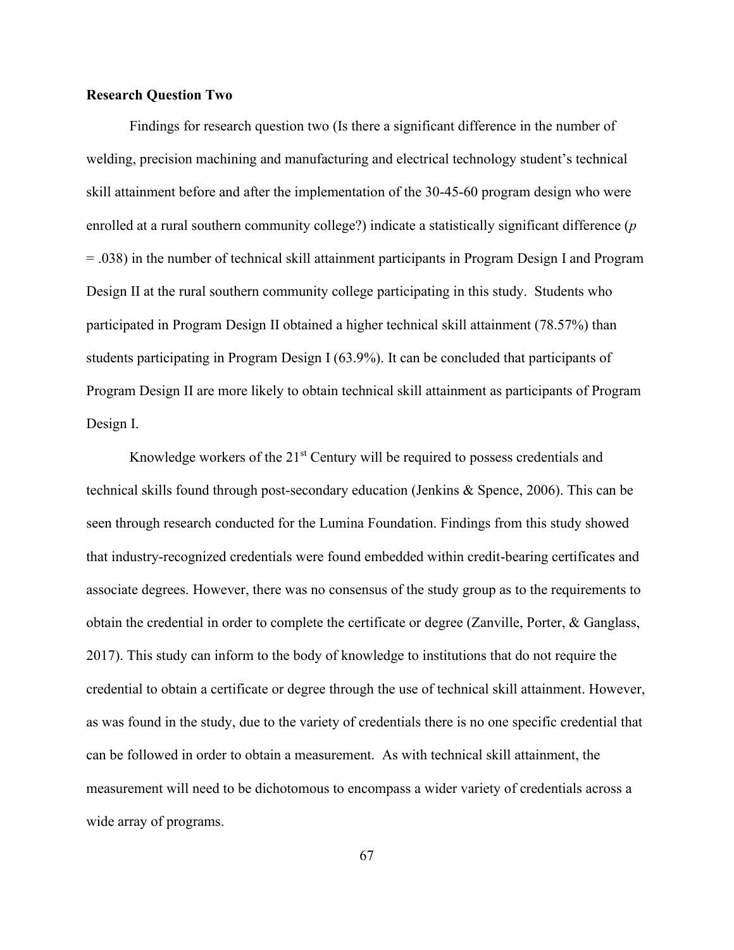## **Research Question Two**

Findings for research question two (Is there a significant difference in the number of welding, precision machining and manufacturing and electrical technology student's technical skill attainment before and after the implementation of the 30-45-60 program design who were enrolled at a rural southern community college?) indicate a statistically significant difference (*p*  = .038) in the number of technical skill attainment participants in Program Design I and Program Design II at the rural southern community college participating in this study. Students who participated in Program Design II obtained a higher technical skill attainment (78.57%) than students participating in Program Design I (63.9%). It can be concluded that participants of Program Design II are more likely to obtain technical skill attainment as participants of Program Design I.

Knowledge workers of the 21<sup>st</sup> Century will be required to possess credentials and technical skills found through post-secondary education (Jenkins & Spence, 2006). This can be seen through research conducted for the Lumina Foundation. Findings from this study showed that industry-recognized credentials were found embedded within credit-bearing certificates and associate degrees. However, there was no consensus of the study group as to the requirements to obtain the credential in order to complete the certificate or degree (Zanville, Porter, & Ganglass, 2017). This study can inform to the body of knowledge to institutions that do not require the credential to obtain a certificate or degree through the use of technical skill attainment. However, as was found in the study, due to the variety of credentials there is no one specific credential that can be followed in order to obtain a measurement. As with technical skill attainment, the measurement will need to be dichotomous to encompass a wider variety of credentials across a wide array of programs.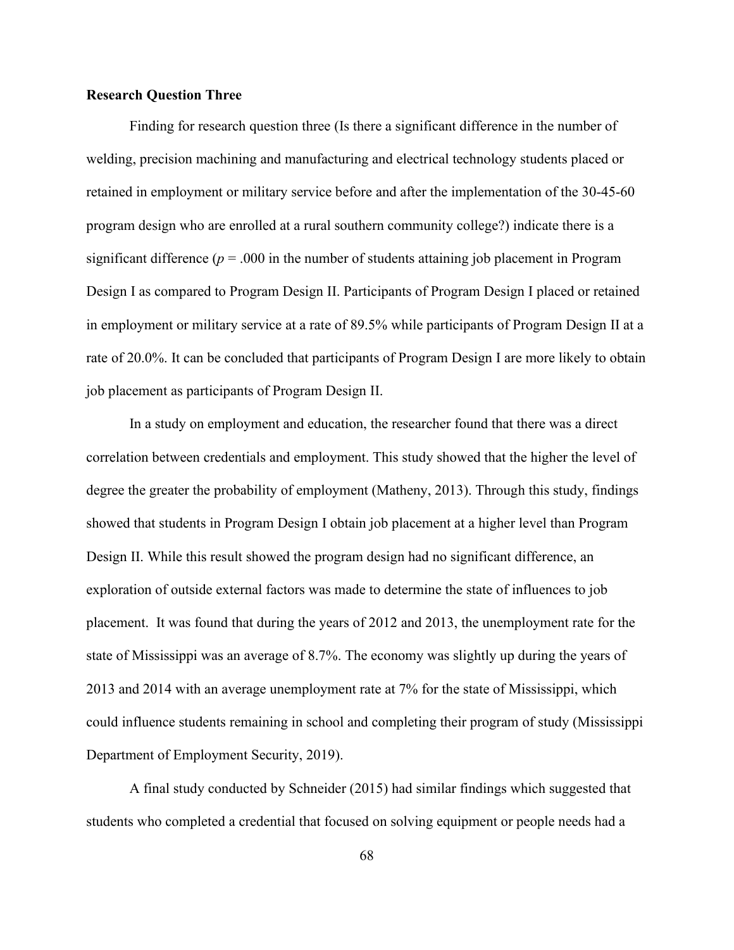## **Research Question Three**

Finding for research question three (Is there a significant difference in the number of welding, precision machining and manufacturing and electrical technology students placed or retained in employment or military service before and after the implementation of the 30-45-60 program design who are enrolled at a rural southern community college?) indicate there is a significant difference ( $p = .000$  in the number of students attaining job placement in Program Design I as compared to Program Design II. Participants of Program Design I placed or retained in employment or military service at a rate of 89.5% while participants of Program Design II at a rate of 20.0%. It can be concluded that participants of Program Design I are more likely to obtain job placement as participants of Program Design II.

In a study on employment and education, the researcher found that there was a direct correlation between credentials and employment. This study showed that the higher the level of degree the greater the probability of employment (Matheny, 2013). Through this study, findings showed that students in Program Design I obtain job placement at a higher level than Program Design II. While this result showed the program design had no significant difference, an exploration of outside external factors was made to determine the state of influences to job placement. It was found that during the years of 2012 and 2013, the unemployment rate for the state of Mississippi was an average of 8.7%. The economy was slightly up during the years of 2013 and 2014 with an average unemployment rate at 7% for the state of Mississippi, which could influence students remaining in school and completing their program of study (Mississippi Department of Employment Security, 2019).

A final study conducted by Schneider (2015) had similar findings which suggested that students who completed a credential that focused on solving equipment or people needs had a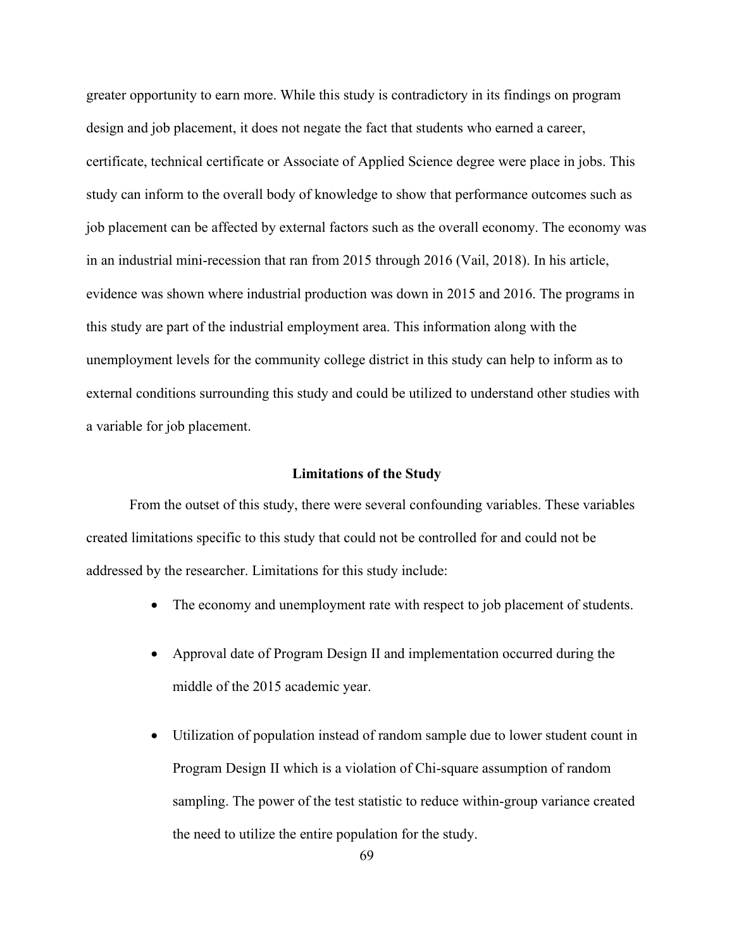greater opportunity to earn more. While this study is contradictory in its findings on program design and job placement, it does not negate the fact that students who earned a career, certificate, technical certificate or Associate of Applied Science degree were place in jobs. This study can inform to the overall body of knowledge to show that performance outcomes such as job placement can be affected by external factors such as the overall economy. The economy was in an industrial mini-recession that ran from 2015 through 2016 (Vail, 2018). In his article, evidence was shown where industrial production was down in 2015 and 2016. The programs in this study are part of the industrial employment area. This information along with the unemployment levels for the community college district in this study can help to inform as to external conditions surrounding this study and could be utilized to understand other studies with a variable for job placement.

### **Limitations of the Study**

From the outset of this study, there were several confounding variables. These variables created limitations specific to this study that could not be controlled for and could not be addressed by the researcher. Limitations for this study include:

- The economy and unemployment rate with respect to job placement of students.
- Approval date of Program Design II and implementation occurred during the middle of the 2015 academic year.
- Utilization of population instead of random sample due to lower student count in Program Design II which is a violation of Chi-square assumption of random sampling. The power of the test statistic to reduce within-group variance created the need to utilize the entire population for the study.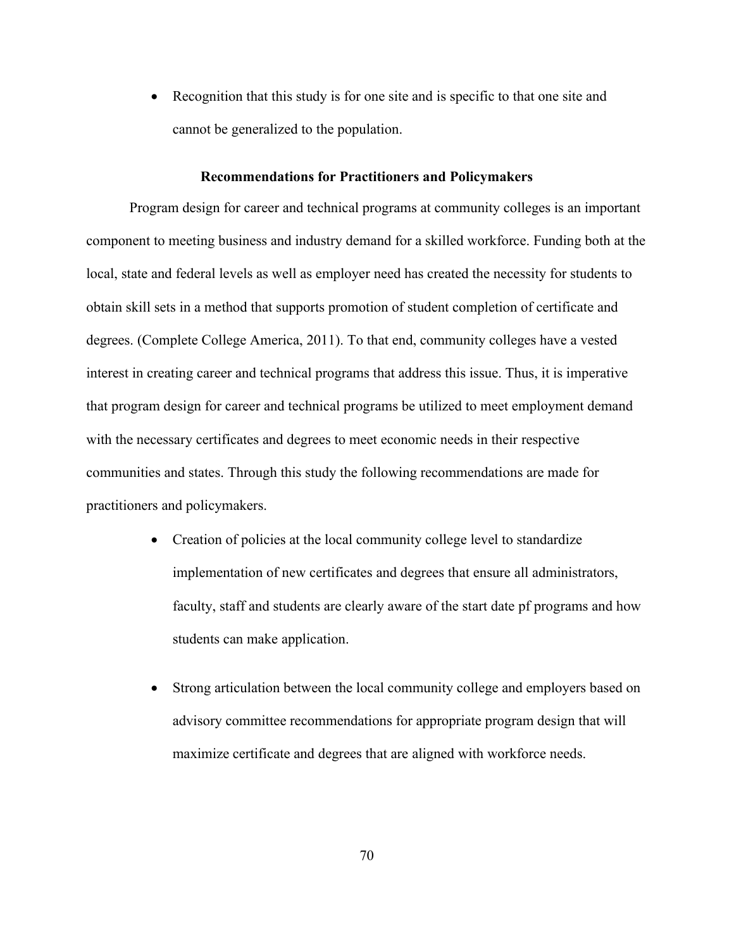• Recognition that this study is for one site and is specific to that one site and cannot be generalized to the population.

#### **Recommendations for Practitioners and Policymakers**

Program design for career and technical programs at community colleges is an important component to meeting business and industry demand for a skilled workforce. Funding both at the local, state and federal levels as well as employer need has created the necessity for students to obtain skill sets in a method that supports promotion of student completion of certificate and degrees. (Complete College America, 2011). To that end, community colleges have a vested interest in creating career and technical programs that address this issue. Thus, it is imperative that program design for career and technical programs be utilized to meet employment demand with the necessary certificates and degrees to meet economic needs in their respective communities and states. Through this study the following recommendations are made for practitioners and policymakers.

- Creation of policies at the local community college level to standardize implementation of new certificates and degrees that ensure all administrators, faculty, staff and students are clearly aware of the start date pf programs and how students can make application.
- Strong articulation between the local community college and employers based on advisory committee recommendations for appropriate program design that will maximize certificate and degrees that are aligned with workforce needs.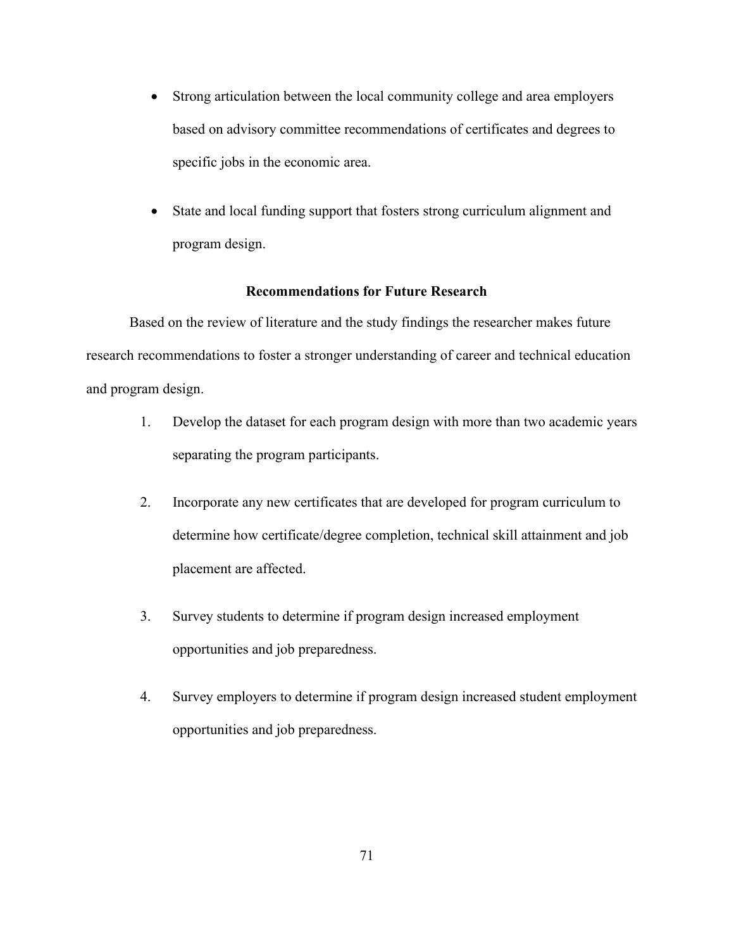- Strong articulation between the local community college and area employers based on advisory committee recommendations of certificates and degrees to specific jobs in the economic area.
- State and local funding support that fosters strong curriculum alignment and program design.

# **Recommendations for Future Research**

Based on the review of literature and the study findings the researcher makes future research recommendations to foster a stronger understanding of career and technical education and program design.

- 1. Develop the dataset for each program design with more than two academic years separating the program participants.
- 2. Incorporate any new certificates that are developed for program curriculum to determine how certificate/degree completion, technical skill attainment and job placement are affected.
- 3. Survey students to determine if program design increased employment opportunities and job preparedness.
- 4. Survey employers to determine if program design increased student employment opportunities and job preparedness.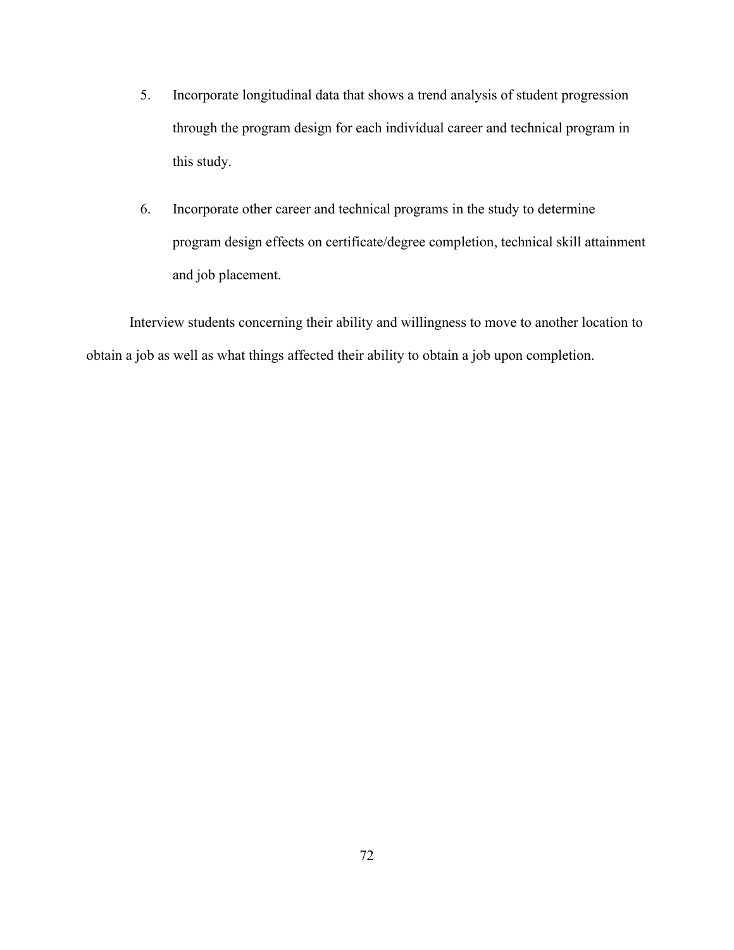- 5. Incorporate longitudinal data that shows a trend analysis of student progression through the program design for each individual career and technical program in this study.
- 6. Incorporate other career and technical programs in the study to determine program design effects on certificate/degree completion, technical skill attainment and job placement.

Interview students concerning their ability and willingness to move to another location to obtain a job as well as what things affected their ability to obtain a job upon completion.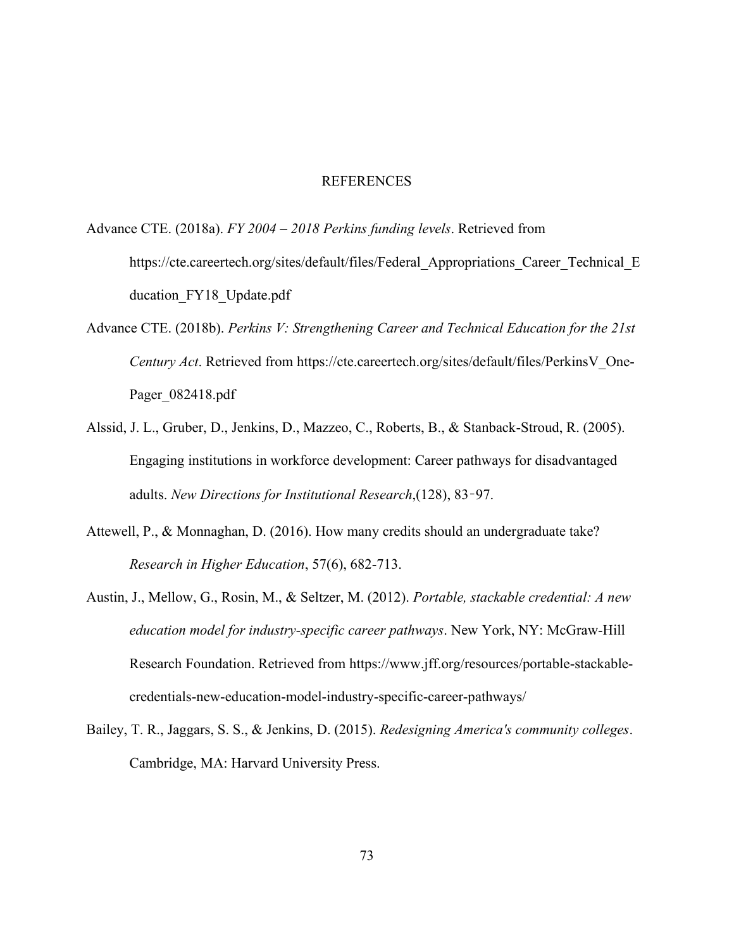#### **REFERENCES**

- Advance CTE. (2018a). *FY 2004 – 2018 Perkins funding levels*. Retrieved from https://cte.careertech.org/sites/default/files/Federal Appropriations Career Technical E ducation FY18 Update.pdf
- Advance CTE. (2018b). *Perkins V: Strengthening Career and Technical Education for the 21st Century Act*. Retrieved from https://cte.careertech.org/sites/default/files/PerkinsV\_One-Pager\_082418.pdf
- Alssid, J. L., Gruber, D., Jenkins, D., Mazzeo, C., Roberts, B., & Stanback-Stroud, R. (2005). Engaging institutions in workforce development: Career pathways for disadvantaged adults. *New Directions for Institutional Research*,(128), 83–97.
- Attewell, P., & Monnaghan, D. (2016). How many credits should an undergraduate take? *Research in Higher Education*, 57(6), 682-713.
- Austin, J., Mellow, G., Rosin, M., & Seltzer, M. (2012). *Portable, stackable credential: A new education model for industry-specific career pathways*. New York, NY: McGraw-Hill Research Foundation. Retrieved from https://www.jff.org/resources/portable-stackablecredentials-new-education-model-industry-specific-career-pathways/
- Bailey, T. R., Jaggars, S. S., & Jenkins, D. (2015). *Redesigning America's community colleges*. Cambridge, MA: Harvard University Press.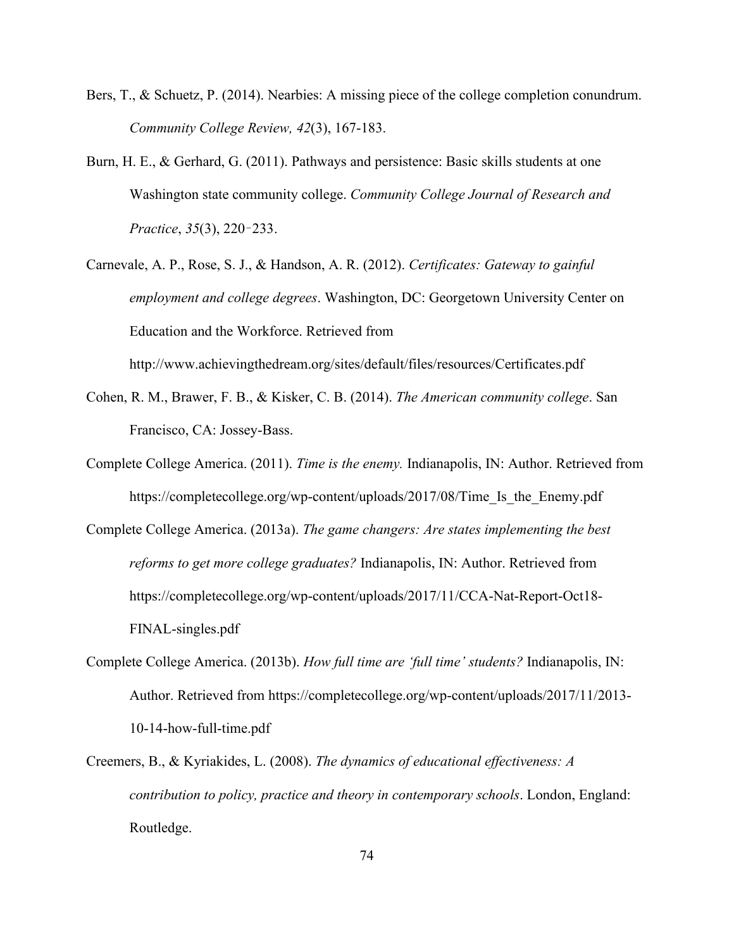- Bers, T., & Schuetz, P. (2014). Nearbies: A missing piece of the college completion conundrum. *Community College Review, 42*(3), 167-183.
- Burn, H. E., & Gerhard, G. (2011). Pathways and persistence: Basic skills students at one Washington state community college. *Community College Journal of Research and Practice*, *35*(3), 220–233.
- Carnevale, A. P., Rose, S. J., & Handson, A. R. (2012). *Certificates: Gateway to gainful employment and college degrees*. Washington, DC: Georgetown University Center on Education and the Workforce. Retrieved from

Cohen, R. M., Brawer, F. B., & Kisker, C. B. (2014). *The American community college*. San

http://www.achievingthedream.org/sites/default/files/resources/Certificates.pdf

Francisco, CA: Jossey-Bass.

- Complete College America. (2011). *Time is the enemy.* Indianapolis, IN: Author. Retrieved from https://completecollege.org/wp-content/uploads/2017/08/Time Is the Enemy.pdf
- Complete College America. (2013a). *The game changers: Are states implementing the best reforms to get more college graduates?* Indianapolis, IN: Author. Retrieved from https://completecollege.org/wp-content/uploads/2017/11/CCA-Nat-Report-Oct18- FINAL-singles.pdf
- Complete College America. (2013b). *How full time are 'full time' students?* Indianapolis, IN: Author. Retrieved from https://completecollege.org/wp-content/uploads/2017/11/2013- 10-14-how-full-time.pdf
- Creemers, B., & Kyriakides, L. (2008). *The dynamics of educational effectiveness: A contribution to policy, practice and theory in contemporary schools*. London, England: Routledge.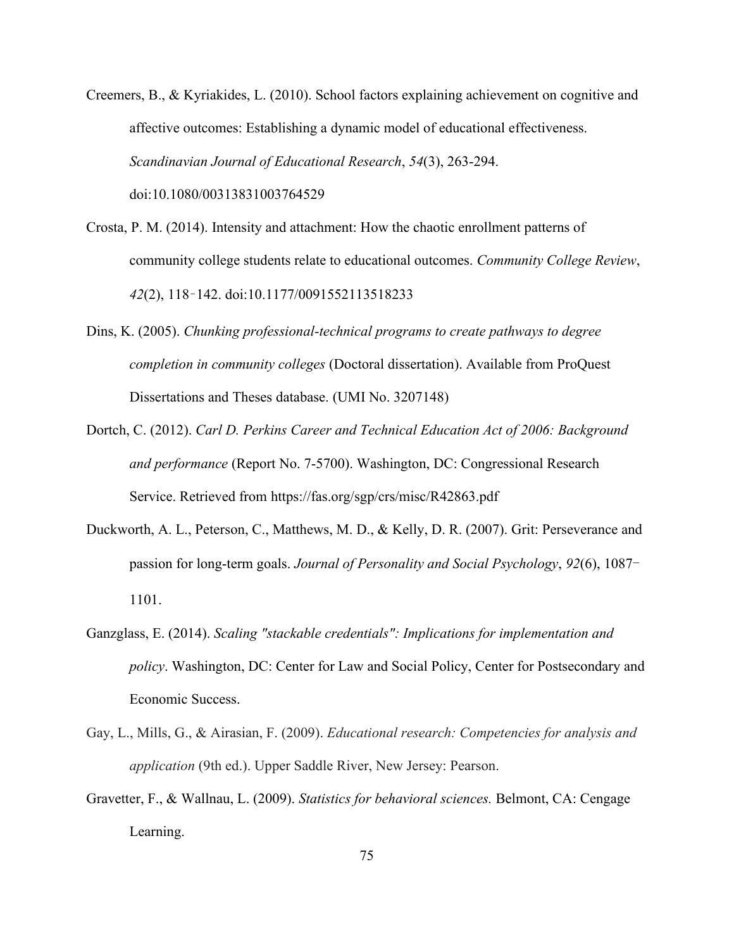Creemers, B., & Kyriakides, L. (2010). School factors explaining achievement on cognitive and affective outcomes: Establishing a dynamic model of educational effectiveness. *Scandinavian Journal of Educational Research*, *54*(3), 263-294. doi:10.1080/00313831003764529

- Crosta, P. M. (2014). Intensity and attachment: How the chaotic enrollment patterns of community college students relate to educational outcomes. *Community College Review*, *42*(2), 118–142. doi:10.1177/0091552113518233
- Dins, K. (2005). *Chunking professional-technical programs to create pathways to degree completion in community colleges* (Doctoral dissertation). Available from ProQuest Dissertations and Theses database. (UMI No. 3207148)
- Dortch, C. (2012). *Carl D. Perkins Career and Technical Education Act of 2006: Background and performance* (Report No. 7-5700). Washington, DC: Congressional Research Service. Retrieved from https://fas.org/sgp/crs/misc/R42863.pdf
- Duckworth, A. L., Peterson, C., Matthews, M. D., & Kelly, D. R. (2007). Grit: Perseverance and passion for long-term goals. *Journal of Personality and Social Psychology*, *92*(6), 1087- 1101.
- Ganzglass, E. (2014). *Scaling "stackable credentials": Implications for implementation and policy*. Washington, DC: Center for Law and Social Policy, Center for Postsecondary and Economic Success.
- Gay, L., Mills, G., & Airasian, F. (2009). *Educational research: Competencies for analysis and application* (9th ed.). Upper Saddle River, New Jersey: Pearson.
- Gravetter, F., & Wallnau, L. (2009). *Statistics for behavioral sciences.* Belmont, CA: Cengage Learning.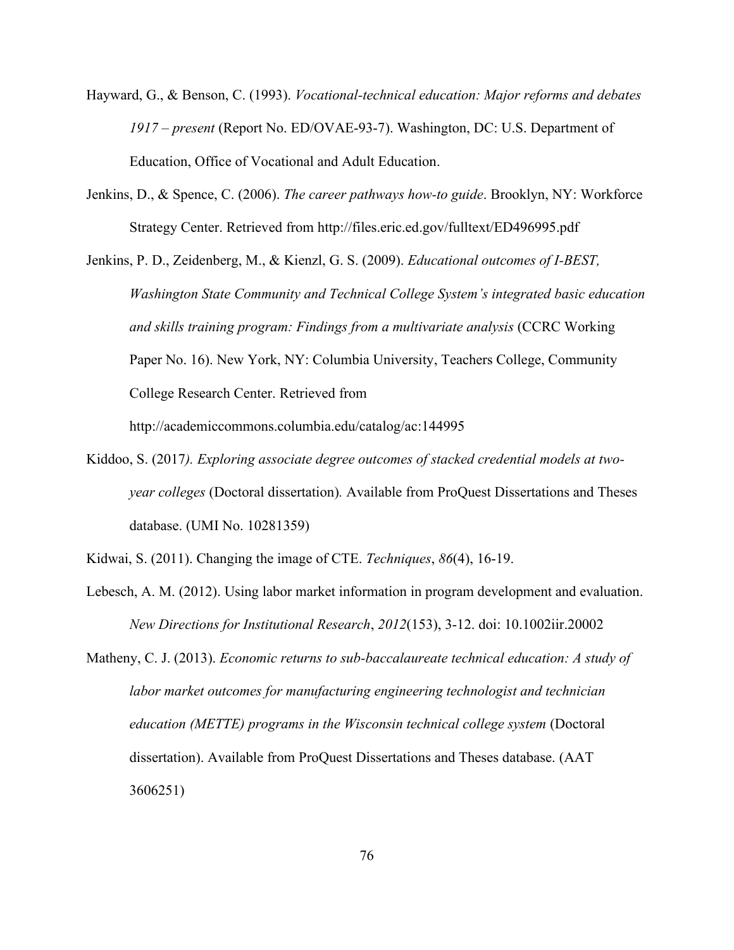- Hayward, G., & Benson, C. (1993). *Vocational-technical education: Major reforms and debates 1917 – present* (Report No. ED/OVAE-93-7). Washington, DC: U.S. Department of Education, Office of Vocational and Adult Education.
- Jenkins, D., & Spence, C. (2006). *The career pathways how-to guide*. Brooklyn, NY: Workforce Strategy Center. Retrieved from http://files.eric.ed.gov/fulltext/ED496995.pdf

Jenkins, P. D., Zeidenberg, M., & Kienzl, G. S. (2009). *Educational outcomes of I-BEST, Washington State Community and Technical College System's integrated basic education and skills training program: Findings from a multivariate analysis* (CCRC Working Paper No. 16). New York, NY: Columbia University, Teachers College, Community College Research Center. Retrieved from

http://academiccommons.columbia.edu/catalog/ac:144995

Kiddoo, S. (2017*). Exploring associate degree outcomes of stacked credential models at twoyear colleges* (Doctoral dissertation)*.* Available from ProQuest Dissertations and Theses database. (UMI No. 10281359)

Kidwai, S. (2011). Changing the image of CTE. *Techniques*, *86*(4), 16-19.

- Lebesch, A. M. (2012). Using labor market information in program development and evaluation. *New Directions for Institutional Research*, *2012*(153), 3-12. doi: 10.1002iir.20002
- Matheny, C. J. (2013). *Economic returns to sub-baccalaureate technical education: A study of labor market outcomes for manufacturing engineering technologist and technician education (METTE) programs in the Wisconsin technical college system (Doctoral* dissertation). Available from ProQuest Dissertations and Theses database. (AAT 3606251)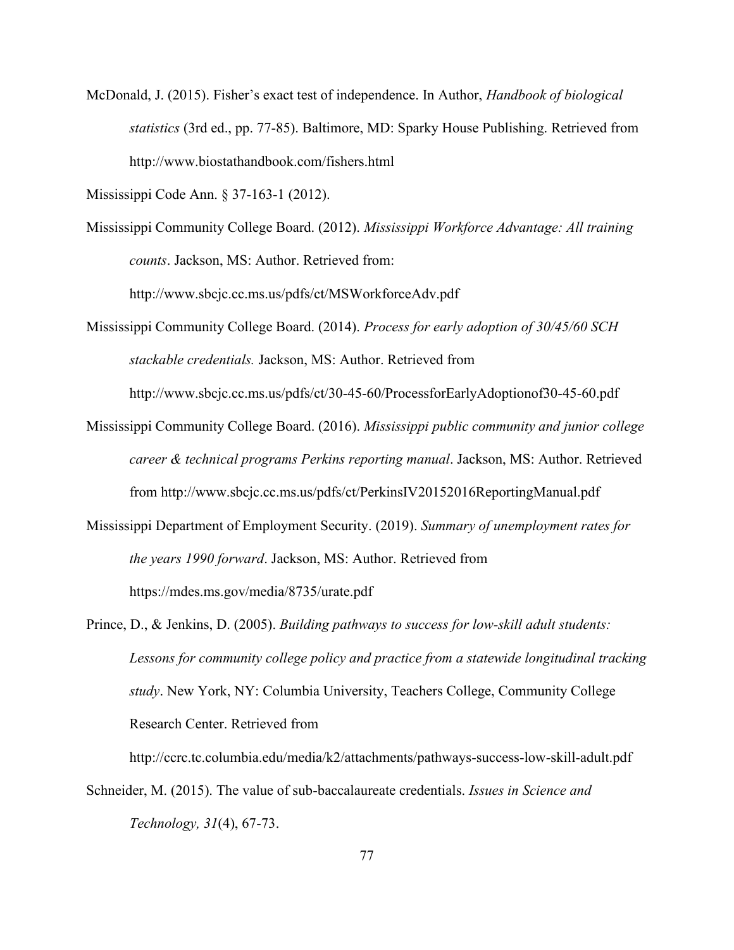McDonald, J. (2015). Fisher's exact test of independence. In Author, *Handbook of biological statistics* (3rd ed., pp. 77-85). Baltimore, MD: Sparky House Publishing. Retrieved from http://www.biostathandbook.com/fishers.html

Mississippi Code Ann. § 37-163-1 (2012).

Mississippi Community College Board. (2012). *Mississippi Workforce Advantage: All training counts*. Jackson, MS: Author. Retrieved from:

http://www.sbcjc.cc.ms.us/pdfs/ct/MSWorkforceAdv.pdf

Mississippi Community College Board. (2014). *Process for early adoption of 30/45/60 SCH stackable credentials.* Jackson, MS: Author. Retrieved from

http://www.sbcjc.cc.ms.us/pdfs/ct/30-45-60/ProcessforEarlyAdoptionof30-45-60.pdf

- Mississippi Community College Board. (2016). *Mississippi public community and junior college career & technical programs Perkins reporting manual*. Jackson, MS: Author. Retrieved from http://www.sbcjc.cc.ms.us/pdfs/ct/PerkinsIV20152016ReportingManual.pdf
- Mississippi Department of Employment Security. (2019). *Summary of unemployment rates for the years 1990 forward*. Jackson, MS: Author. Retrieved from https://mdes.ms.gov/media/8735/urate.pdf
- Prince, D., & Jenkins, D. (2005). *Building pathways to success for low-skill adult students: Lessons for community college policy and practice from a statewide longitudinal tracking study*. New York, NY: Columbia University, Teachers College, Community College Research Center. Retrieved from

http://ccrc.tc.columbia.edu/media/k2/attachments/pathway[s-success-low-skill-adult.pdf](http://ccrc.tc.columbia.edu/media/k2/attachments/pathways-success-low-skill-adult.pdf)

Schneider, M. (2015). The value of sub-baccalaureate credentials. *Issues in Science and Technology, 31*(4), 67-73.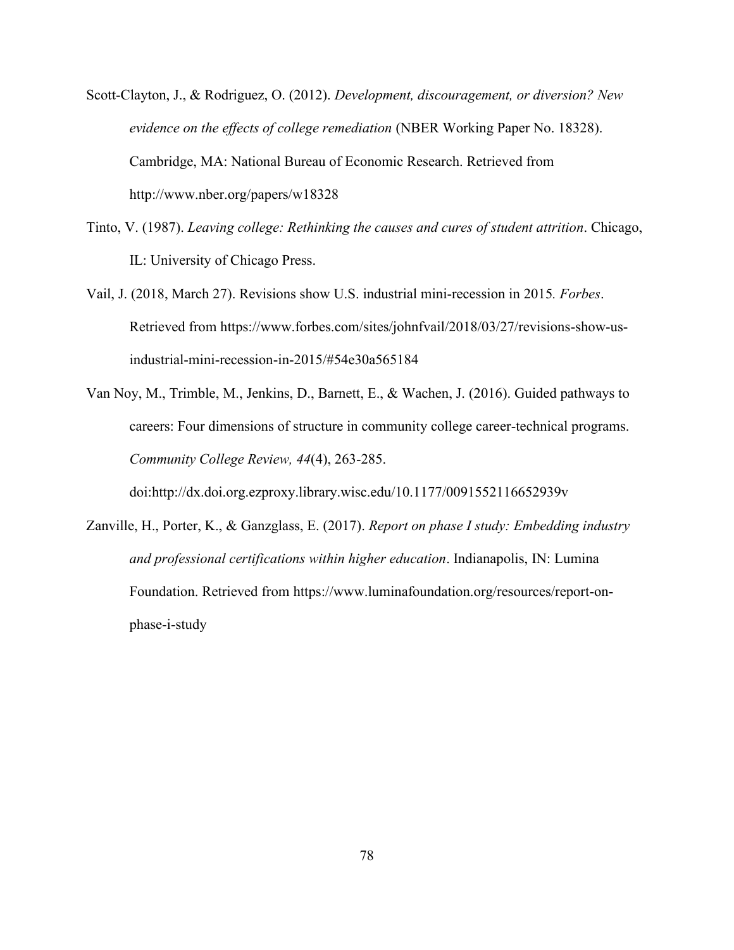- Scott-Clayton, J., & Rodriguez, O. (2012). *Development, discouragement, or diversion? New evidence on the effects of college remediation* (NBER Working Paper No. 18328). Cambridge, MA: National Bureau of Economic Research. Retrieved from http://www.nber.org/papers/w18328
- Tinto, V. (1987). *Leaving college: Rethinking the causes and cures of student attrition*. Chicago, IL: University of Chicago Press.
- Vail, J. (2018, March 27). Revisions show U.S. industrial mini-recession in 2015*. Forbes*. Retrieved from https://www.forbes.com/sites/johnfvail/2018/03/27/revisions-show-usindustrial-mini-recession-in-2015/#54e30a565184
- Van Noy, M., Trimble, M., Jenkins, D., Barnett, E., & Wachen, J. (2016). Guided pathways to careers: Four dimensions of structure in community college career-technical programs. *Community College Review, 44*(4), 263-285.

doi:http://dx.doi.org.ezproxy.library.wisc.edu/10.1177/0091552116652939v

Zanville, H., Porter, K., & Ganzglass, E. (2017). *Report on phase I study: Embedding industry and professional certifications within higher education*. Indianapolis, IN: Lumina Foundation. Retrieved from https://www.luminafoundation.org/resources/report-onphase-i-study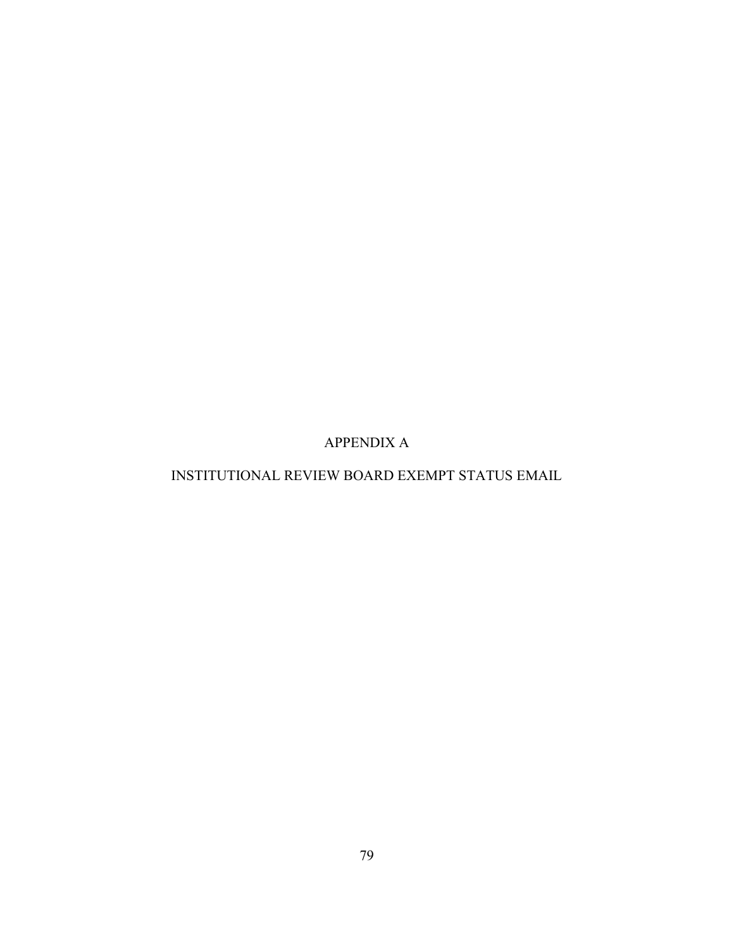APPENDIX A

# INSTITUTIONAL REVIEW BOARD EXEMPT STATUS EMAIL